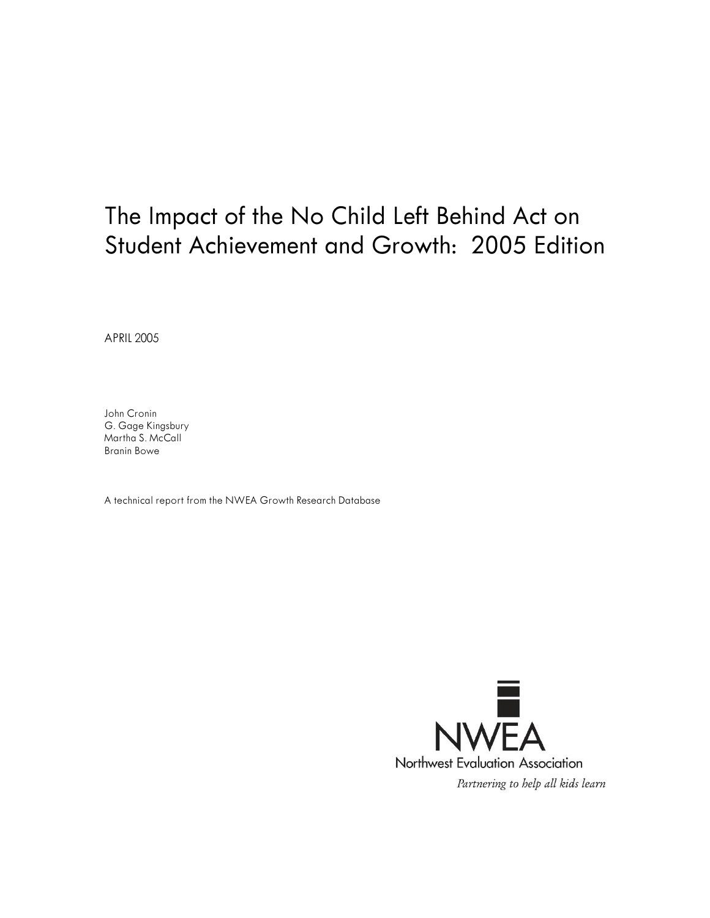# The Impact of the No Child Left Behind Act on Student Achievement and Growth: 2005 Edition

APRIL 2005

John Cronin G. Gage Kingsbury Martha S. McCall Branin Bowe

A technical report from the NWEA Growth Research Database

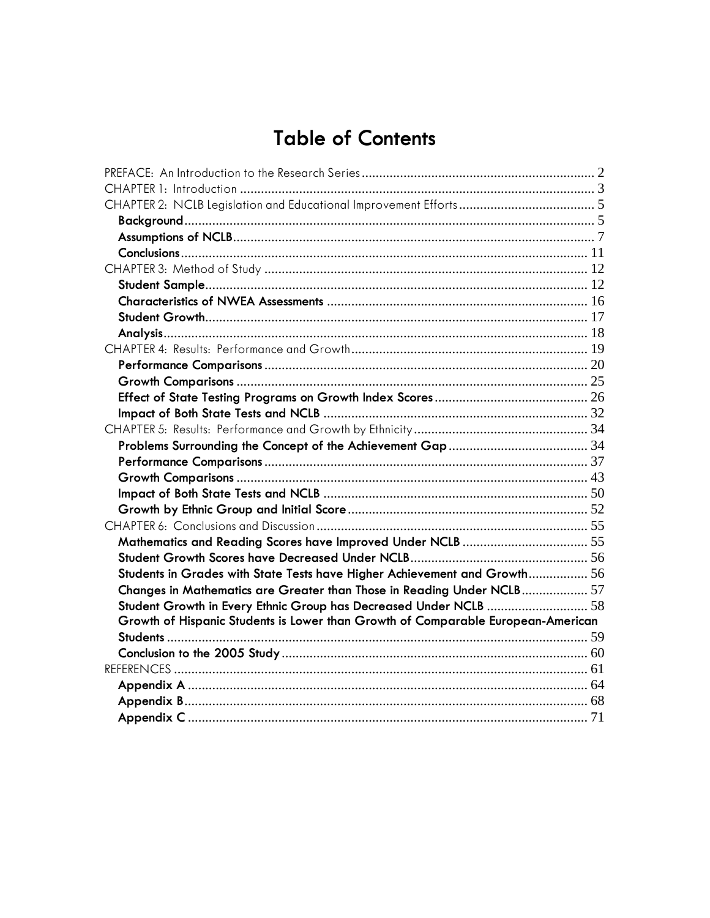# **Table of Contents**

| Students in Grades with State Tests have Higher Achievement and Growth 56        |  |
|----------------------------------------------------------------------------------|--|
| Changes in Mathematics are Greater than Those in Reading Under NCLB 57           |  |
| Student Growth in Every Ethnic Group has Decreased Under NCLB  58                |  |
| Growth of Hispanic Students is Lower than Growth of Comparable European-American |  |
|                                                                                  |  |
|                                                                                  |  |
|                                                                                  |  |
|                                                                                  |  |
|                                                                                  |  |
|                                                                                  |  |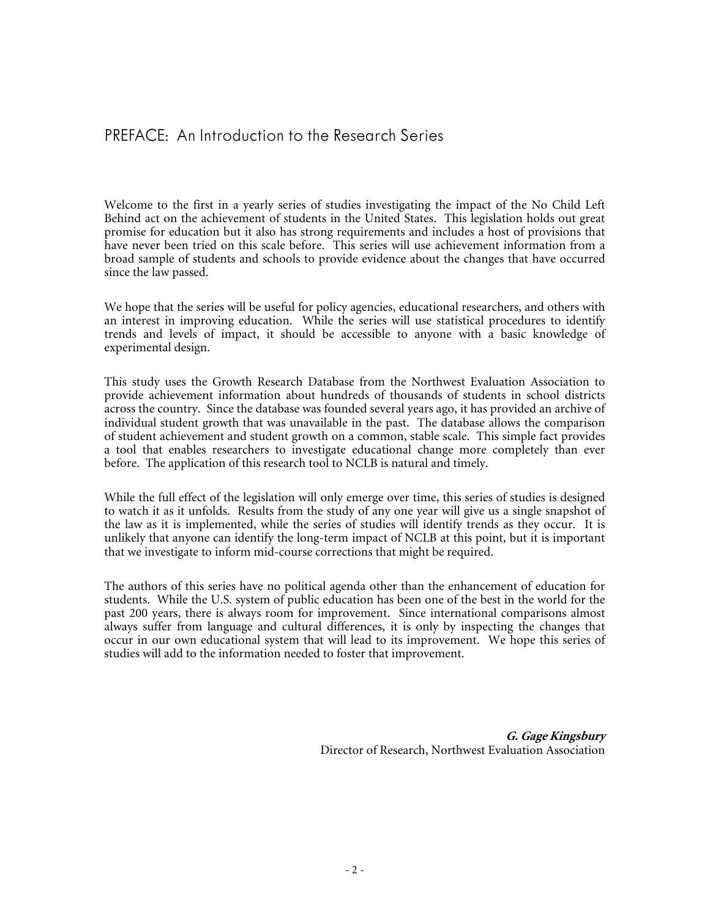Welcome to the first in a yearly series of studies investigating the impact of the No Child Left Behind act on the achievement of students in the United States. This legislation holds out great promise for education but it also has strong requirements and includes a host of provisions that have never been tried on this scale before. This series will use achievement information from a broad sample of students and schools to provide evidence about the changes that have occurred since the law passed.

We hope that the series will be useful for policy agencies, educational researchers, and others with an interest in improving education. While the series will use statistical procedures to identify trends and levels of impact, it should be accessible to anyone with a basic knowledge of experimental design.

This study uses the Growth Research Database from the Northwest Evaluation Association to provide achievement information about hundreds of thousands of students in school districts across the country. Since the database was founded several years ago, it has provided an archive of individual student growth that was unavailable in the past. The database allows the comparison of student achievement and student growth on a common, stable scale. This simple fact provides a tool that enables researchers to investigate educational change more completely than ever before. The application of this research tool to NCLB is natural and timely.

While the full effect of the legislation will only emerge over time, this series of studies is designed to watch it as it unfolds. Results from the study of any one year will give us a single snapshot of the law as it is implemented, while the series of studies will identify trends as they occur. It is unlikely that anyone can identify the long-term impact of NCLB at this point, but it is important that we investigate to inform mid-course corrections that might be required.

The authors of this series have no political agenda other than the enhancement of education for students. While the U.S. system of public education has been one of the best in the world for the past 200 years, there is always room for improvement. Since international comparisons almost always suffer from language and cultural differences, it is only by inspecting the changes that occur in our own educational system that will lead to its improvement. We hope this series of studies will add to the information needed to foster that improvement.

> **G. Gage Kingsbury**  Director of Research, Northwest Evaluation Association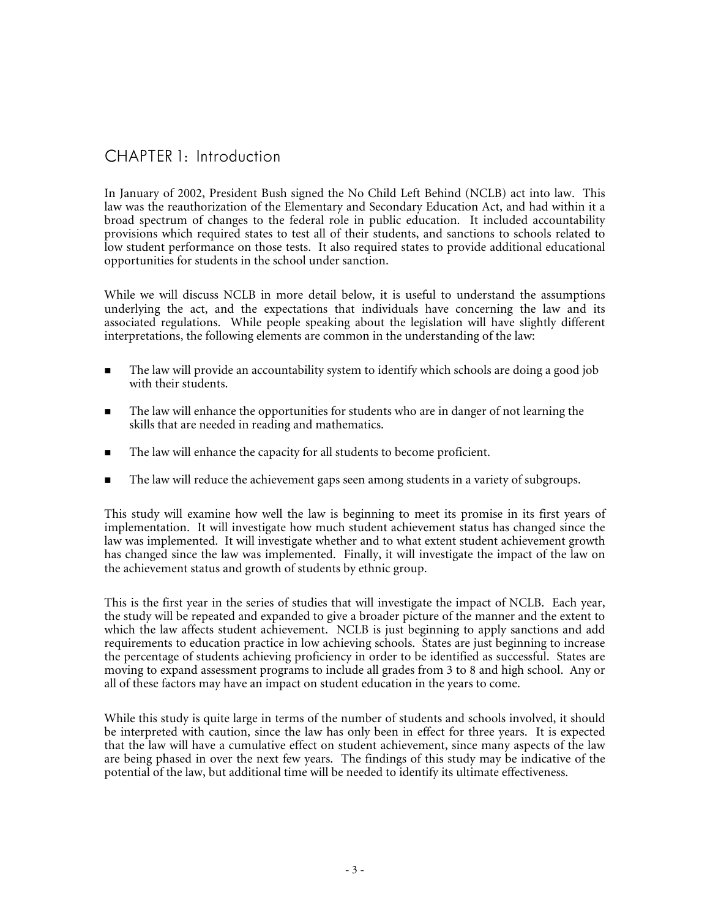## CHAPTER 1: Introduction

In January of 2002, President Bush signed the No Child Left Behind (NCLB) act into law. This law was the reauthorization of the Elementary and Secondary Education Act, and had within it a broad spectrum of changes to the federal role in public education. It included accountability provisions which required states to test all of their students, and sanctions to schools related to low student performance on those tests. It also required states to provide additional educational opportunities for students in the school under sanction.

While we will discuss NCLB in more detail below, it is useful to understand the assumptions underlying the act, and the expectations that individuals have concerning the law and its associated regulations. While people speaking about the legislation will have slightly different interpretations, the following elements are common in the understanding of the law:

- The law will provide an accountability system to identify which schools are doing a good job with their students.
- **The law will enhance the opportunities for students who are in danger of not learning the** skills that are needed in reading and mathematics.
- The law will enhance the capacity for all students to become proficient.
- The law will reduce the achievement gaps seen among students in a variety of subgroups.

This study will examine how well the law is beginning to meet its promise in its first years of implementation. It will investigate how much student achievement status has changed since the law was implemented. It will investigate whether and to what extent student achievement growth has changed since the law was implemented. Finally, it will investigate the impact of the law on the achievement status and growth of students by ethnic group.

This is the first year in the series of studies that will investigate the impact of NCLB. Each year, the study will be repeated and expanded to give a broader picture of the manner and the extent to which the law affects student achievement. NCLB is just beginning to apply sanctions and add requirements to education practice in low achieving schools. States are just beginning to increase the percentage of students achieving proficiency in order to be identified as successful. States are moving to expand assessment programs to include all grades from 3 to 8 and high school. Any or all of these factors may have an impact on student education in the years to come.

While this study is quite large in terms of the number of students and schools involved, it should be interpreted with caution, since the law has only been in effect for three years. It is expected that the law will have a cumulative effect on student achievement, since many aspects of the law are being phased in over the next few years. The findings of this study may be indicative of the potential of the law, but additional time will be needed to identify its ultimate effectiveness.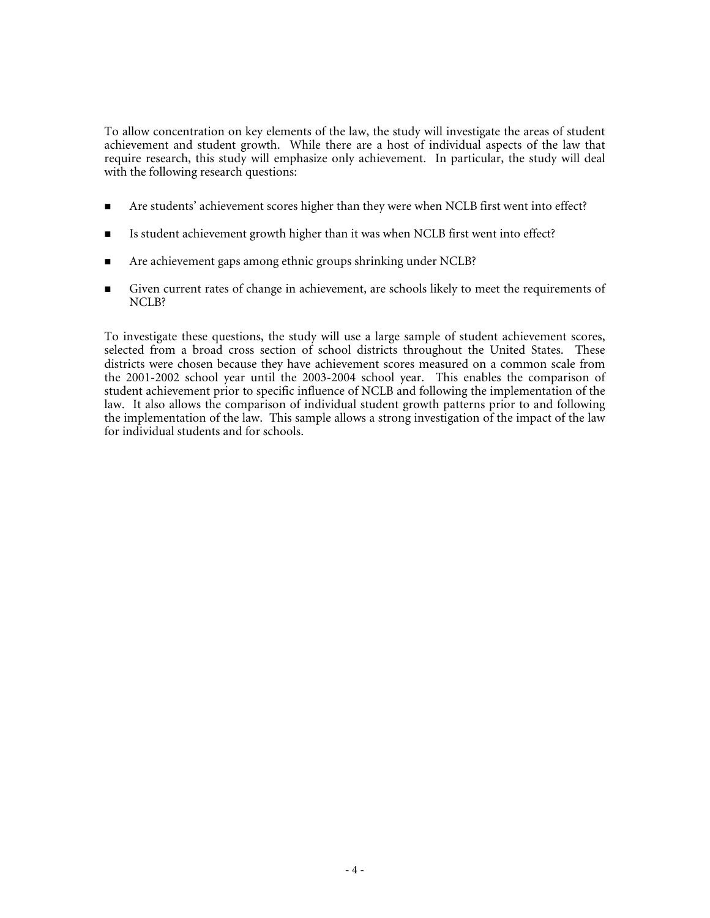To allow concentration on key elements of the law, the study will investigate the areas of student achievement and student growth. While there are a host of individual aspects of the law that require research, this study will emphasize only achievement. In particular, the study will deal with the following research questions:

- Are students' achievement scores higher than they were when NCLB first went into effect?
- Is student achievement growth higher than it was when NCLB first went into effect?
- Are achievement gaps among ethnic groups shrinking under NCLB?
- Given current rates of change in achievement, are schools likely to meet the requirements of NCLB?

To investigate these questions, the study will use a large sample of student achievement scores, selected from a broad cross section of school districts throughout the United States. These districts were chosen because they have achievement scores measured on a common scale from the 2001-2002 school year until the 2003-2004 school year. This enables the comparison of student achievement prior to specific influence of NCLB and following the implementation of the law. It also allows the comparison of individual student growth patterns prior to and following the implementation of the law. This sample allows a strong investigation of the impact of the law for individual students and for schools.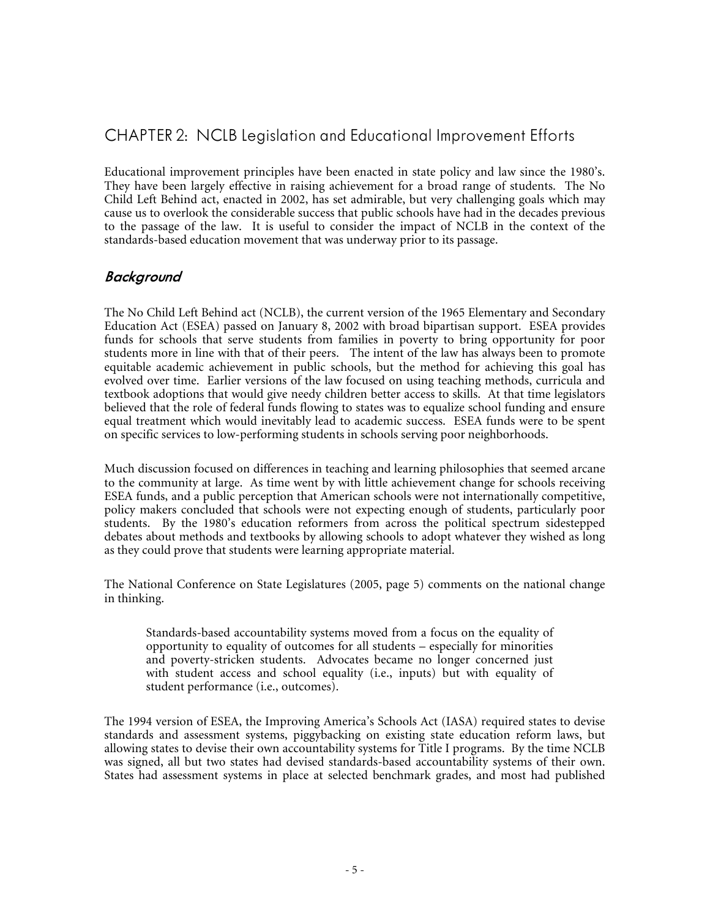## CHAPTER 2: NCLB Legislation and Educational Improvement Efforts

Educational improvement principles have been enacted in state policy and law since the 1980's. They have been largely effective in raising achievement for a broad range of students. The No Child Left Behind act, enacted in 2002, has set admirable, but very challenging goals which may cause us to overlook the considerable success that public schools have had in the decades previous to the passage of the law. It is useful to consider the impact of NCLB in the context of the standards-based education movement that was underway prior to its passage.

#### **Background**

The No Child Left Behind act (NCLB), the current version of the 1965 Elementary and Secondary Education Act (ESEA) passed on January 8, 2002 with broad bipartisan support. ESEA provides funds for schools that serve students from families in poverty to bring opportunity for poor students more in line with that of their peers. The intent of the law has always been to promote equitable academic achievement in public schools, but the method for achieving this goal has evolved over time. Earlier versions of the law focused on using teaching methods, curricula and textbook adoptions that would give needy children better access to skills. At that time legislators believed that the role of federal funds flowing to states was to equalize school funding and ensure equal treatment which would inevitably lead to academic success. ESEA funds were to be spent on specific services to low-performing students in schools serving poor neighborhoods.

Much discussion focused on differences in teaching and learning philosophies that seemed arcane to the community at large. As time went by with little achievement change for schools receiving ESEA funds, and a public perception that American schools were not internationally competitive, policy makers concluded that schools were not expecting enough of students, particularly poor students. By the 1980's education reformers from across the political spectrum sidestepped debates about methods and textbooks by allowing schools to adopt whatever they wished as long as they could prove that students were learning appropriate material.

The National Conference on State Legislatures (2005, page 5) comments on the national change in thinking.

Standards-based accountability systems moved from a focus on the equality of opportunity to equality of outcomes for all students – especially for minorities and poverty-stricken students. Advocates became no longer concerned just with student access and school equality (i.e., inputs) but with equality of student performance (i.e., outcomes).

The 1994 version of ESEA, the Improving America's Schools Act (IASA) required states to devise standards and assessment systems, piggybacking on existing state education reform laws, but allowing states to devise their own accountability systems for Title I programs. By the time NCLB was signed, all but two states had devised standards-based accountability systems of their own. States had assessment systems in place at selected benchmark grades, and most had published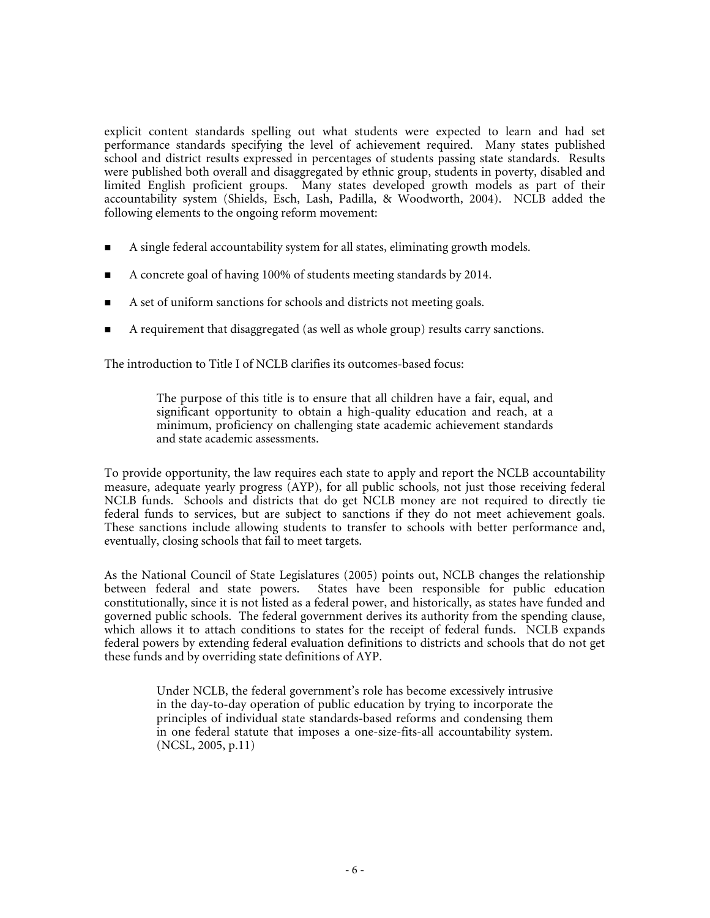explicit content standards spelling out what students were expected to learn and had set performance standards specifying the level of achievement required. Many states published school and district results expressed in percentages of students passing state standards. Results were published both overall and disaggregated by ethnic group, students in poverty, disabled and limited English proficient groups. Many states developed growth models as part of their accountability system (Shields, Esch, Lash, Padilla, & Woodworth, 2004). NCLB added the following elements to the ongoing reform movement:

- A single federal accountability system for all states, eliminating growth models.
- A concrete goal of having 100% of students meeting standards by 2014.
- A set of uniform sanctions for schools and districts not meeting goals.
- A requirement that disaggregated (as well as whole group) results carry sanctions.

The introduction to Title I of NCLB clarifies its outcomes-based focus:

The purpose of this title is to ensure that all children have a fair, equal, and significant opportunity to obtain a high-quality education and reach, at a minimum, proficiency on challenging state academic achievement standards and state academic assessments.

To provide opportunity, the law requires each state to apply and report the NCLB accountability measure, adequate yearly progress (AYP), for all public schools, not just those receiving federal NCLB funds. Schools and districts that do get NCLB money are not required to directly tie federal funds to services, but are subject to sanctions if they do not meet achievement goals. These sanctions include allowing students to transfer to schools with better performance and, eventually, closing schools that fail to meet targets.

As the National Council of State Legislatures (2005) points out, NCLB changes the relationship<br>between federal and state powers. States have been responsible for public education States have been responsible for public education constitutionally, since it is not listed as a federal power, and historically, as states have funded and governed public schools. The federal government derives its authority from the spending clause, which allows it to attach conditions to states for the receipt of federal funds. NCLB expands federal powers by extending federal evaluation definitions to districts and schools that do not get these funds and by overriding state definitions of AYP.

> Under NCLB, the federal government's role has become excessively intrusive in the day-to-day operation of public education by trying to incorporate the principles of individual state standards-based reforms and condensing them in one federal statute that imposes a one-size-fits-all accountability system. (NCSL, 2005, p.11)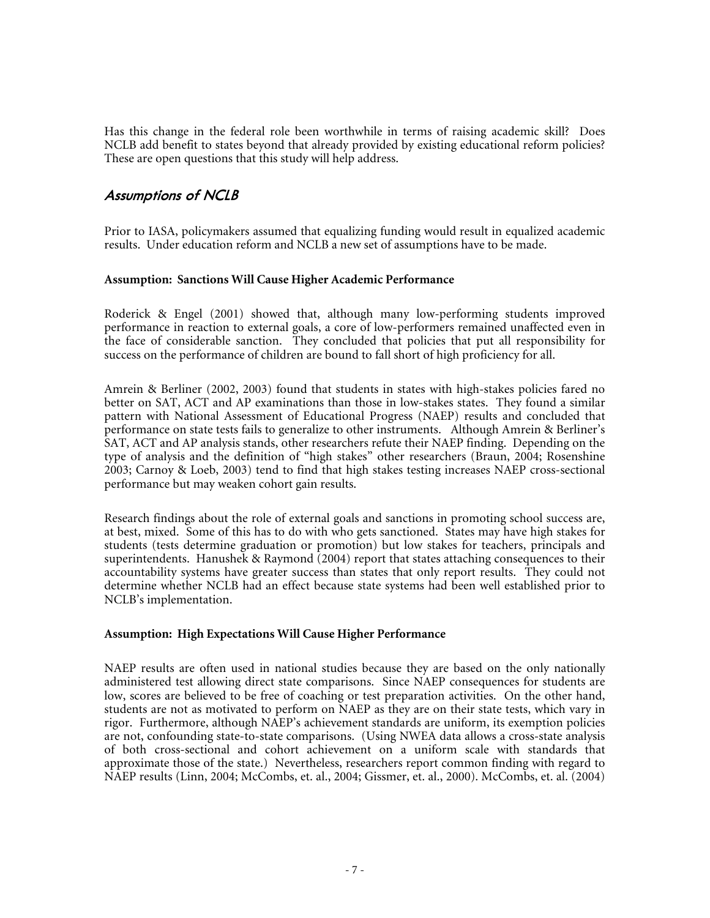Has this change in the federal role been worthwhile in terms of raising academic skill? Does NCLB add benefit to states beyond that already provided by existing educational reform policies? These are open questions that this study will help address.

#### **Assumptions of NCLB**

Prior to IASA, policymakers assumed that equalizing funding would result in equalized academic results. Under education reform and NCLB a new set of assumptions have to be made.

#### **Assumption: Sanctions Will Cause Higher Academic Performance**

Roderick & Engel (2001) showed that, although many low-performing students improved performance in reaction to external goals, a core of low-performers remained unaffected even in the face of considerable sanction. They concluded that policies that put all responsibility for success on the performance of children are bound to fall short of high proficiency for all.

Amrein & Berliner (2002, 2003) found that students in states with high-stakes policies fared no better on SAT, ACT and AP examinations than those in low-stakes states. They found a similar pattern with National Assessment of Educational Progress (NAEP) results and concluded that performance on state tests fails to generalize to other instruments. Although Amrein & Berliner's SAT, ACT and AP analysis stands, other researchers refute their NAEP finding. Depending on the type of analysis and the definition of "high stakes" other researchers (Braun, 2004; Rosenshine 2003; Carnoy & Loeb, 2003) tend to find that high stakes testing increases NAEP cross-sectional performance but may weaken cohort gain results.

Research findings about the role of external goals and sanctions in promoting school success are, at best, mixed. Some of this has to do with who gets sanctioned. States may have high stakes for students (tests determine graduation or promotion) but low stakes for teachers, principals and superintendents. Hanushek & Raymond  $(2004)$  report that states attaching consequences to their accountability systems have greater success than states that only report results. They could not determine whether NCLB had an effect because state systems had been well established prior to NCLB's implementation.

#### **Assumption: High Expectations Will Cause Higher Performance**

NAEP results are often used in national studies because they are based on the only nationally administered test allowing direct state comparisons. Since NAEP consequences for students are low, scores are believed to be free of coaching or test preparation activities. On the other hand, students are not as motivated to perform on NAEP as they are on their state tests, which vary in rigor. Furthermore, although NAEP's achievement standards are uniform, its exemption policies are not, confounding state-to-state comparisons. (Using NWEA data allows a cross-state analysis of both cross-sectional and cohort achievement on a uniform scale with standards that approximate those of the state.) Nevertheless, researchers report common finding with regard to NAEP results (Linn, 2004; McCombs, et. al., 2004; Gissmer, et. al., 2000). McCombs, et. al. (2004)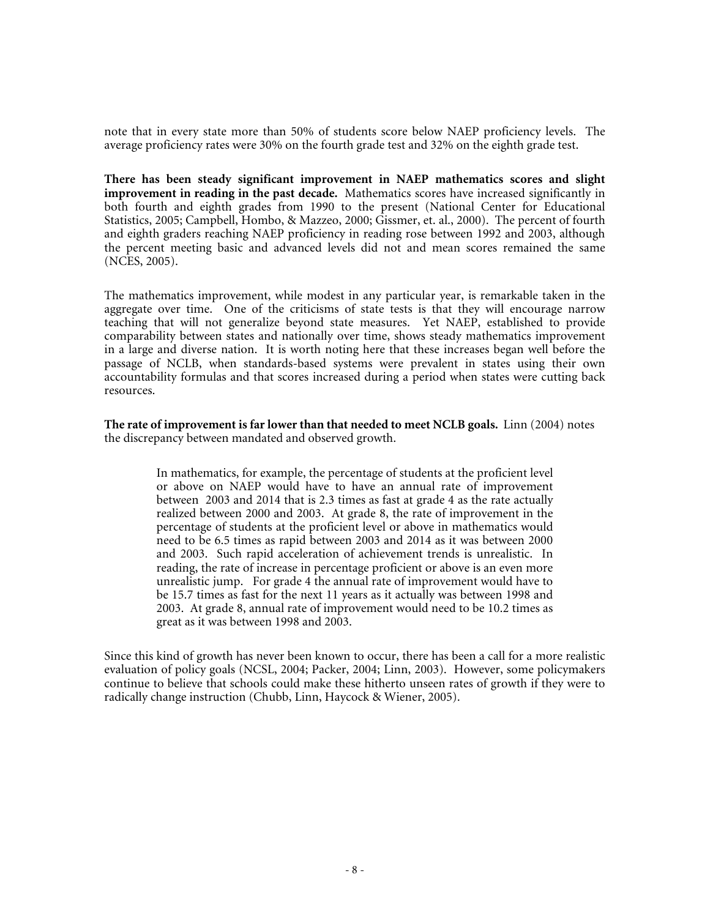note that in every state more than 50% of students score below NAEP proficiency levels. The average proficiency rates were 30% on the fourth grade test and 32% on the eighth grade test.

**There has been steady significant improvement in NAEP mathematics scores and slight improvement in reading in the past decade.** Mathematics scores have increased significantly in both fourth and eighth grades from 1990 to the present (National Center for Educational Statistics, 2005; Campbell, Hombo, & Mazzeo, 2000; Gissmer, et. al., 2000). The percent of fourth and eighth graders reaching NAEP proficiency in reading rose between 1992 and 2003, although the percent meeting basic and advanced levels did not and mean scores remained the same (NCES, 2005).

The mathematics improvement, while modest in any particular year, is remarkable taken in the aggregate over time. One of the criticisms of state tests is that they will encourage narrow teaching that will not generalize beyond state measures. Yet NAEP, established to provide comparability between states and nationally over time, shows steady mathematics improvement in a large and diverse nation. It is worth noting here that these increases began well before the passage of NCLB, when standards-based systems were prevalent in states using their own accountability formulas and that scores increased during a period when states were cutting back resources.

**The rate of improvement is far lower than that needed to meet NCLB goals.** Linn (2004) notes the discrepancy between mandated and observed growth.

> In mathematics, for example, the percentage of students at the proficient level or above on NAEP would have to have an annual rate of improvement between 2003 and 2014 that is 2.3 times as fast at grade 4 as the rate actually realized between 2000 and 2003. At grade 8, the rate of improvement in the percentage of students at the proficient level or above in mathematics would need to be 6.5 times as rapid between 2003 and 2014 as it was between 2000 and 2003. Such rapid acceleration of achievement trends is unrealistic. In reading, the rate of increase in percentage proficient or above is an even more unrealistic jump. For grade 4 the annual rate of improvement would have to be 15.7 times as fast for the next 11 years as it actually was between 1998 and 2003. At grade 8, annual rate of improvement would need to be 10.2 times as great as it was between 1998 and 2003.

Since this kind of growth has never been known to occur, there has been a call for a more realistic evaluation of policy goals (NCSL, 2004; Packer, 2004; Linn, 2003). However, some policymakers continue to believe that schools could make these hitherto unseen rates of growth if they were to radically change instruction (Chubb, Linn, Haycock & Wiener, 2005).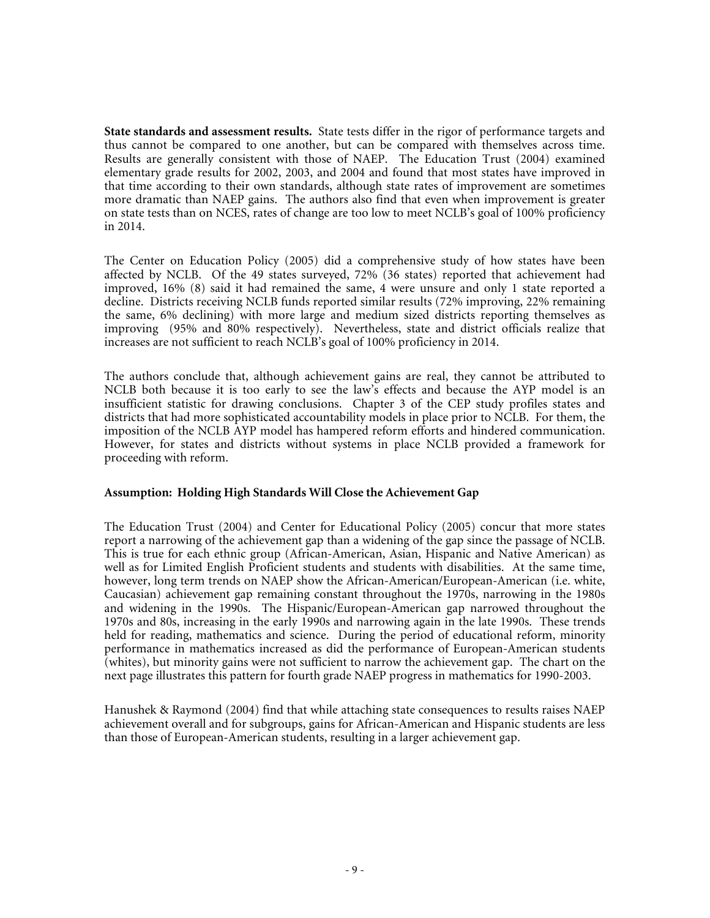**State standards and assessment results.** State tests differ in the rigor of performance targets and thus cannot be compared to one another, but can be compared with themselves across time. Results are generally consistent with those of NAEP. The Education Trust (2004) examined elementary grade results for 2002, 2003, and 2004 and found that most states have improved in that time according to their own standards, although state rates of improvement are sometimes more dramatic than NAEP gains. The authors also find that even when improvement is greater on state tests than on NCES, rates of change are too low to meet NCLB's goal of 100% proficiency in 2014.

The Center on Education Policy (2005) did a comprehensive study of how states have been affected by NCLB. Of the 49 states surveyed, 72% (36 states) reported that achievement had improved, 16% (8) said it had remained the same, 4 were unsure and only 1 state reported a decline. Districts receiving NCLB funds reported similar results (72% improving, 22% remaining the same, 6% declining) with more large and medium sized districts reporting themselves as improving (95% and 80% respectively). Nevertheless, state and district officials realize that increases are not sufficient to reach NCLB's goal of 100% proficiency in 2014.

The authors conclude that, although achievement gains are real, they cannot be attributed to NCLB both because it is too early to see the law's effects and because the AYP model is an insufficient statistic for drawing conclusions. Chapter 3 of the CEP study profiles states and districts that had more sophisticated accountability models in place prior to NCLB. For them, the imposition of the NCLB AYP model has hampered reform efforts and hindered communication. However, for states and districts without systems in place NCLB provided a framework for proceeding with reform.

#### **Assumption: Holding High Standards Will Close the Achievement Gap**

The Education Trust (2004) and Center for Educational Policy (2005) concur that more states report a narrowing of the achievement gap than a widening of the gap since the passage of NCLB. This is true for each ethnic group (African-American, Asian, Hispanic and Native American) as well as for Limited English Proficient students and students with disabilities. At the same time, however, long term trends on NAEP show the African-American/European-American (i.e. white, Caucasian) achievement gap remaining constant throughout the 1970s, narrowing in the 1980s and widening in the 1990s. The Hispanic/European-American gap narrowed throughout the 1970s and 80s, increasing in the early 1990s and narrowing again in the late 1990s. These trends held for reading, mathematics and science. During the period of educational reform, minority performance in mathematics increased as did the performance of European-American students (whites), but minority gains were not sufficient to narrow the achievement gap. The chart on the next page illustrates this pattern for fourth grade NAEP progress in mathematics for 1990-2003.

Hanushek & Raymond (2004) find that while attaching state consequences to results raises NAEP achievement overall and for subgroups, gains for African-American and Hispanic students are less than those of European-American students, resulting in a larger achievement gap.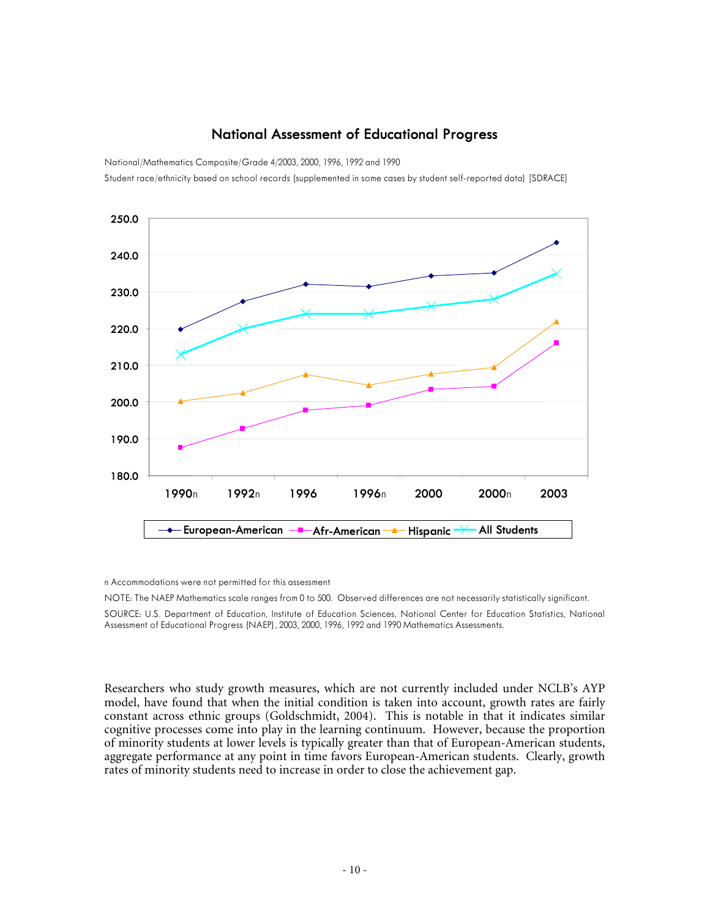#### **National Assessment of Educational Progress**

National/Mathematics Composite/Grade 4/2003, 2000, 1996, 1992 and 1990

Student race/ethnicity based on school records (supplemented in some cases by student self-reported data) [SDRACE]



n Accommodations were not permitted for this assessment

NOTE: The NAEP Mathematics scale ranges from 0 to 500. Observed differences are not necessarily statistically significant.

SOURCE: U.S. Department of Education, Institute of Education Sciences, National Center for Education Statistics, National Assessment of Educational Progress (NAEP), 2003, 2000, 1996, 1992 and 1990 Mathematics Assessments.

Researchers who study growth measures, which are not currently included under NCLB's AYP model, have found that when the initial condition is taken into account, growth rates are fairly constant across ethnic groups (Goldschmidt, 2004). This is notable in that it indicates similar cognitive processes come into play in the learning continuum. However, because the proportion of minority students at lower levels is typically greater than that of European-American students, aggregate performance at any point in time favors European-American students. Clearly, growth rates of minority students need to increase in order to close the achievement gap.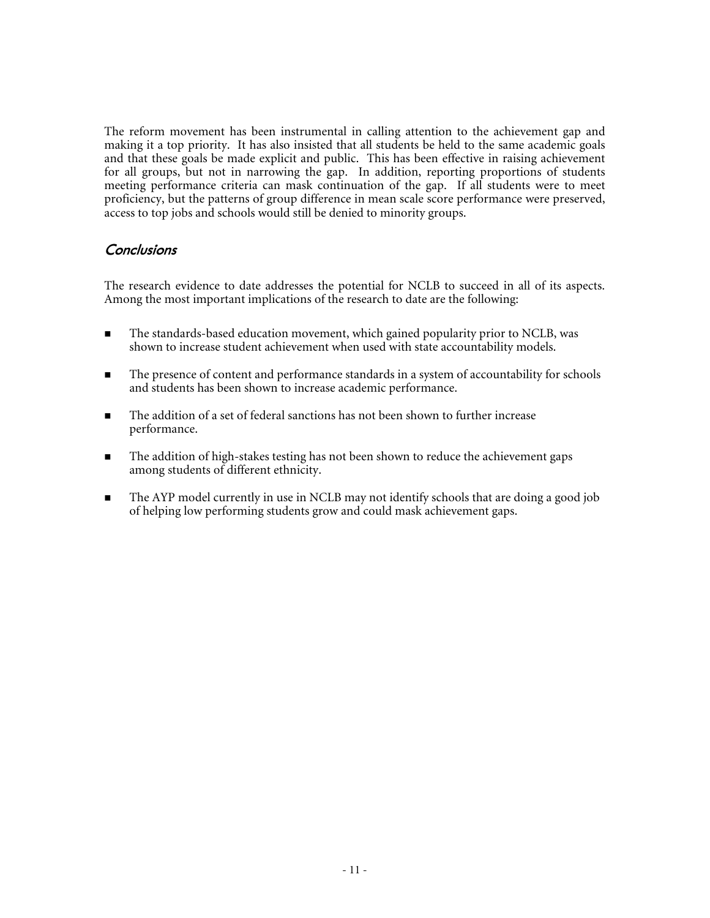The reform movement has been instrumental in calling attention to the achievement gap and making it a top priority. It has also insisted that all students be held to the same academic goals and that these goals be made explicit and public. This has been effective in raising achievement for all groups, but not in narrowing the gap. In addition, reporting proportions of students meeting performance criteria can mask continuation of the gap. If all students were to meet proficiency, but the patterns of group difference in mean scale score performance were preserved, access to top jobs and schools would still be denied to minority groups.

#### **Conclusions**

The research evidence to date addresses the potential for NCLB to succeed in all of its aspects. Among the most important implications of the research to date are the following:

- The standards-based education movement, which gained popularity prior to NCLB, was shown to increase student achievement when used with state accountability models.
- The presence of content and performance standards in a system of accountability for schools and students has been shown to increase academic performance.
- The addition of a set of federal sanctions has not been shown to further increase performance.
- **The addition of high-stakes testing has not been shown to reduce the achievement gaps** among students of different ethnicity.
- The AYP model currently in use in NCLB may not identify schools that are doing a good job of helping low performing students grow and could mask achievement gaps.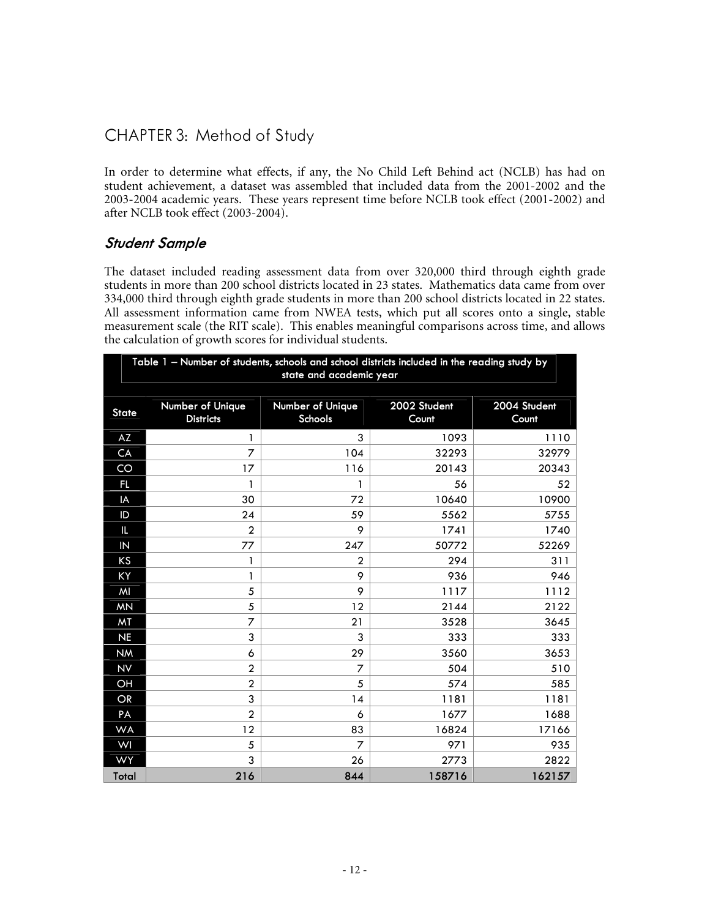## CHAPTER 3: Method of Study

In order to determine what effects, if any, the No Child Left Behind act (NCLB) has had on student achievement, a dataset was assembled that included data from the 2001-2002 and the 2003-2004 academic years. These years represent time before NCLB took effect (2001-2002) and after NCLB took effect (2003-2004).

#### **Student Sample**

The dataset included reading assessment data from over 320,000 third through eighth grade students in more than 200 school districts located in 23 states. Mathematics data came from over 334,000 third through eighth grade students in more than 200 school districts located in 22 states. All assessment information came from NWEA tests, which put all scores onto a single, stable measurement scale (the RIT scale). This enables meaningful comparisons across time, and allows the calculation of growth scores for individual students.

|                | Table 1 - Number of students, schools and school districts included in the reading study by<br>state and academic year |                             |                       |                       |  |  |  |  |  |  |  |  |
|----------------|------------------------------------------------------------------------------------------------------------------------|-----------------------------|-----------------------|-----------------------|--|--|--|--|--|--|--|--|
| <b>State</b>   | Number of Unique<br><b>Districts</b>                                                                                   | Number of Unique<br>Schools | 2002 Student<br>Count | 2004 Student<br>Count |  |  |  |  |  |  |  |  |
| AZ             | 1                                                                                                                      | 3                           | 1093                  | 1110                  |  |  |  |  |  |  |  |  |
| CA             | 7                                                                                                                      | 104                         | 32293                 | 32979                 |  |  |  |  |  |  |  |  |
| CO             | 17                                                                                                                     | 116                         | 20143                 | 20343                 |  |  |  |  |  |  |  |  |
| FL.            | 1                                                                                                                      | 1                           | 56                    | 52                    |  |  |  |  |  |  |  |  |
| IA             | 30                                                                                                                     | 72                          | 10640                 | 10900                 |  |  |  |  |  |  |  |  |
| ID             | 24                                                                                                                     | 59                          | 5562                  | 5755                  |  |  |  |  |  |  |  |  |
| Ш.             | $\overline{2}$                                                                                                         | 9                           | 1741                  | 1740                  |  |  |  |  |  |  |  |  |
| $\overline{N}$ | 77                                                                                                                     | 247                         | 50772                 | 52269                 |  |  |  |  |  |  |  |  |
| KS             | 1                                                                                                                      | $\overline{2}$              | 294                   | 311                   |  |  |  |  |  |  |  |  |
| KY             | 1                                                                                                                      | 9                           | 936                   | 946                   |  |  |  |  |  |  |  |  |
| MI             | 5                                                                                                                      | 9                           | 1117                  | 1112                  |  |  |  |  |  |  |  |  |
| <b>MN</b>      | 5                                                                                                                      | 12                          | 2144                  | 2122                  |  |  |  |  |  |  |  |  |
| MT             | 7                                                                                                                      | 21                          | 3528                  | 3645                  |  |  |  |  |  |  |  |  |
| <b>NE</b>      | 3                                                                                                                      | 3                           | 333                   | 333                   |  |  |  |  |  |  |  |  |
| <b>NM</b>      | 6                                                                                                                      | 29                          | 3560                  | 3653                  |  |  |  |  |  |  |  |  |
| <b>NV</b>      | $\overline{2}$                                                                                                         | 7                           | 504                   | 510                   |  |  |  |  |  |  |  |  |
| OH             | $\overline{2}$                                                                                                         | 5                           | 574                   | 585                   |  |  |  |  |  |  |  |  |
| OR             | 3                                                                                                                      | 14                          | 1181                  | 1181                  |  |  |  |  |  |  |  |  |
| PA             | $\overline{2}$                                                                                                         | 6                           | 1677                  | 1688                  |  |  |  |  |  |  |  |  |
| <b>WA</b>      | 12                                                                                                                     | 83                          | 16824                 | 17166                 |  |  |  |  |  |  |  |  |
| WI             | 5                                                                                                                      | 7                           | 971                   | 935                   |  |  |  |  |  |  |  |  |
| <b>WY</b>      | 3                                                                                                                      | 26                          | 2773                  | 2822                  |  |  |  |  |  |  |  |  |
| Total          | 216                                                                                                                    | 844                         | 158716                | 162157                |  |  |  |  |  |  |  |  |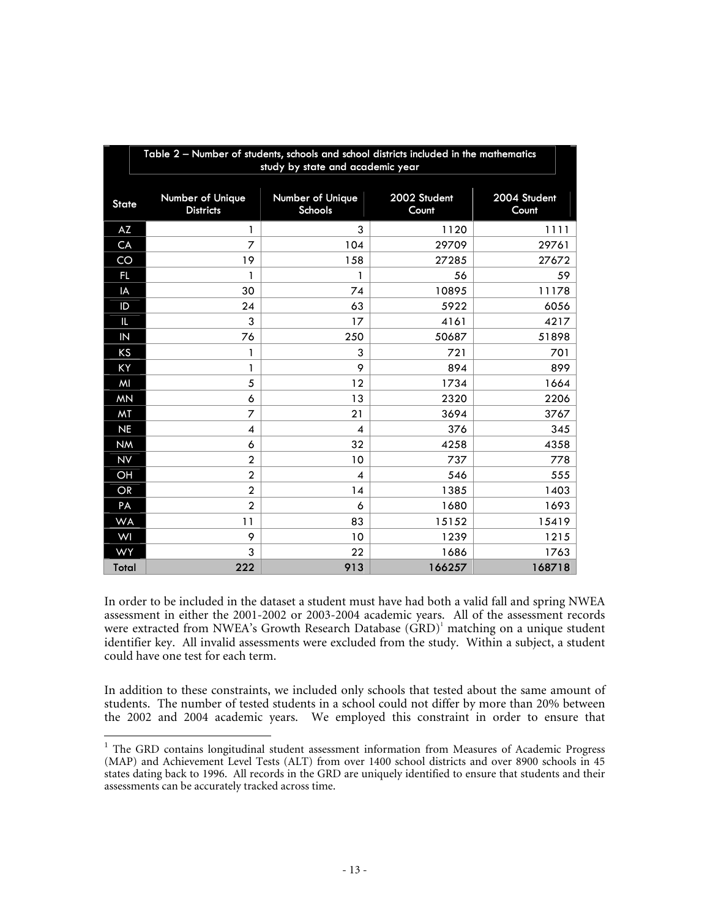|                | Table 2 - Number of students, schools and school districts included in the mathematics<br>study by state and academic year |                             |                       |                       |  |  |  |  |  |  |  |  |
|----------------|----------------------------------------------------------------------------------------------------------------------------|-----------------------------|-----------------------|-----------------------|--|--|--|--|--|--|--|--|
| <b>State</b>   | <b>Number of Unique</b><br><b>Districts</b>                                                                                | Number of Unique<br>Schools | 2002 Student<br>Count | 2004 Student<br>Count |  |  |  |  |  |  |  |  |
| AZ             | 1                                                                                                                          | 3                           | 1120                  | 1111                  |  |  |  |  |  |  |  |  |
| CA             | $\overline{7}$                                                                                                             | 104                         | 29709                 | 29761                 |  |  |  |  |  |  |  |  |
| CO             | 19                                                                                                                         | 158                         | 27285                 | 27672                 |  |  |  |  |  |  |  |  |
| Fl.            | 1                                                                                                                          | 1                           | 56                    | 59                    |  |  |  |  |  |  |  |  |
| IA             | 30                                                                                                                         | 74                          | 10895                 | 11178                 |  |  |  |  |  |  |  |  |
| ID             | 24                                                                                                                         | 63                          | 5922                  | 6056                  |  |  |  |  |  |  |  |  |
| IL.            | 3                                                                                                                          | 17                          | 4161                  | 4217                  |  |  |  |  |  |  |  |  |
| $\overline{N}$ | 76                                                                                                                         | 250                         | 50687                 | 51898                 |  |  |  |  |  |  |  |  |
| KS             | 1                                                                                                                          | 3                           | 721                   | 701                   |  |  |  |  |  |  |  |  |
| KY             | 1                                                                                                                          | 9                           | 894                   | 899                   |  |  |  |  |  |  |  |  |
| MI             | 5                                                                                                                          | 12                          | 1734                  | 1664                  |  |  |  |  |  |  |  |  |
| <b>MN</b>      | 6                                                                                                                          | 13                          | 2320                  | 2206                  |  |  |  |  |  |  |  |  |
| MT             | 7                                                                                                                          | 21                          | 3694                  | 3767                  |  |  |  |  |  |  |  |  |
| <b>NE</b>      | $\overline{\mathcal{A}}$                                                                                                   | $\boldsymbol{\Delta}$       | 376                   | 345                   |  |  |  |  |  |  |  |  |
| <b>NM</b>      | 6                                                                                                                          | 32                          | 4258                  | 4358                  |  |  |  |  |  |  |  |  |
| NV             | $\overline{2}$                                                                                                             | 10                          | 737                   | 778                   |  |  |  |  |  |  |  |  |
| OH             | $\overline{2}$                                                                                                             | $\overline{\mathcal{A}}$    | 546                   | 555                   |  |  |  |  |  |  |  |  |
| <b>OR</b>      | $\overline{2}$                                                                                                             | 14                          | 1385                  | 1403                  |  |  |  |  |  |  |  |  |
| PA             | $\overline{2}$                                                                                                             | 6                           | 1680                  | 1693                  |  |  |  |  |  |  |  |  |
| <b>WA</b>      | 11                                                                                                                         | 83                          | 15152                 | 15419                 |  |  |  |  |  |  |  |  |
| WI             | 9                                                                                                                          | 10                          | 1239                  | 1215                  |  |  |  |  |  |  |  |  |
| <b>WY</b>      | 3                                                                                                                          | 22                          | 1686                  | 1763                  |  |  |  |  |  |  |  |  |
| Total          | 222                                                                                                                        | 913                         | 166257                | 168718                |  |  |  |  |  |  |  |  |

In order to be included in the dataset a student must have had both a valid fall and spring NWEA assessment in either the 2001-2002 or 2003-2004 academic years. All of the assessment records were extracted from NWEA's Growth Research Database (GRD)<sup>1</sup> matching on a unique student identifier key. All invalid assessments were excluded from the study. Within a subject, a student could have one test for each term.

In addition to these constraints, we included only schools that tested about the same amount of students. The number of tested students in a school could not differ by more than 20% between the 2002 and 2004 academic years. We employed this constraint in order to ensure that

 $\overline{a}$ 

<sup>&</sup>lt;sup>1</sup> The GRD contains longitudinal student assessment information from Measures of Academic Progress (MAP) and Achievement Level Tests (ALT) from over 1400 school districts and over 8900 schools in 45 states dating back to 1996. All records in the GRD are uniquely identified to ensure that students and their assessments can be accurately tracked across time.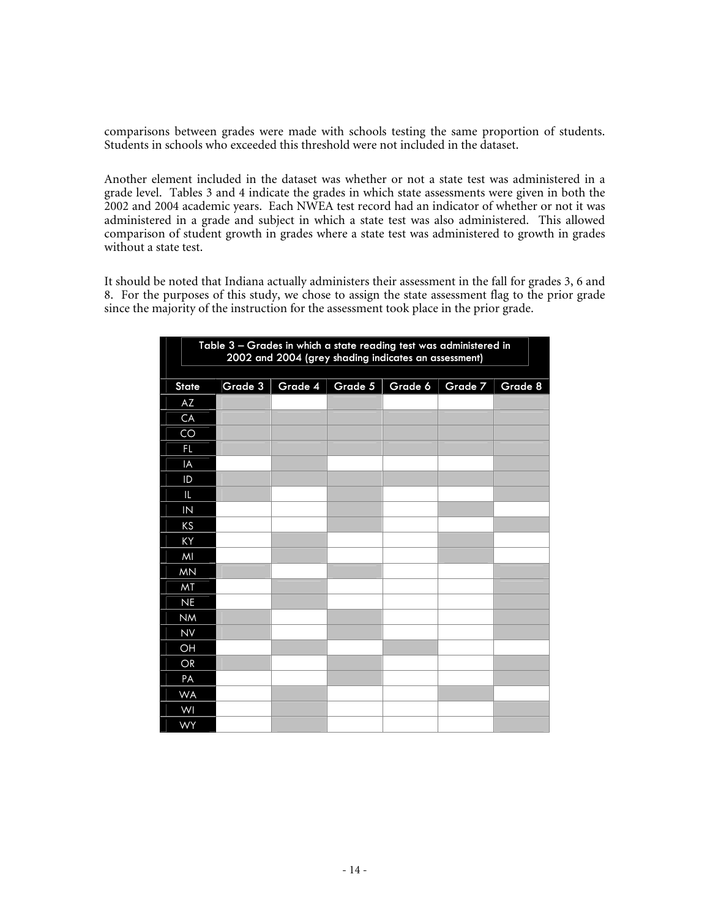comparisons between grades were made with schools testing the same proportion of students. Students in schools who exceeded this threshold were not included in the dataset.

Another element included in the dataset was whether or not a state test was administered in a grade level. Tables 3 and 4 indicate the grades in which state assessments were given in both the 2002 and 2004 academic years. Each NWEA test record had an indicator of whether or not it was administered in a grade and subject in which a state test was also administered. This allowed comparison of student growth in grades where a state test was administered to growth in grades without a state test.

It should be noted that Indiana actually administers their assessment in the fall for grades 3, 6 and 8. For the purposes of this study, we chose to assign the state assessment flag to the prior grade since the majority of the instruction for the assessment took place in the prior grade.

|              | Table 3 - Grades in which a state reading test was administered in<br>2002 and 2004 (grey shading indicates an assessment) |         |         |         |         |         |  |  |  |  |  |  |  |
|--------------|----------------------------------------------------------------------------------------------------------------------------|---------|---------|---------|---------|---------|--|--|--|--|--|--|--|
| <b>State</b> | Grade 3                                                                                                                    | Grade 4 | Grade 5 | Grade 6 | Grade 7 | Grade 8 |  |  |  |  |  |  |  |
| AZ           |                                                                                                                            |         |         |         |         |         |  |  |  |  |  |  |  |
| CA           |                                                                                                                            |         |         |         |         |         |  |  |  |  |  |  |  |
| CO           |                                                                                                                            |         |         |         |         |         |  |  |  |  |  |  |  |
| FL.          |                                                                                                                            |         |         |         |         |         |  |  |  |  |  |  |  |
| IA           |                                                                                                                            |         |         |         |         |         |  |  |  |  |  |  |  |
| ID           |                                                                                                                            |         |         |         |         |         |  |  |  |  |  |  |  |
| IL.          |                                                                                                                            |         |         |         |         |         |  |  |  |  |  |  |  |
| IN           |                                                                                                                            |         |         |         |         |         |  |  |  |  |  |  |  |
| KS           |                                                                                                                            |         |         |         |         |         |  |  |  |  |  |  |  |
| KY           |                                                                                                                            |         |         |         |         |         |  |  |  |  |  |  |  |
| MI           |                                                                                                                            |         |         |         |         |         |  |  |  |  |  |  |  |
| <b>MN</b>    |                                                                                                                            |         |         |         |         |         |  |  |  |  |  |  |  |
| MT           |                                                                                                                            |         |         |         |         |         |  |  |  |  |  |  |  |
| <b>NE</b>    |                                                                                                                            |         |         |         |         |         |  |  |  |  |  |  |  |
| <b>NM</b>    |                                                                                                                            |         |         |         |         |         |  |  |  |  |  |  |  |
| <b>NV</b>    |                                                                                                                            |         |         |         |         |         |  |  |  |  |  |  |  |
| OH           |                                                                                                                            |         |         |         |         |         |  |  |  |  |  |  |  |
| OR           |                                                                                                                            |         |         |         |         |         |  |  |  |  |  |  |  |
| PA           |                                                                                                                            |         |         |         |         |         |  |  |  |  |  |  |  |
| <b>WA</b>    |                                                                                                                            |         |         |         |         |         |  |  |  |  |  |  |  |
| WI           |                                                                                                                            |         |         |         |         |         |  |  |  |  |  |  |  |
| <b>WY</b>    |                                                                                                                            |         |         |         |         |         |  |  |  |  |  |  |  |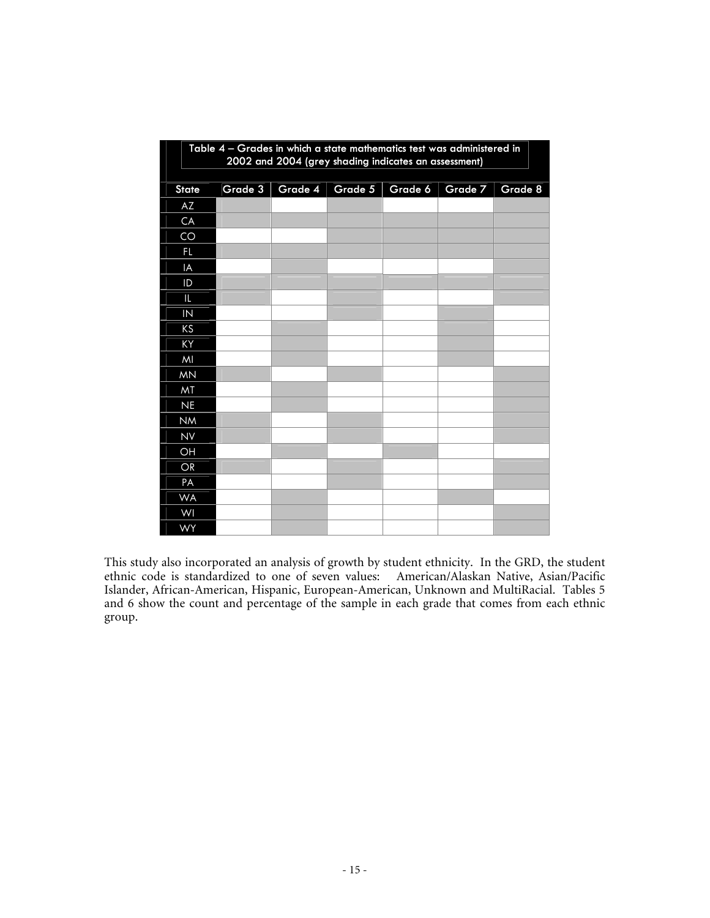|                 | Table 4 - Grades in which a state mathematics test was administered in<br>2002 and 2004 (grey shading indicates an assessment) |         |         |         |         |         |  |  |  |  |  |  |  |
|-----------------|--------------------------------------------------------------------------------------------------------------------------------|---------|---------|---------|---------|---------|--|--|--|--|--|--|--|
| <b>State</b>    | Grade 3                                                                                                                        | Grade 4 | Grade 5 | Grade 6 | Grade 7 | Grade 8 |  |  |  |  |  |  |  |
| AZ              |                                                                                                                                |         |         |         |         |         |  |  |  |  |  |  |  |
| CA              |                                                                                                                                |         |         |         |         |         |  |  |  |  |  |  |  |
| CO              |                                                                                                                                |         |         |         |         |         |  |  |  |  |  |  |  |
| FL.             |                                                                                                                                |         |         |         |         |         |  |  |  |  |  |  |  |
| IA              |                                                                                                                                |         |         |         |         |         |  |  |  |  |  |  |  |
| ID              |                                                                                                                                |         |         |         |         |         |  |  |  |  |  |  |  |
| L               |                                                                                                                                |         |         |         |         |         |  |  |  |  |  |  |  |
| $\overline{N}$  |                                                                                                                                |         |         |         |         |         |  |  |  |  |  |  |  |
| KS              |                                                                                                                                |         |         |         |         |         |  |  |  |  |  |  |  |
| KY              |                                                                                                                                |         |         |         |         |         |  |  |  |  |  |  |  |
| MI              |                                                                                                                                |         |         |         |         |         |  |  |  |  |  |  |  |
| <b>MN</b>       |                                                                                                                                |         |         |         |         |         |  |  |  |  |  |  |  |
| MT              |                                                                                                                                |         |         |         |         |         |  |  |  |  |  |  |  |
| <b>NE</b>       |                                                                                                                                |         |         |         |         |         |  |  |  |  |  |  |  |
| <b>NM</b>       |                                                                                                                                |         |         |         |         |         |  |  |  |  |  |  |  |
| <b>NV</b>       |                                                                                                                                |         |         |         |         |         |  |  |  |  |  |  |  |
| $\overline{OH}$ |                                                                                                                                |         |         |         |         |         |  |  |  |  |  |  |  |
| OR              |                                                                                                                                |         |         |         |         |         |  |  |  |  |  |  |  |
| PA              |                                                                                                                                |         |         |         |         |         |  |  |  |  |  |  |  |
| <b>WA</b>       |                                                                                                                                |         |         |         |         |         |  |  |  |  |  |  |  |
| WI              |                                                                                                                                |         |         |         |         |         |  |  |  |  |  |  |  |
| <b>WY</b>       |                                                                                                                                |         |         |         |         |         |  |  |  |  |  |  |  |

This study also incorporated an analysis of growth by student ethnicity. In the GRD, the student ethnic code is standardized to one of seven values: American/Alaskan Native, Asian/Pacific Islander, African-American, Hispanic, European-American, Unknown and MultiRacial. Tables 5 and 6 show the count and percentage of the sample in each grade that comes from each ethnic group.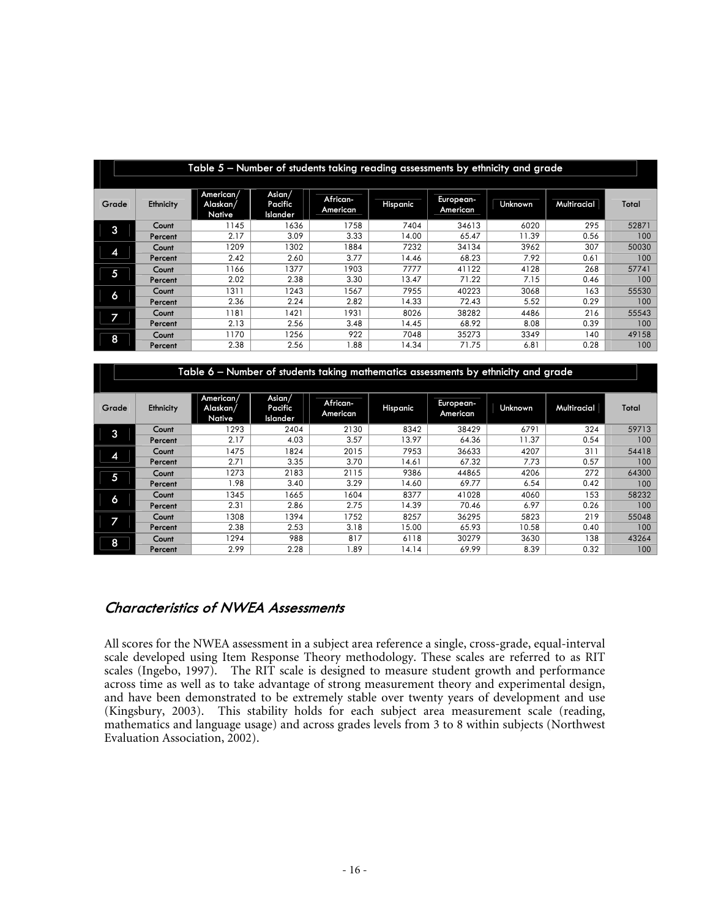|       | Table 5 - Number of students taking reading assessments by ethnicity and grade |                                 |                               |                      |          |                       |                |             |                  |  |  |  |  |  |
|-------|--------------------------------------------------------------------------------|---------------------------------|-------------------------------|----------------------|----------|-----------------------|----------------|-------------|------------------|--|--|--|--|--|
| Grade | Ethnicity                                                                      | American/<br>Alaskan/<br>Native | Asian/<br>Pacific<br>Islander | African-<br>American | Hispanic | European-<br>American | <b>Unknown</b> | Multiracial | Total            |  |  |  |  |  |
| 3     | Count                                                                          | 145                             | 1636                          | 1758                 | 7404     | 34613                 | 6020           | 295         | 52871            |  |  |  |  |  |
|       | Percent                                                                        | 2.17                            | 3.09                          | 3.33                 | 14.00    | 65.47                 | 11.39          | 0.56        | 100              |  |  |  |  |  |
|       | Count                                                                          | 1209                            | 1302                          | 884                  | 7232     | 34134                 | 3962           | 307         | 50030            |  |  |  |  |  |
| 4     | Percent                                                                        | 2.42                            | 2.60                          | 3.77                 | 14.46    | 68.23                 | 7.92           | 0.61        | 100              |  |  |  |  |  |
| 5     | Count                                                                          | 166                             | 377                           | 1903                 | 7777     | 41122                 | 4128           | 268         | 57741            |  |  |  |  |  |
|       | Percent                                                                        | 2.02                            | 2.38                          | 3.30                 | 13.47    | 71.22                 | 7.15           | 0.46        | 100              |  |  |  |  |  |
| 6     | Count                                                                          | 1311                            | 1243                          | 567                  | 7955     | 40223                 | 3068           | 163         | 55530            |  |  |  |  |  |
|       | Percent                                                                        | 2.36                            | 2.24                          | 2.82                 | 14.33    | 72.43                 | 5.52           | 0.29        | 100              |  |  |  |  |  |
|       | Count                                                                          | 181                             | 1421                          | 931                  | 8026     | 38282                 | 4486           | 216         | 55543            |  |  |  |  |  |
|       | Percent                                                                        | 2.13                            | 2.56                          | 3.48                 | 14.45    | 68.92                 | 8.08           | 0.39        | 100              |  |  |  |  |  |
| 8     | Count                                                                          | 1170                            | 1256                          | 922                  | 7048     | 35273                 | 3349           | 140         | 49158            |  |  |  |  |  |
|       | Percent                                                                        | 2.38                            | 2.56                          | 88.1                 | 14.34    | 71.75                 | 6.81           | 0.28        | 100 <sub>1</sub> |  |  |  |  |  |

|                          | Table 6 – Number of students taking mathematics assessments by ethnicity and grade |                                 |                               |                      |          |                       |                |             |       |  |  |  |  |  |
|--------------------------|------------------------------------------------------------------------------------|---------------------------------|-------------------------------|----------------------|----------|-----------------------|----------------|-------------|-------|--|--|--|--|--|
| Grade                    | Ethnicity                                                                          | American/<br>Alaskan/<br>Native | Asian/<br>Pacific<br>Islander | African-<br>American | Hispanic | European-<br>American | <b>Unknown</b> | Multiracial | Total |  |  |  |  |  |
| 3                        | Count                                                                              | 1293                            | 2404                          | 2130                 | 8342     | 38429                 | 6791           | 324         | 59713 |  |  |  |  |  |
|                          | Percent                                                                            | 2.17                            | 4.03                          | 3.57                 | 13.97    | 64.36                 | 11.37          | 0.54        | 100   |  |  |  |  |  |
| 4                        | Count                                                                              | 1475                            | 1824                          | 2015                 | 7953     | 36633                 | 4207           | 311         | 54418 |  |  |  |  |  |
|                          | Percent                                                                            | 2.71                            | 3.35                          | 3.70                 | 14.61    | 67.32                 | 7.73           | 0.57        | 100   |  |  |  |  |  |
| 5                        | Count                                                                              | 1273                            | 2183                          | 2115                 | 9386     | 44865                 | 4206           | 272         | 64300 |  |  |  |  |  |
|                          | Percent                                                                            | 1.98                            | 3.40                          | 3.29                 | 14.60    | 69.77                 | 6.54           | 0.42        | 100   |  |  |  |  |  |
| 6                        | Count                                                                              | 1345                            | 1665                          | 1604                 | 8377     | 41028                 | 4060           | 153         | 58232 |  |  |  |  |  |
|                          | Percent                                                                            | 2.31                            | 2.86                          | 2.75                 | 14.39    | 70.46                 | 6.97           | 0.26        | 100   |  |  |  |  |  |
| $\overline{\phantom{a}}$ | Count                                                                              | 1308                            | 394                           | 1752                 | 8257     | 36295                 | 5823           | 219         | 55048 |  |  |  |  |  |
|                          | Percent                                                                            | 2.38                            | 2.53                          | 3.18                 | 15.00    | 65.93                 | 10.58          | 0.40        | 100   |  |  |  |  |  |
| 8                        | Count                                                                              | 1294                            | 988                           | 817                  | 6118     | 30279                 | 3630           | 138         | 43264 |  |  |  |  |  |
|                          | Percent                                                                            | 2.99                            | 2.28                          | 1.89                 | 14.14    | 69.99                 | 8.39           | 0.32        | 100   |  |  |  |  |  |

#### **Characteristics of NWEA Assessments**

All scores for the NWEA assessment in a subject area reference a single, cross-grade, equal-interval scale developed using Item Response Theory methodology. These scales are referred to as RIT scales (Ingebo, 1997). The RIT scale is designed to measure student growth and performance across time as well as to take advantage of strong measurement theory and experimental design, and have been demonstrated to be extremely stable over twenty years of development and use (Kingsbury, 2003). This stability holds for each subject area measurement scale (reading, mathematics and language usage) and across grades levels from 3 to 8 within subjects (Northwest Evaluation Association, 2002).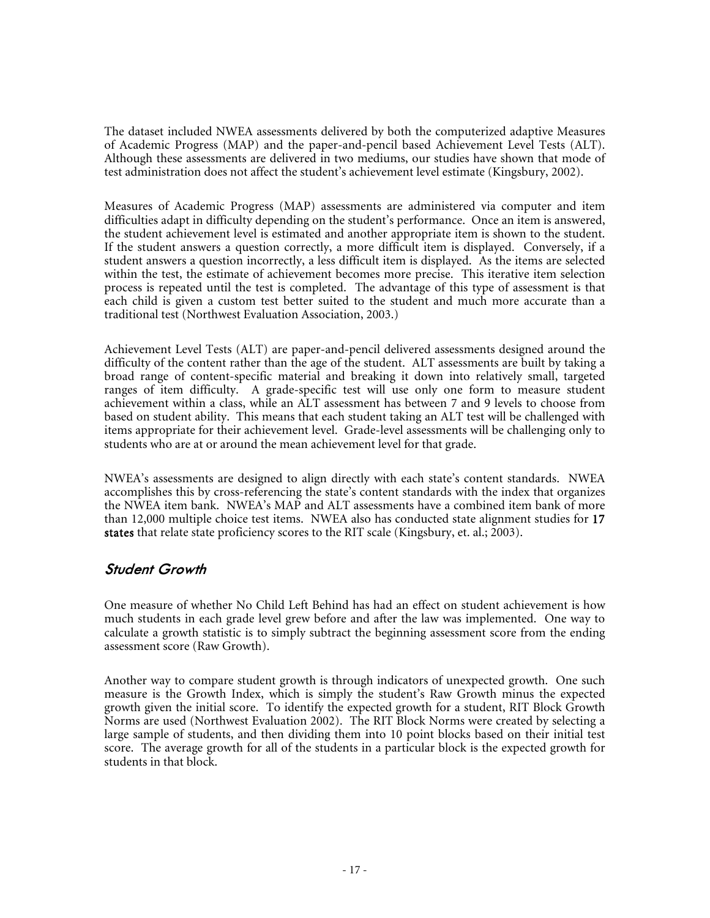The dataset included NWEA assessments delivered by both the computerized adaptive Measures of Academic Progress (MAP) and the paper-and-pencil based Achievement Level Tests (ALT). Although these assessments are delivered in two mediums, our studies have shown that mode of test administration does not affect the student's achievement level estimate (Kingsbury, 2002).

Measures of Academic Progress (MAP) assessments are administered via computer and item difficulties adapt in difficulty depending on the student's performance. Once an item is answered, the student achievement level is estimated and another appropriate item is shown to the student. If the student answers a question correctly, a more difficult item is displayed. Conversely, if a student answers a question incorrectly, a less difficult item is displayed. As the items are selected within the test, the estimate of achievement becomes more precise. This iterative item selection process is repeated until the test is completed. The advantage of this type of assessment is that each child is given a custom test better suited to the student and much more accurate than a traditional test (Northwest Evaluation Association, 2003.)

Achievement Level Tests (ALT) are paper-and-pencil delivered assessments designed around the difficulty of the content rather than the age of the student. ALT assessments are built by taking a broad range of content-specific material and breaking it down into relatively small, targeted ranges of item difficulty. A grade-specific test will use only one form to measure student achievement within a class, while an ALT assessment has between 7 and 9 levels to choose from based on student ability. This means that each student taking an ALT test will be challenged with items appropriate for their achievement level. Grade-level assessments will be challenging only to students who are at or around the mean achievement level for that grade.

NWEA's assessments are designed to align directly with each state's content standards. NWEA accomplishes this by cross-referencing the state's content standards with the index that organizes the NWEA item bank. NWEA's MAP and ALT assessments have a combined item bank of more than 12,000 multiple choice test items. NWEA also has conducted state alignment studies for 17 states that relate state proficiency scores to the RIT scale (Kingsbury, et. al.; 2003).

### **Student Growth**

One measure of whether No Child Left Behind has had an effect on student achievement is how much students in each grade level grew before and after the law was implemented. One way to calculate a growth statistic is to simply subtract the beginning assessment score from the ending assessment score (Raw Growth).

Another way to compare student growth is through indicators of unexpected growth. One such measure is the Growth Index, which is simply the student's Raw Growth minus the expected growth given the initial score. To identify the expected growth for a student, RIT Block Growth Norms are used (Northwest Evaluation 2002). The RIT Block Norms were created by selecting a large sample of students, and then dividing them into 10 point blocks based on their initial test score. The average growth for all of the students in a particular block is the expected growth for students in that block.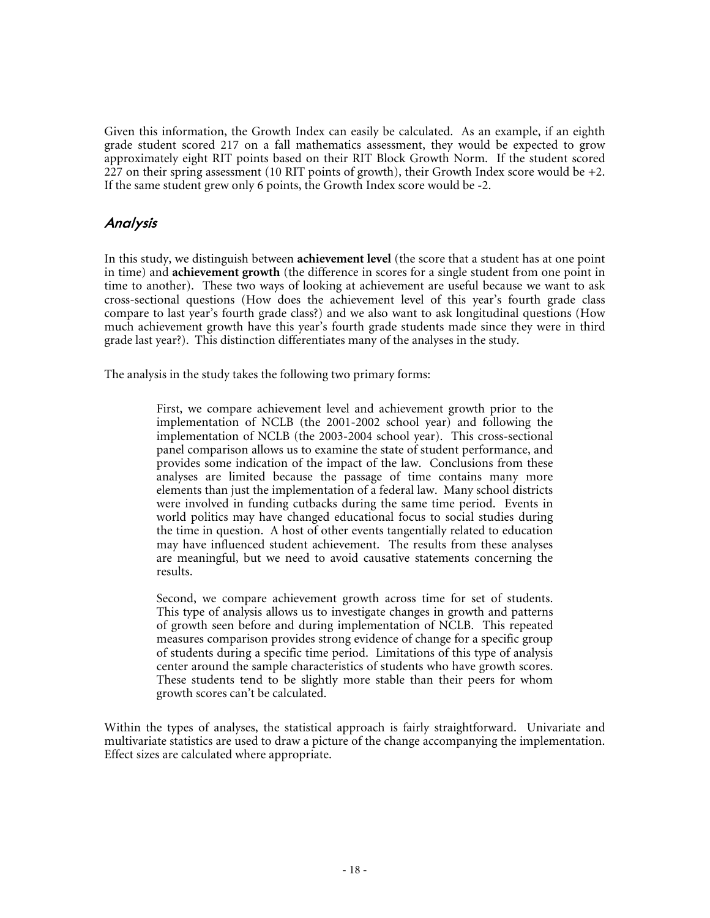Given this information, the Growth Index can easily be calculated. As an example, if an eighth grade student scored 217 on a fall mathematics assessment, they would be expected to grow approximately eight RIT points based on their RIT Block Growth Norm. If the student scored  $227$  on their spring assessment (10 RIT points of growth), their Growth Index score would be +2. If the same student grew only 6 points, the Growth Index score would be -2.

### **Analysis**

In this study, we distinguish between **achievement level** (the score that a student has at one point in time) and **achievement growth** (the difference in scores for a single student from one point in time to another). These two ways of looking at achievement are useful because we want to ask cross-sectional questions (How does the achievement level of this year's fourth grade class compare to last year's fourth grade class?) and we also want to ask longitudinal questions (How much achievement growth have this year's fourth grade students made since they were in third grade last year?). This distinction differentiates many of the analyses in the study.

The analysis in the study takes the following two primary forms:

First, we compare achievement level and achievement growth prior to the implementation of NCLB (the 2001-2002 school year) and following the implementation of NCLB (the 2003-2004 school year). This cross-sectional panel comparison allows us to examine the state of student performance, and provides some indication of the impact of the law. Conclusions from these analyses are limited because the passage of time contains many more elements than just the implementation of a federal law. Many school districts were involved in funding cutbacks during the same time period. Events in world politics may have changed educational focus to social studies during the time in question. A host of other events tangentially related to education may have influenced student achievement. The results from these analyses are meaningful, but we need to avoid causative statements concerning the results.

Second, we compare achievement growth across time for set of students. This type of analysis allows us to investigate changes in growth and patterns of growth seen before and during implementation of NCLB. This repeated measures comparison provides strong evidence of change for a specific group of students during a specific time period. Limitations of this type of analysis center around the sample characteristics of students who have growth scores. These students tend to be slightly more stable than their peers for whom growth scores can't be calculated.

Within the types of analyses, the statistical approach is fairly straightforward. Univariate and multivariate statistics are used to draw a picture of the change accompanying the implementation. Effect sizes are calculated where appropriate.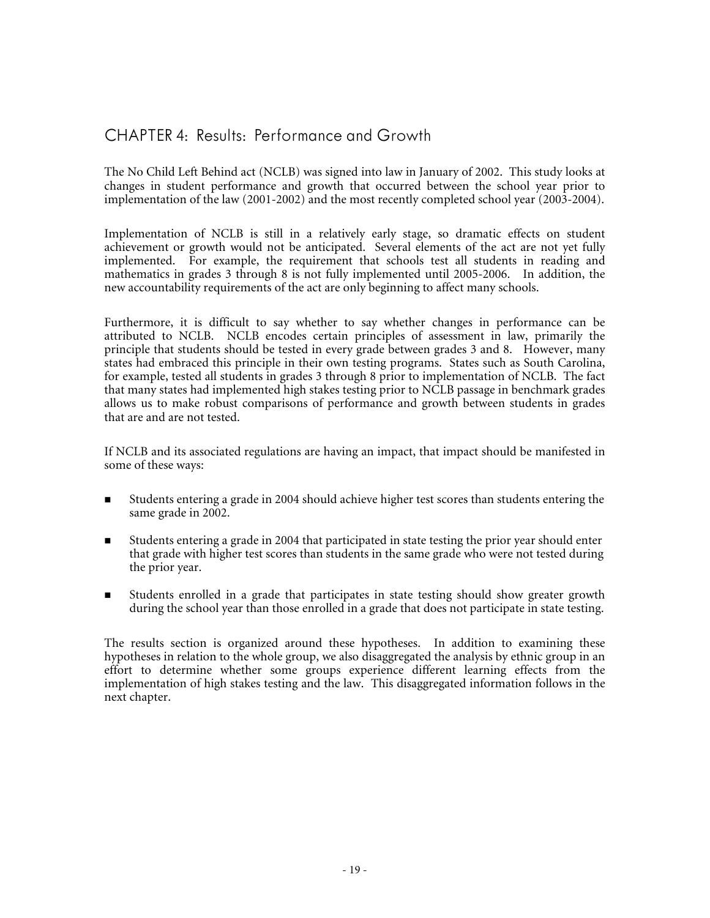## CHAPTER 4: Results: Performance and Growth

The No Child Left Behind act (NCLB) was signed into law in January of 2002. This study looks at changes in student performance and growth that occurred between the school year prior to implementation of the law (2001-2002) and the most recently completed school year (2003-2004).

Implementation of NCLB is still in a relatively early stage, so dramatic effects on student achievement or growth would not be anticipated. Several elements of the act are not yet fully implemented. For example, the requirement that schools test all students in reading and mathematics in grades 3 through 8 is not fully implemented until 2005-2006. In addition, the new accountability requirements of the act are only beginning to affect many schools.

Furthermore, it is difficult to say whether to say whether changes in performance can be attributed to NCLB. NCLB encodes certain principles of assessment in law, primarily the principle that students should be tested in every grade between grades 3 and 8. However, many states had embraced this principle in their own testing programs. States such as South Carolina, for example, tested all students in grades 3 through 8 prior to implementation of NCLB. The fact that many states had implemented high stakes testing prior to NCLB passage in benchmark grades allows us to make robust comparisons of performance and growth between students in grades that are and are not tested.

If NCLB and its associated regulations are having an impact, that impact should be manifested in some of these ways:

- Students entering a grade in 2004 should achieve higher test scores than students entering the same grade in 2002.
- Students entering a grade in 2004 that participated in state testing the prior year should enter that grade with higher test scores than students in the same grade who were not tested during the prior year.
- Students enrolled in a grade that participates in state testing should show greater growth during the school year than those enrolled in a grade that does not participate in state testing.

The results section is organized around these hypotheses. In addition to examining these hypotheses in relation to the whole group, we also disaggregated the analysis by ethnic group in an effort to determine whether some groups experience different learning effects from the implementation of high stakes testing and the law. This disaggregated information follows in the next chapter.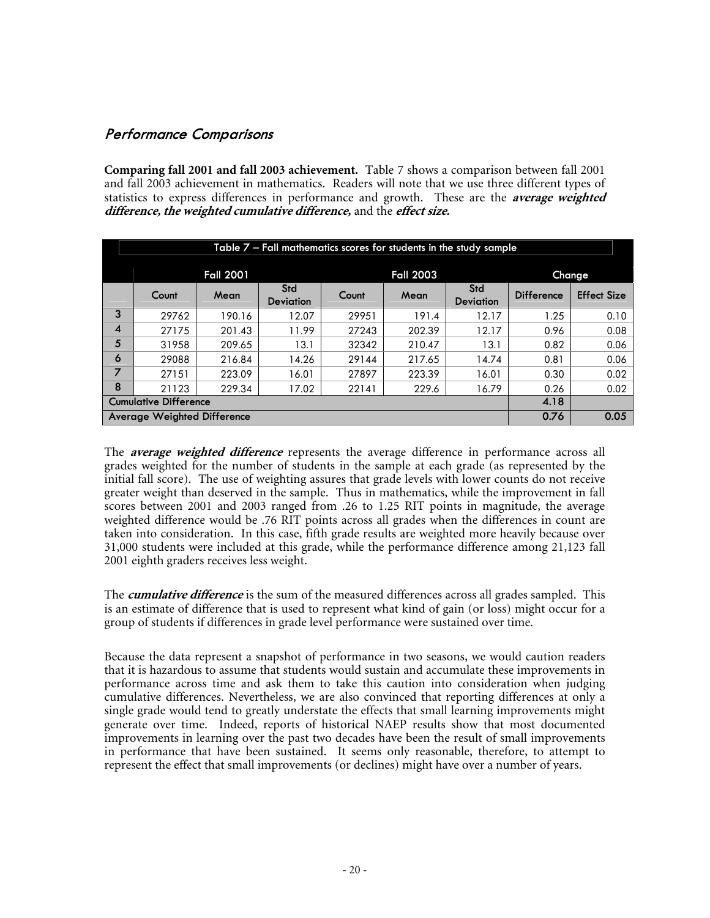### **Performance Comparisons**

**Comparing fall 2001 and fall 2003 achievement.** Table 7 shows a comparison between fall 2001 and fall 2003 achievement in mathematics. Readers will note that we use three different types of statistics to express differences in performance and growth. These are the **average weighted difference, the weighted cumulative difference,**and the **effect size.**

|   | Table $7$ – Fall mathematics scores for students in the study sample                                      |                  |       |       |                  |       |        |      |  |  |  |  |  |
|---|-----------------------------------------------------------------------------------------------------------|------------------|-------|-------|------------------|-------|--------|------|--|--|--|--|--|
|   |                                                                                                           | <b>Fall 2001</b> |       |       | <b>Fall 2003</b> |       | Change |      |  |  |  |  |  |
|   | Std<br>Std<br><b>Difference</b><br>Mean<br>Count<br>Count<br>Mean<br><b>Deviation</b><br><b>Deviation</b> |                  |       |       |                  |       |        |      |  |  |  |  |  |
| 3 | 29762                                                                                                     | 190.16           | 12.07 | 29951 | 191.4            | 12.17 | 1.25   | 0.10 |  |  |  |  |  |
| 4 | 27175                                                                                                     | 201.43           | 11.99 | 27243 | 202.39           | 12.17 | 0.96   | 0.08 |  |  |  |  |  |
| 5 | 31958                                                                                                     | 209.65           | 13.1  | 32342 | 210.47           | 13.1  | 0.82   | 0.06 |  |  |  |  |  |
| 6 | 29088                                                                                                     | 216.84           | 14.26 | 29144 | 217.65           | 14.74 | 0.81   | 0.06 |  |  |  |  |  |
| 7 | 27151                                                                                                     | 223.09           | 16.01 | 27897 | 223.39           | 16.01 | 0.30   | 0.02 |  |  |  |  |  |
| 8 | 21123                                                                                                     | 229.34           | 17.02 | 22141 | 229.6            | 16.79 | 0.26   | 0.02 |  |  |  |  |  |
|   | <b>Cumulative Difference</b>                                                                              |                  |       |       |                  |       | 4.18   |      |  |  |  |  |  |
|   | <b>Average Weighted Difference</b>                                                                        |                  |       |       |                  |       | 0.76   | 0.05 |  |  |  |  |  |

The **average weighted difference** represents the average difference in performance across all grades weighted for the number of students in the sample at each grade (as represented by the initial fall score). The use of weighting assures that grade levels with lower counts do not receive greater weight than deserved in the sample. Thus in mathematics, while the improvement in fall scores between 2001 and 2003 ranged from .26 to 1.25 RIT points in magnitude, the average weighted difference would be .76 RIT points across all grades when the differences in count are taken into consideration. In this case, fifth grade results are weighted more heavily because over 31,000 students were included at this grade, while the performance difference among 21,123 fall 2001 eighth graders receives less weight.

The **cumulative difference**is the sum of the measured differences across all grades sampled. This is an estimate of difference that is used to represent what kind of gain (or loss) might occur for a group of students if differences in grade level performance were sustained over time.

Because the data represent a snapshot of performance in two seasons, we would caution readers that it is hazardous to assume that students would sustain and accumulate these improvements in performance across time and ask them to take this caution into consideration when judging cumulative differences. Nevertheless, we are also convinced that reporting differences at only a single grade would tend to greatly understate the effects that small learning improvements might generate over time. Indeed, reports of historical NAEP results show that most documented improvements in learning over the past two decades have been the result of small improvements in performance that have been sustained. It seems only reasonable, therefore, to attempt to represent the effect that small improvements (or declines) might have over a number of years.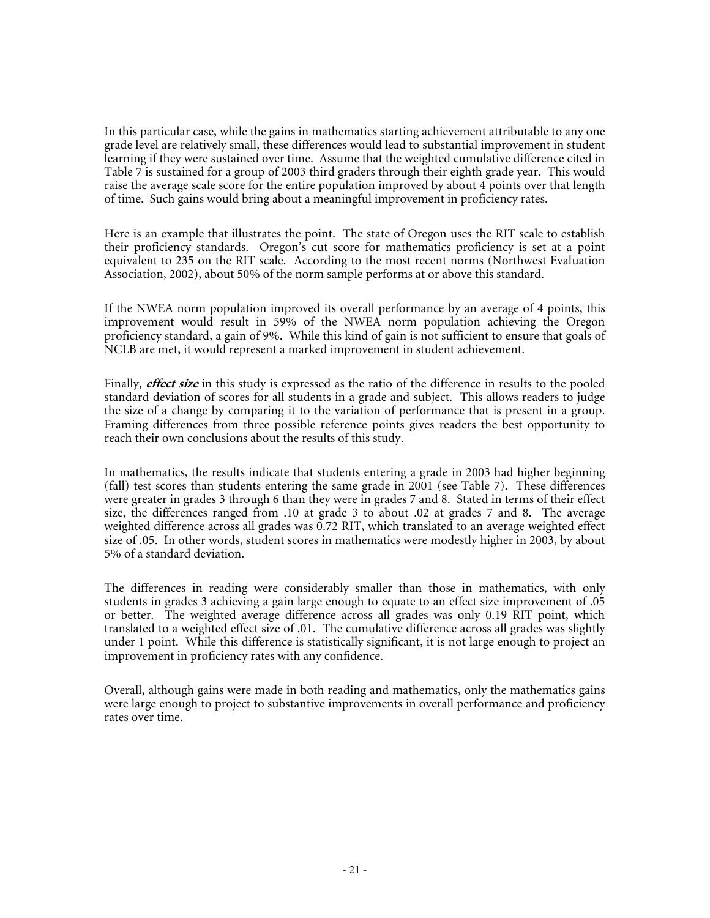In this particular case, while the gains in mathematics starting achievement attributable to any one grade level are relatively small, these differences would lead to substantial improvement in student learning if they were sustained over time. Assume that the weighted cumulative difference cited in Table 7 is sustained for a group of 2003 third graders through their eighth grade year. This would raise the average scale score for the entire population improved by about 4 points over that length of time. Such gains would bring about a meaningful improvement in proficiency rates.

Here is an example that illustrates the point. The state of Oregon uses the RIT scale to establish their proficiency standards. Oregon's cut score for mathematics proficiency is set at a point equivalent to 235 on the RIT scale. According to the most recent norms (Northwest Evaluation Association, 2002), about 50% of the norm sample performs at or above this standard.

If the NWEA norm population improved its overall performance by an average of 4 points, this improvement would result in 59% of the NWEA norm population achieving the Oregon proficiency standard, a gain of 9%. While this kind of gain is not sufficient to ensure that goals of NCLB are met, it would represent a marked improvement in student achievement.

Finally, **effect size** in this study is expressed as the ratio of the difference in results to the pooled standard deviation of scores for all students in a grade and subject. This allows readers to judge the size of a change by comparing it to the variation of performance that is present in a group. Framing differences from three possible reference points gives readers the best opportunity to reach their own conclusions about the results of this study.

In mathematics, the results indicate that students entering a grade in 2003 had higher beginning (fall) test scores than students entering the same grade in 2001 (see Table 7). These differences were greater in grades 3 through 6 than they were in grades 7 and 8. Stated in terms of their effect size, the differences ranged from .10 at grade 3 to about .02 at grades 7 and 8. The average weighted difference across all grades was 0.72 RIT, which translated to an average weighted effect size of .05. In other words, student scores in mathematics were modestly higher in 2003, by about 5% of a standard deviation.

The differences in reading were considerably smaller than those in mathematics, with only students in grades 3 achieving a gain large enough to equate to an effect size improvement of .05 or better. The weighted average difference across all grades was only 0.19 RIT point, which translated to a weighted effect size of .01. The cumulative difference across all grades was slightly under 1 point. While this difference is statistically significant, it is not large enough to project an improvement in proficiency rates with any confidence.

Overall, although gains were made in both reading and mathematics, only the mathematics gains were large enough to project to substantive improvements in overall performance and proficiency rates over time.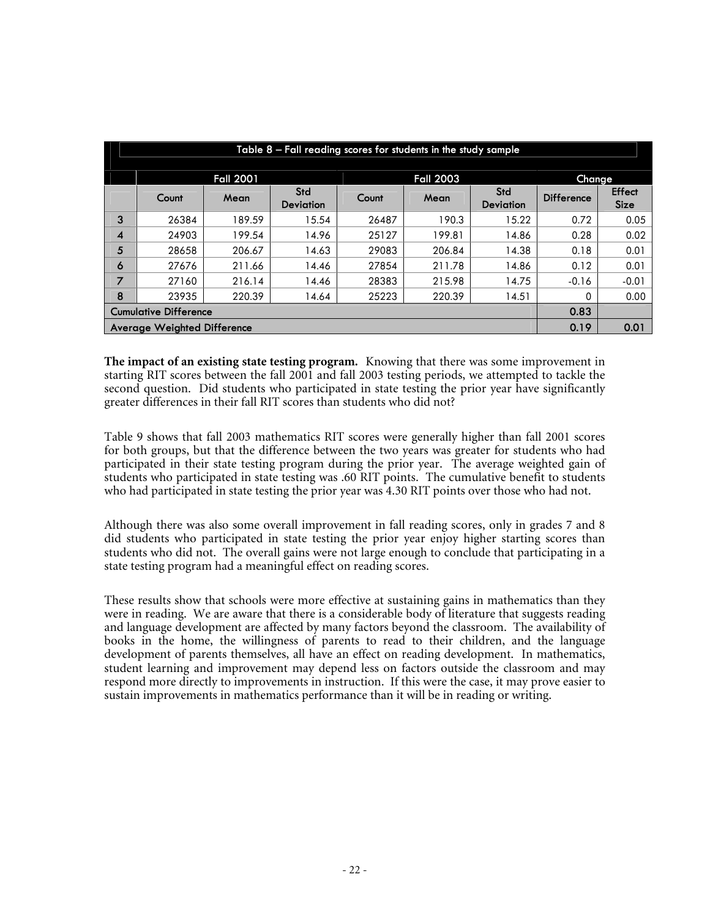|                                      | Table 8 – Fall reading scores for students in the study sample |                  |                         |       |                  |                         |                   |                              |  |  |  |  |  |  |
|--------------------------------------|----------------------------------------------------------------|------------------|-------------------------|-------|------------------|-------------------------|-------------------|------------------------------|--|--|--|--|--|--|
|                                      |                                                                | <b>Fall 2001</b> |                         |       | <b>Fall 2003</b> | Change                  |                   |                              |  |  |  |  |  |  |
|                                      | Count                                                          | Mean             | Std<br><b>Deviation</b> | Count | Mean             | Std<br><b>Deviation</b> | <b>Difference</b> | <b>Effect</b><br><b>Size</b> |  |  |  |  |  |  |
| 3                                    | 26384                                                          | 189.59           | 15.54                   | 26487 | 190.3            | 15.22                   | 0.72              | 0.05                         |  |  |  |  |  |  |
| 4                                    | 24903                                                          | 199.54           | 14.96                   | 25127 | 199.81           | 14.86                   | 0.28              | 0.02                         |  |  |  |  |  |  |
| 5                                    | 28658                                                          | 206.67           | 14.63                   | 29083 | 206.84           | 14.38                   | 0.18              | 0.01                         |  |  |  |  |  |  |
| 6                                    | 27676                                                          | 211.66           | 14.46                   | 27854 | 211.78           | 14.86                   | 0.12              | 0.01                         |  |  |  |  |  |  |
| 7                                    | 27160                                                          | 216.14           | 14.46                   | 28383 | 215.98           | 14.75                   | $-0.16$           | $-0.01$                      |  |  |  |  |  |  |
| 8                                    | 23935                                                          | 220.39           | 14.64                   | 25223 | 220.39           | 14.51                   | 0                 | 0.00                         |  |  |  |  |  |  |
| 0.83<br><b>Cumulative Difference</b> |                                                                |                  |                         |       |                  |                         |                   |                              |  |  |  |  |  |  |
|                                      | <b>Average Weighted Difference</b>                             |                  |                         |       |                  |                         | 0.19              | 0.01                         |  |  |  |  |  |  |

**The impact of an existing state testing program.** Knowing that there was some improvement in starting RIT scores between the fall 2001 and fall 2003 testing periods, we attempted to tackle the second question. Did students who participated in state testing the prior year have significantly greater differences in their fall RIT scores than students who did not?

Table 9 shows that fall 2003 mathematics RIT scores were generally higher than fall 2001 scores for both groups, but that the difference between the two years was greater for students who had participated in their state testing program during the prior year. The average weighted gain of students who participated in state testing was .60 RIT points. The cumulative benefit to students who had participated in state testing the prior year was 4.30 RIT points over those who had not.

Although there was also some overall improvement in fall reading scores, only in grades 7 and 8 did students who participated in state testing the prior year enjoy higher starting scores than students who did not. The overall gains were not large enough to conclude that participating in a state testing program had a meaningful effect on reading scores.

These results show that schools were more effective at sustaining gains in mathematics than they were in reading. We are aware that there is a considerable body of literature that suggests reading and language development are affected by many factors beyond the classroom. The availability of books in the home, the willingness of parents to read to their children, and the language development of parents themselves, all have an effect on reading development. In mathematics, student learning and improvement may depend less on factors outside the classroom and may respond more directly to improvements in instruction. If this were the case, it may prove easier to sustain improvements in mathematics performance than it will be in reading or writing.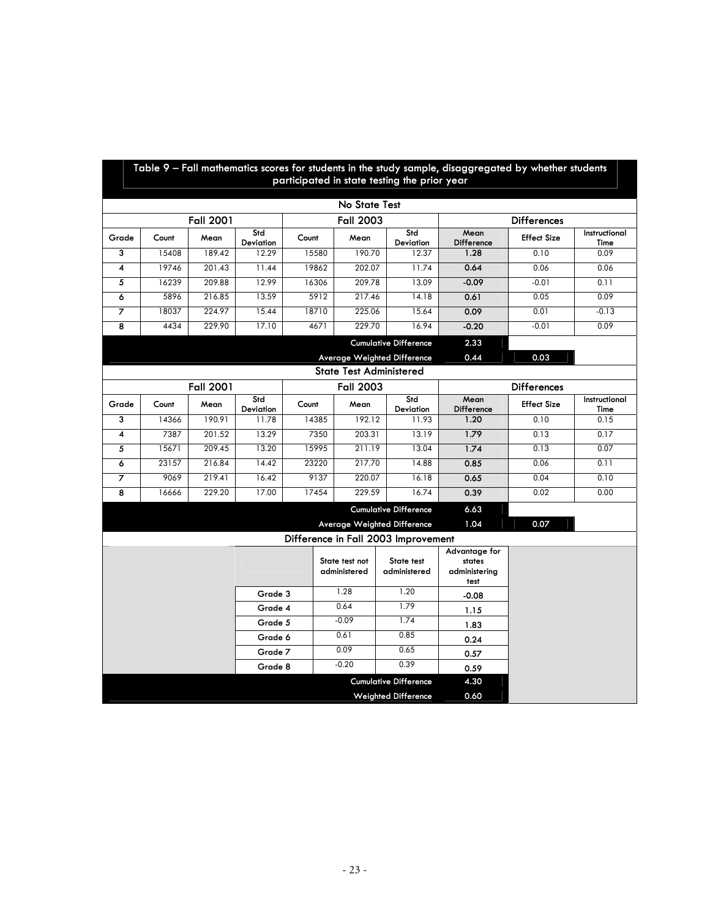|                                             |                                                            |                  |                  |       |                                | participated in state testing the prior year | Table 9 – Fall mathematics scores for students in the study sample, disaggregated by whether students |                    |                       |  |  |  |  |  |
|---------------------------------------------|------------------------------------------------------------|------------------|------------------|-------|--------------------------------|----------------------------------------------|-------------------------------------------------------------------------------------------------------|--------------------|-----------------------|--|--|--|--|--|
|                                             |                                                            |                  |                  |       | No State Test                  |                                              |                                                                                                       |                    |                       |  |  |  |  |  |
|                                             |                                                            | <b>Fall 2001</b> |                  |       | <b>Fall 2003</b>               |                                              |                                                                                                       | <b>Differences</b> |                       |  |  |  |  |  |
|                                             |                                                            |                  | Std              |       |                                | Std                                          | Mean                                                                                                  |                    | Instructional         |  |  |  |  |  |
| Grade                                       | Count                                                      | Mean             | Deviation        | Count | Mean                           | <b>Deviation</b>                             | Difference                                                                                            | <b>Effect Size</b> | Time                  |  |  |  |  |  |
| 3                                           | 15408                                                      | 189.42           | 12.29            | 15580 | 190.70                         | 12.37                                        | 1.28                                                                                                  | 0.10               | 0.09                  |  |  |  |  |  |
| $\overline{\mathbf{4}}$                     | 19746                                                      | 201.43           | 11.44            | 19862 | 202.07                         | 11.74                                        | 0.64                                                                                                  | 0.06               | 0.06                  |  |  |  |  |  |
| 5                                           | 16239                                                      | 209.88           | 12.99            | 16306 | 209.78                         | 13.09                                        | $-0.09$                                                                                               | $-0.01$            | 0.11                  |  |  |  |  |  |
| 6                                           | 5896                                                       | 216.85           | 13.59            | 5912  | 217.46                         | 14.18                                        | 0.61                                                                                                  | 0.05               | 0.09                  |  |  |  |  |  |
| 7                                           | 18037                                                      | 224.97           | 15.44            | 18710 | 225.06                         | 15.64                                        | 0.09                                                                                                  | 0.01               | $-0.13$               |  |  |  |  |  |
| 8                                           | 4434                                                       | 229.90           | 17.10            | 4671  | 229.70                         | 16.94                                        | $-0.20$                                                                                               | $-0.01$            | 0.09                  |  |  |  |  |  |
|                                             |                                                            |                  |                  |       |                                | <b>Cumulative Difference</b>                 | 2.33                                                                                                  |                    |                       |  |  |  |  |  |
| 0.03<br>Average Weighted Difference<br>0.44 |                                                            |                  |                  |       |                                |                                              |                                                                                                       |                    |                       |  |  |  |  |  |
| <b>State Test Administered</b>              |                                                            |                  |                  |       |                                |                                              |                                                                                                       |                    |                       |  |  |  |  |  |
|                                             | <b>Fall 2001</b><br><b>Fall 2003</b><br><b>Differences</b> |                  |                  |       |                                |                                              |                                                                                                       |                    |                       |  |  |  |  |  |
| Grade                                       | Count                                                      | Mean             | Std<br>Deviation | Count | Mean                           | Std<br>Deviation                             | Mean<br>Difference                                                                                    | <b>Effect Size</b> | Instructional<br>Time |  |  |  |  |  |
| 3                                           | 14366                                                      | 190.91           | 11.78            | 14385 | 192.12                         | 11.93                                        | 1.20                                                                                                  | 0.10               | 0.15                  |  |  |  |  |  |
| 4                                           | 7387                                                       | 201.52           | 13.29            | 7350  | 203.31                         | 13.19                                        | 1.79                                                                                                  | 0.13               | 0.17                  |  |  |  |  |  |
| 5                                           | 15671                                                      | 209.45           | 13.20            | 15995 | 211.19                         | 13.04                                        | 1.74                                                                                                  | 0.13               | 0.07                  |  |  |  |  |  |
| 6                                           | 23157                                                      | 216.84           | 14.42            | 23220 | 217.70                         | 14.88                                        | 0.85                                                                                                  | 0.06               | 0.11                  |  |  |  |  |  |
| $\overline{z}$                              | 9069                                                       | 219.41           | 16.42            | 9137  | 220.07                         | 16.18                                        | 0.65                                                                                                  | 0.04               | 0.10                  |  |  |  |  |  |
| 8                                           | 16666                                                      | 229.20           | 17.00            | 17454 | 229.59                         | 16.74                                        | 0.39                                                                                                  | 0.02               | 0.00                  |  |  |  |  |  |
|                                             |                                                            |                  |                  |       |                                | <b>Cumulative Difference</b>                 | 6.63                                                                                                  |                    |                       |  |  |  |  |  |
|                                             |                                                            |                  |                  |       |                                | Average Weighted Difference                  | 1.04                                                                                                  | 0.07               |                       |  |  |  |  |  |
|                                             |                                                            |                  |                  |       |                                | Difference in Fall 2003 Improvement          |                                                                                                       |                    |                       |  |  |  |  |  |
|                                             |                                                            |                  |                  |       | State test not<br>administered | State test<br>administered                   | Advantage for<br>states<br>administering<br>test                                                      |                    |                       |  |  |  |  |  |
|                                             |                                                            |                  | Grade 3          |       | 1.28                           | 1.20                                         | $-0.08$                                                                                               |                    |                       |  |  |  |  |  |
|                                             | Grade 4                                                    |                  |                  |       |                                | 1.79                                         | 1.15                                                                                                  |                    |                       |  |  |  |  |  |
|                                             |                                                            |                  | Grade 5          |       | $-0.09$                        | 1.74                                         | 1.83                                                                                                  |                    |                       |  |  |  |  |  |
|                                             |                                                            |                  | Grade 6          |       | 0.61                           | 0.85                                         | 0.24                                                                                                  |                    |                       |  |  |  |  |  |
|                                             |                                                            |                  | Grade 7          |       | 0.09                           | 0.65                                         | 0.57                                                                                                  |                    |                       |  |  |  |  |  |
|                                             |                                                            |                  | Grade 8          |       | $-0.20$                        | 0.39                                         | 0.59                                                                                                  |                    |                       |  |  |  |  |  |
|                                             |                                                            |                  |                  |       |                                | <b>Cumulative Difference</b>                 | 4.30                                                                                                  |                    |                       |  |  |  |  |  |
|                                             |                                                            |                  |                  |       |                                | <b>Weighted Difference</b>                   | 0.60                                                                                                  |                    |                       |  |  |  |  |  |

# **Table 9 – Fall mathematics scores for students in the study sample, disaggregated by whether students**

Ŧ Г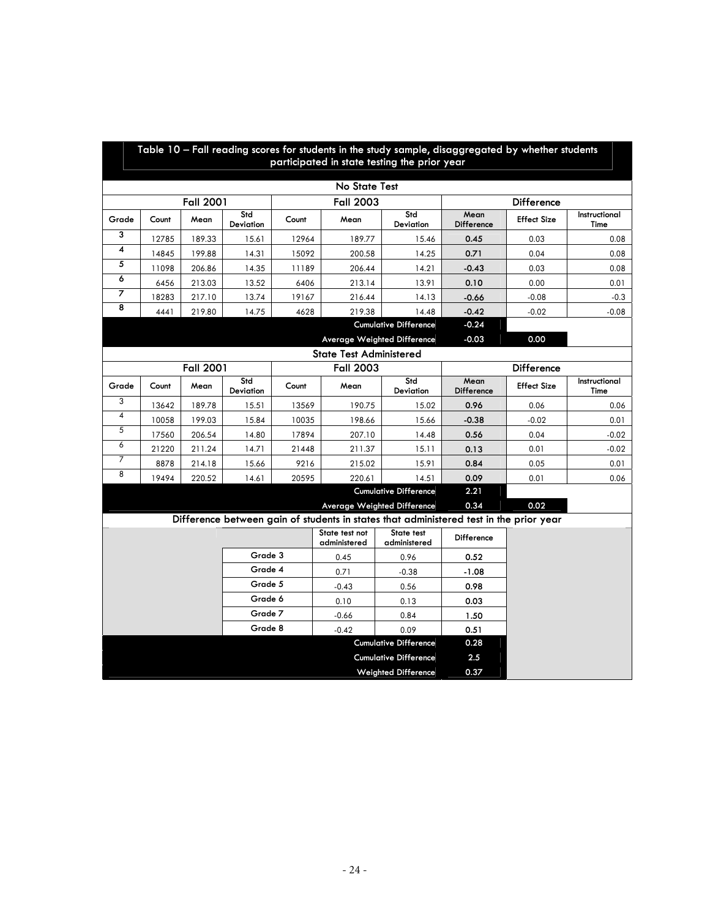|                         | Table 10 - Fall reading scores for students in the study sample, disaggregated by whether students<br>participated in state testing the prior year |                  |                  |       |                                |                                                                                        |                    |                    |                       |  |  |  |  |  |
|-------------------------|----------------------------------------------------------------------------------------------------------------------------------------------------|------------------|------------------|-------|--------------------------------|----------------------------------------------------------------------------------------|--------------------|--------------------|-----------------------|--|--|--|--|--|
|                         | No State Test                                                                                                                                      |                  |                  |       |                                |                                                                                        |                    |                    |                       |  |  |  |  |  |
|                         |                                                                                                                                                    | <b>Fall 2001</b> |                  |       | <b>Fall 2003</b>               |                                                                                        |                    | Difference         |                       |  |  |  |  |  |
| Grade                   | Count                                                                                                                                              | Mean             | Std<br>Deviation | Count | Mean                           | Std<br>Deviation                                                                       | Mean<br>Difference | <b>Effect Size</b> | Instructional<br>Time |  |  |  |  |  |
| 3                       | 12785                                                                                                                                              | 189.33           | 15.61            | 12964 | 189.77                         | 15.46                                                                                  | 0.45               | 0.03               | 0.08                  |  |  |  |  |  |
| $\overline{\mathbf{4}}$ | 14845                                                                                                                                              | 199.88           | 14.31            | 15092 | 200.58                         | 14.25                                                                                  | 0.71               | 0.04               | 0.08                  |  |  |  |  |  |
| 5                       | 11098                                                                                                                                              | 206.86           | 14.35            | 11189 | 206.44                         | 14.21                                                                                  | $-0.43$            | 0.03               | 0.08                  |  |  |  |  |  |
| 6                       | 6456                                                                                                                                               | 213.03           | 13.52            | 6406  | 213.14                         | 13.91                                                                                  | 0.10               | 0.00               | 0.01                  |  |  |  |  |  |
| 7                       | 18283                                                                                                                                              | 217.10           | 13.74            | 19167 | 216.44                         | 14.13                                                                                  | $-0.66$            | $-0.08$            | $-0.3$                |  |  |  |  |  |
| 8                       | 4441                                                                                                                                               | 219.80           | 14.75            | 4628  | 219.38                         | 14.48                                                                                  | $-0.42$            | $-0.02$            | $-0.08$               |  |  |  |  |  |
|                         |                                                                                                                                                    |                  |                  |       |                                |                                                                                        |                    |                    |                       |  |  |  |  |  |
|                         |                                                                                                                                                    |                  |                  |       |                                | Average Weighted Difference                                                            | $-0.03$            | 0.00               |                       |  |  |  |  |  |
|                         |                                                                                                                                                    |                  |                  |       | <b>State Test Administered</b> |                                                                                        |                    |                    |                       |  |  |  |  |  |
|                         | <b>Fall 2001</b><br><b>Fall 2003</b><br>Difference                                                                                                 |                  |                  |       |                                |                                                                                        |                    |                    |                       |  |  |  |  |  |
| Grade                   | Count                                                                                                                                              | Mean             | Std<br>Deviation | Count | Mean                           | Std<br>Deviation                                                                       | Mean<br>Difference | <b>Effect Size</b> | Instructional<br>Time |  |  |  |  |  |
| 3                       | 13642                                                                                                                                              | 189.78           | 15.51            | 13569 | 190.75                         | 15.02                                                                                  | 0.96               | 0.06               | 0.06                  |  |  |  |  |  |
| 4                       | 10058                                                                                                                                              | 199.03           | 15.84            | 10035 | 198.66                         | 15.66                                                                                  | $-0.38$            | $-0.02$            | 0.01                  |  |  |  |  |  |
| 5                       | 17560                                                                                                                                              | 206.54           | 14.80            | 17894 | 207.10                         | 14.48                                                                                  | 0.56               | 0.04               | $-0.02$               |  |  |  |  |  |
| 6                       | 21220                                                                                                                                              | 211.24           | 14.71            | 21448 | 211.37                         | 15.11                                                                                  | 0.13               | 0.01               | $-0.02$               |  |  |  |  |  |
| 7                       | 8878                                                                                                                                               | 214.18           | 15.66            | 9216  | 215.02                         | 15.91                                                                                  | 0.84               | 0.05               | 0.01                  |  |  |  |  |  |
| 8                       | 19494                                                                                                                                              | 220.52           | 14.61            | 20595 | 220.61                         | 14.51                                                                                  | 0.09               | 0.01               | 0.06                  |  |  |  |  |  |
|                         |                                                                                                                                                    |                  |                  |       |                                | <b>Cumulative Difference</b>                                                           | 2.21               |                    |                       |  |  |  |  |  |
|                         |                                                                                                                                                    |                  |                  |       |                                | Average Weighted Difference                                                            | 0.34               | 0.02               |                       |  |  |  |  |  |
|                         |                                                                                                                                                    |                  |                  |       |                                | Difference between gain of students in states that administered test in the prior year |                    |                    |                       |  |  |  |  |  |
|                         |                                                                                                                                                    |                  |                  |       | State test not<br>administered | State test<br>administered                                                             | Difference         |                    |                       |  |  |  |  |  |
|                         |                                                                                                                                                    |                  | Grade 3          |       | 0.45                           | 0.96                                                                                   | 0.52               |                    |                       |  |  |  |  |  |
|                         |                                                                                                                                                    |                  | Grade 4          |       | 0.71                           | $-0.38$                                                                                | $-1.08$            |                    |                       |  |  |  |  |  |
|                         |                                                                                                                                                    |                  | Grade 5          |       | $-0.43$                        | 0.56                                                                                   | 0.98               |                    |                       |  |  |  |  |  |
|                         |                                                                                                                                                    |                  | Grade 6          |       | 0.10                           | 0.13                                                                                   | 0.03               |                    |                       |  |  |  |  |  |
|                         |                                                                                                                                                    |                  | Grade 7          |       | $-0.66$                        | 0.84                                                                                   | 1.50               |                    |                       |  |  |  |  |  |
|                         | Grade 8                                                                                                                                            |                  |                  |       | $-0.42$                        | 0.09                                                                                   | 0.51               |                    |                       |  |  |  |  |  |
|                         |                                                                                                                                                    |                  |                  |       |                                | <b>Cumulative Difference</b>                                                           | 0.28               |                    |                       |  |  |  |  |  |
|                         |                                                                                                                                                    |                  |                  |       |                                | <b>Cumulative Difference</b>                                                           | 2.5                |                    |                       |  |  |  |  |  |
|                         |                                                                                                                                                    |                  |                  |       |                                | <b>Weighted Difference</b>                                                             | 0.37               |                    |                       |  |  |  |  |  |

 $\blacksquare$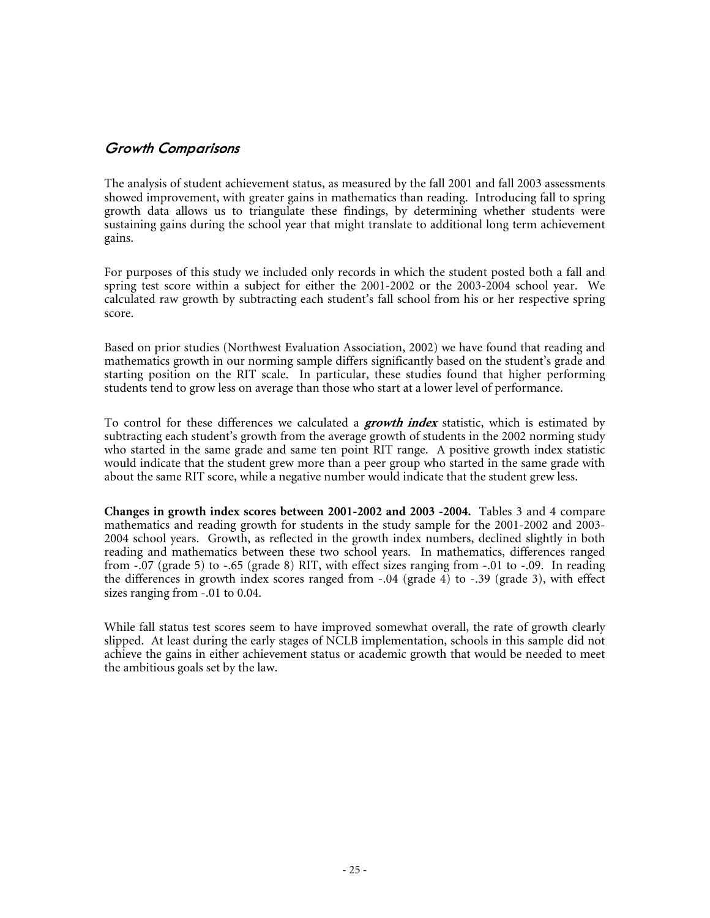#### **Growth Comparisons**

The analysis of student achievement status, as measured by the fall 2001 and fall 2003 assessments showed improvement, with greater gains in mathematics than reading. Introducing fall to spring growth data allows us to triangulate these findings, by determining whether students were sustaining gains during the school year that might translate to additional long term achievement gains.

For purposes of this study we included only records in which the student posted both a fall and spring test score within a subject for either the 2001-2002 or the 2003-2004 school year. We calculated raw growth by subtracting each student's fall school from his or her respective spring score.

Based on prior studies (Northwest Evaluation Association, 2002) we have found that reading and mathematics growth in our norming sample differs significantly based on the student's grade and starting position on the RIT scale. In particular, these studies found that higher performing students tend to grow less on average than those who start at a lower level of performance.

To control for these differences we calculated a **growth index**statistic, which is estimated by subtracting each student's growth from the average growth of students in the 2002 norming study who started in the same grade and same ten point RIT range. A positive growth index statistic would indicate that the student grew more than a peer group who started in the same grade with about the same RIT score, while a negative number would indicate that the student grew less.

**Changes in growth index scores between 2001-2002 and 2003 -2004.** Tables 3 and 4 compare mathematics and reading growth for students in the study sample for the 2001-2002 and 2003- 2004 school years. Growth, as reflected in the growth index numbers, declined slightly in both reading and mathematics between these two school years. In mathematics, differences ranged from  $-0.07$  (grade 5) to  $-65$  (grade 8) RIT, with effect sizes ranging from  $-0.01$  to  $-0.09$ . In reading the differences in growth index scores ranged from  $-.04$  (grade 4) to  $-.39$  (grade 3), with effect sizes ranging from -.01 to 0.04.

While fall status test scores seem to have improved somewhat overall, the rate of growth clearly slipped. At least during the early stages of NCLB implementation, schools in this sample did not achieve the gains in either achievement status or academic growth that would be needed to meet the ambitious goals set by the law.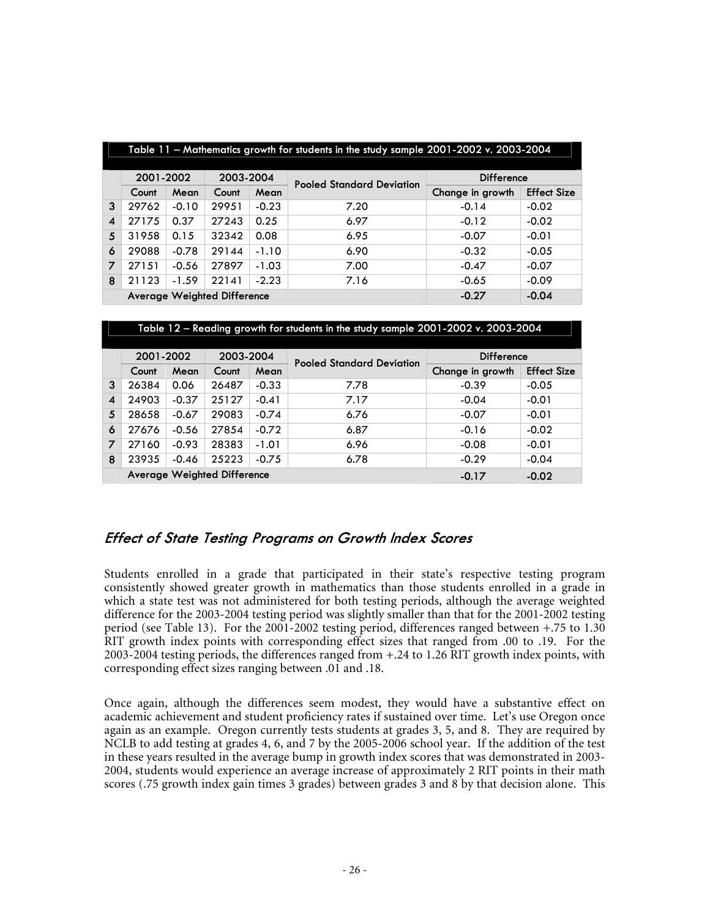|                | Table 11 - Mathematics growth for students in the study sample 2001-2002 v. 2003-2004 |         |                                    |         |                                  |                   |                    |  |  |  |  |  |  |  |
|----------------|---------------------------------------------------------------------------------------|---------|------------------------------------|---------|----------------------------------|-------------------|--------------------|--|--|--|--|--|--|--|
|                | 2001-2002                                                                             |         | 2003-2004                          |         | <b>Pooled Standard Deviation</b> | <b>Difference</b> |                    |  |  |  |  |  |  |  |
|                | Count                                                                                 | Mean    | Count                              | Mean    |                                  | Change in growth  | <b>Effect Size</b> |  |  |  |  |  |  |  |
| 3              | 29762                                                                                 | $-0.10$ | 29951                              | $-0.23$ | 7.20                             | $-0.14$           | $-0.02$            |  |  |  |  |  |  |  |
| 4              | 27175                                                                                 | 0.37    | 27243                              | 0.25    | 6.97                             | $-0.12$           | $-0.02$            |  |  |  |  |  |  |  |
| 5              | 31958                                                                                 | 0.15    | 32342                              | 0.08    | 6.95                             | $-0.07$           | $-0.01$            |  |  |  |  |  |  |  |
| 6              | 29088                                                                                 | $-0.78$ | 29144                              | $-1.10$ | 6.90                             | $-0.32$           | $-0.05$            |  |  |  |  |  |  |  |
| $\overline{z}$ | 27151                                                                                 | $-0.56$ | 27897                              | $-1.03$ | 7.00                             | $-0.47$           | $-0.07$            |  |  |  |  |  |  |  |
| 8              | 21123                                                                                 | $-1.59$ | 22141                              | $-2.23$ | 7.16                             | $-0.65$           | $-0.09$            |  |  |  |  |  |  |  |
|                |                                                                                       |         | <b>Average Weighted Difference</b> |         |                                  | $-0.27$           | $-0.04$            |  |  |  |  |  |  |  |

| Table 12 – Reading growth for students in the study sample 2001-2002 v. 2003-2004 |                                                          |         |                  |         |                                  |                   |                    |  |  |
|-----------------------------------------------------------------------------------|----------------------------------------------------------|---------|------------------|---------|----------------------------------|-------------------|--------------------|--|--|
|                                                                                   | 2001-2002                                                |         | 2003-2004        |         | <b>Pooled Standard Deviation</b> | <b>Difference</b> |                    |  |  |
|                                                                                   | Count                                                    | Mean    | Count            | Mean    |                                  | Change in growth  | <b>Effect Size</b> |  |  |
| 3                                                                                 | 26384                                                    | 0.06    | 26487            | $-0.33$ | 7.78                             | $-0.39$           | $-0.05$            |  |  |
| $\boldsymbol{4}$                                                                  | 24903                                                    | $-0.37$ | 25127            | $-0.41$ | 7.17                             | $-0.04$           | $-0.01$            |  |  |
| 5                                                                                 | 28658                                                    | $-0.67$ | 29083            | $-0.74$ | 6.76                             | $-0.07$           | $-0.01$            |  |  |
| 6                                                                                 | 27676                                                    | $-0.56$ | 27854<br>$-0.72$ |         | 6.87                             | $-0.16$           | $-0.02$            |  |  |
| $\overline{z}$                                                                    | 27160                                                    | $-0.93$ | 28383            | $-1.01$ | 6.96                             | $-0.08$           | $-0.01$            |  |  |
| 8                                                                                 | 23935                                                    | $-0.46$ | 25223            | $-0.75$ | 6.78                             | $-0.29$           | $-0.04$            |  |  |
|                                                                                   | <b>Average Weighted Difference</b><br>$-0.02$<br>$-0.17$ |         |                  |         |                                  |                   |                    |  |  |

#### **Effect of State Testing Programs on Growth Index Scores**

Students enrolled in a grade that participated in their state's respective testing program consistently showed greater growth in mathematics than those students enrolled in a grade in which a state test was not administered for both testing periods, although the average weighted difference for the 2003-2004 testing period was slightly smaller than that for the 2001-2002 testing period (see Table 13). For the 2001-2002 testing period, differences ranged between +.75 to 1.30 RIT growth index points with corresponding effect sizes that ranged from .00 to .19. For the 2003-2004 testing periods, the differences ranged from +.24 to 1.26 RIT growth index points, with corresponding effect sizes ranging between .01 and .18.

Once again, although the differences seem modest, they would have a substantive effect on academic achievement and student proficiency rates if sustained over time. Let's use Oregon once again as an example. Oregon currently tests students at grades 3, 5, and 8. They are required by NCLB to add testing at grades 4, 6, and 7 by the 2005-2006 school year. If the addition of the test in these years resulted in the average bump in growth index scores that was demonstrated in 2003- 2004, students would experience an average increase of approximately 2 RIT points in their math scores (.75 growth index gain times 3 grades) between grades 3 and 8 by that decision alone. This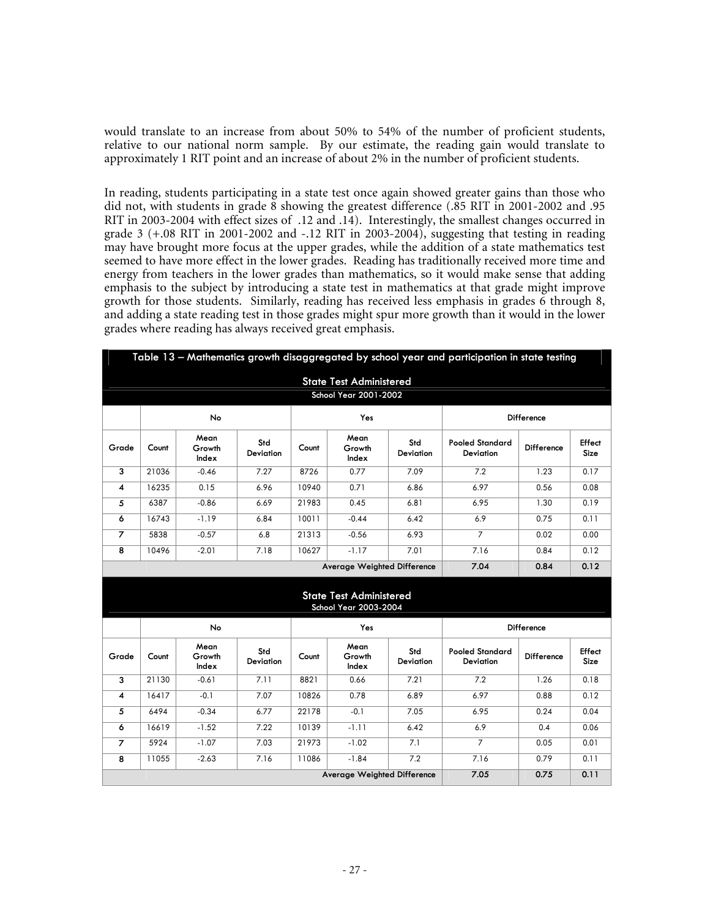would translate to an increase from about 50% to 54% of the number of proficient students, relative to our national norm sample. By our estimate, the reading gain would translate to approximately 1 RIT point and an increase of about 2% in the number of proficient students.

In reading, students participating in a state test once again showed greater gains than those who did not, with students in grade 8 showing the greatest difference (.85 RIT in 2001-2002 and .95 RIT in 2003-2004 with effect sizes of .12 and .14). Interestingly, the smallest changes occurred in grade 3  $(+.08$  RIT in 2001-2002 and  $-.12$  RIT in 2003-2004), suggesting that testing in reading may have brought more focus at the upper grades, while the addition of a state mathematics test seemed to have more effect in the lower grades. Reading has traditionally received more time and energy from teachers in the lower grades than mathematics, so it would make sense that adding emphasis to the subject by introducing a state test in mathematics at that grade might improve growth for those students. Similarly, reading has received less emphasis in grades 6 through 8, and adding a state reading test in those grades might spur more growth than it would in the lower grades where reading has always received great emphasis.

|                | Table 13 - Mathematics growth disaggregated by school year and participation in state testing |                         |                         |       |                                                         |                         |                                            |            |                       |  |
|----------------|-----------------------------------------------------------------------------------------------|-------------------------|-------------------------|-------|---------------------------------------------------------|-------------------------|--------------------------------------------|------------|-----------------------|--|
|                |                                                                                               |                         |                         |       | <b>State Test Administered</b><br>School Year 2001-2002 |                         |                                            |            |                       |  |
|                |                                                                                               | No                      |                         | Yes   |                                                         |                         | Difference                                 |            |                       |  |
| Grade          | Count                                                                                         | Mean<br>Growth<br>Index | Std<br><b>Deviation</b> | Count | Mean<br>Growth<br>Index                                 | Std<br><b>Deviation</b> | <b>Pooled Standard</b><br><b>Deviation</b> | Difference | Effect<br>Size        |  |
| 3              | 21036                                                                                         | $-0.46$                 | 7.27                    | 8726  | 0.77                                                    | 7.09                    | 7.2                                        | 1.23       | 0.17                  |  |
| 4              | 16235                                                                                         | 0.15                    | 6.96                    | 10940 | 0.71                                                    | 6.86                    | 6.97                                       | 0.56       | 0.08                  |  |
| 5              | 6387                                                                                          | $-0.86$                 | 6.69                    | 21983 | 0.45                                                    | 6.81                    | 6.95                                       | 1.30       | 0.19                  |  |
| 6              | 16743                                                                                         | $-1.19$                 | 6.84                    | 10011 | $-0.44$                                                 | 6.42                    | 6.9                                        | 0.75       | 0.11                  |  |
| $\overline{z}$ | 5838                                                                                          | $-0.57$                 | 6.8                     | 21313 | $-0.56$                                                 | 6.93                    | $\overline{7}$                             | 0.02       | 0.00                  |  |
| 8              | 10496                                                                                         | $-2.01$                 | 7.18                    | 10627 | $-1.17$                                                 | 7.01                    | 7.16                                       | 0.84       | 0.12                  |  |
|                |                                                                                               |                         |                         |       | <b>Average Weighted Difference</b>                      |                         | 7.04                                       | 0.84       | 0.12                  |  |
|                |                                                                                               |                         |                         |       | <b>State Test Administered</b><br>School Year 2003-2004 |                         |                                            |            |                       |  |
|                | No<br>Yes                                                                                     |                         |                         |       |                                                         |                         | Difference                                 |            |                       |  |
| Grade          | Count                                                                                         | Mean<br>Growth<br>Index | Std<br><b>Deviation</b> | Count | Mean<br>Growth<br>Index                                 | Std<br><b>Deviation</b> | <b>Pooled Standard</b><br><b>Deviation</b> | Difference | Effect<br><b>Size</b> |  |
| 3              | 21130                                                                                         | $-0.61$                 | 7.11                    | 8821  | 0.66                                                    | 7.21                    | 7.2                                        | 1.26       | 0.18                  |  |
| 4              | 16417                                                                                         | $-0.1$                  | 7.07                    | 10826 | 0.78                                                    | 6.89                    | 6.97                                       | 0.88       | 0.12                  |  |
| 5              | 6494                                                                                          | $-0.34$                 | 6.77                    | 22178 | $-0.1$                                                  | 7.05                    | 6.95                                       | 0.24       | 0.04                  |  |
| 6              | 16619                                                                                         | $-1.52$                 | 7.22                    | 10139 | $-1.11$                                                 | 6.42                    | 6.9                                        | 0.4        | 0.06                  |  |
| $\overline{7}$ | 5924                                                                                          | $-1.07$                 | 7.03                    | 21973 | $-1.02$                                                 | 7.1                     | $\overline{7}$                             | 0.05       | 0.01                  |  |
| 8              | 11055                                                                                         | $-2.63$                 | 7.16                    | 11086 | $-1.84$                                                 | 7.2                     | 7.16                                       | 0.79       | 0.11                  |  |
|                |                                                                                               |                         |                         |       | <b>Average Weighted Difference</b>                      |                         | 7.05                                       | 0.75       | 0.11                  |  |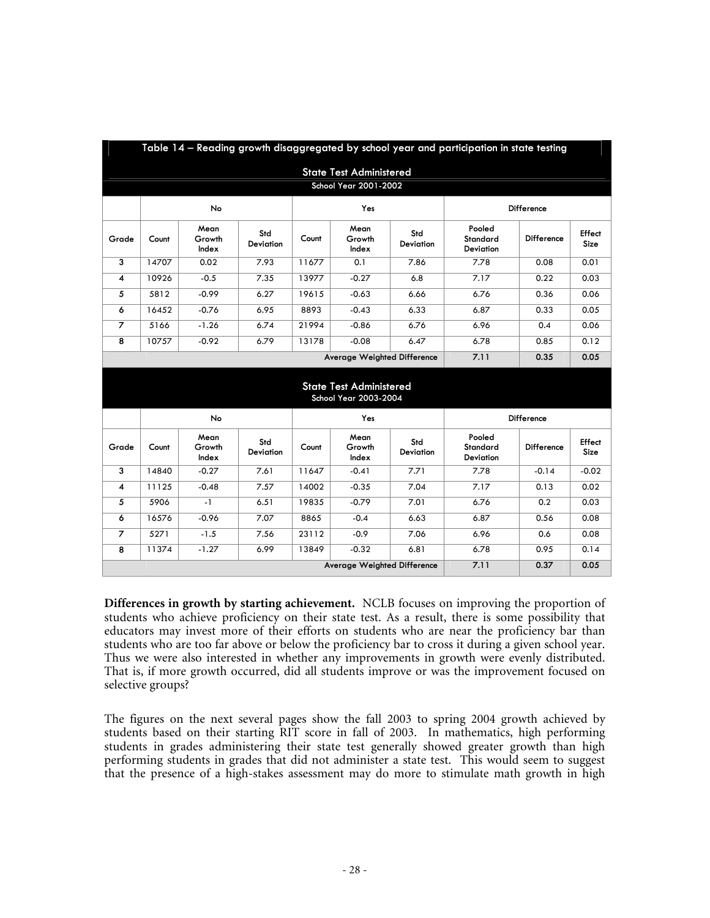| Table 14 - Reading growth disaggregated by school year and participation in state testing |                                                         |                         |                         |       |                         |                  |                                 |                   |                |
|-------------------------------------------------------------------------------------------|---------------------------------------------------------|-------------------------|-------------------------|-------|-------------------------|------------------|---------------------------------|-------------------|----------------|
| <b>State Test Administered</b>                                                            |                                                         |                         |                         |       |                         |                  |                                 |                   |                |
| School Year 2001-2002                                                                     |                                                         |                         |                         |       |                         |                  |                                 |                   |                |
|                                                                                           | No                                                      |                         |                         | Yes   |                         |                  | <b>Difference</b>               |                   |                |
| Grade                                                                                     | Count                                                   | Mean<br>Growth<br>Index | Std<br><b>Deviation</b> | Count | Mean<br>Growth<br>Index | Std<br>Deviation | Pooled<br>Standard<br>Deviation | <b>Difference</b> | Effect<br>Size |
| 3                                                                                         | 14707                                                   | 0.02                    | 7.93                    | 11677 | 0.1                     | 7.86             | 7.78                            | 0.08              | 0.01           |
| 4                                                                                         | 10926                                                   | $-0.5$                  | 7.35                    | 13977 | $-0.27$                 | 6.8              | 7.17                            | 0.22              | 0.03           |
| 5                                                                                         | 5812                                                    | $-0.99$                 | 6.27                    | 19615 | $-0.63$                 | 6.66             | 6.76                            | 0.36              | 0.06           |
| 6                                                                                         | 16452                                                   | $-0.76$                 | 6.95                    | 8893  | $-0.43$                 | 6.33             | 6.87                            | 0.33              | 0.05           |
| $\overline{z}$                                                                            | 5166                                                    | $-1.26$                 | 6.74                    | 21994 | $-0.86$                 | 6.76             | 6.96                            | 0.4               | 0.06           |
| 8                                                                                         | 10757                                                   | $-0.92$                 | 6.79                    | 13178 | $-0.08$                 | 6.47             | 6.78                            | 0.85              | 0.12           |
|                                                                                           | <b>Average Weighted Difference</b>                      |                         |                         |       |                         |                  | 7.11                            | 0.35              | 0.05           |
|                                                                                           | <b>State Test Administered</b><br>School Year 2003-2004 |                         |                         |       |                         |                  |                                 |                   |                |
|                                                                                           | No                                                      |                         |                         | Yes   |                         |                  | <b>Difference</b>               |                   |                |
| Grade                                                                                     | Count                                                   | Mean<br>Growth<br>Index | Std<br><b>Deviation</b> | Count | Mean<br>Growth<br>Index | Std<br>Deviation | Pooled<br>Standard<br>Deviation | <b>Difference</b> | Effect<br>Size |
| 3                                                                                         | 14840                                                   | $-0.27$                 | 7.61                    | 11647 | $-0.41$                 | 7.71             | 7.78                            | $-0.14$           | $-0.02$        |
| 4                                                                                         | 11125                                                   | $-0.48$                 | 7.57                    | 14002 | $-0.35$                 | 7.04             | 7.17                            | 0.13              | 0.02           |
| 5                                                                                         | 5906                                                    | $-1$                    | 6.51                    | 19835 | $-0.79$                 | 7.01             | 6.76                            | 0.2               | 0.03           |
| 6                                                                                         | 16576                                                   | $-0.96$                 | 7.07                    | 8865  | $-0.4$                  | 6.63             | 6.87                            | 0.56              | 0.08           |
| $\overline{7}$                                                                            | 5271                                                    | $-1.5$                  | 7.56                    | 23112 | $-0.9$                  | 7.06             | 6.96                            | 0.6               | 0.08           |
| 8                                                                                         | 11374                                                   | $-1.27$                 | 6.99                    | 13849 | $-0.32$                 | 6.81             | 6.78                            | 0.95              | 0.14           |
|                                                                                           | <b>Average Weighted Difference</b>                      |                         |                         |       |                         |                  |                                 | 0.37              | 0.05           |

**Differences in growth by starting achievement.** NCLB focuses on improving the proportion of students who achieve proficiency on their state test. As a result, there is some possibility that educators may invest more of their efforts on students who are near the proficiency bar than students who are too far above or below the proficiency bar to cross it during a given school year. Thus we were also interested in whether any improvements in growth were evenly distributed. That is, if more growth occurred, did all students improve or was the improvement focused on selective groups?

The figures on the next several pages show the fall 2003 to spring 2004 growth achieved by students based on their starting RIT score in fall of 2003. In mathematics, high performing students in grades administering their state test generally showed greater growth than high performing students in grades that did not administer a state test. This would seem to suggest that the presence of a high-stakes assessment may do more to stimulate math growth in high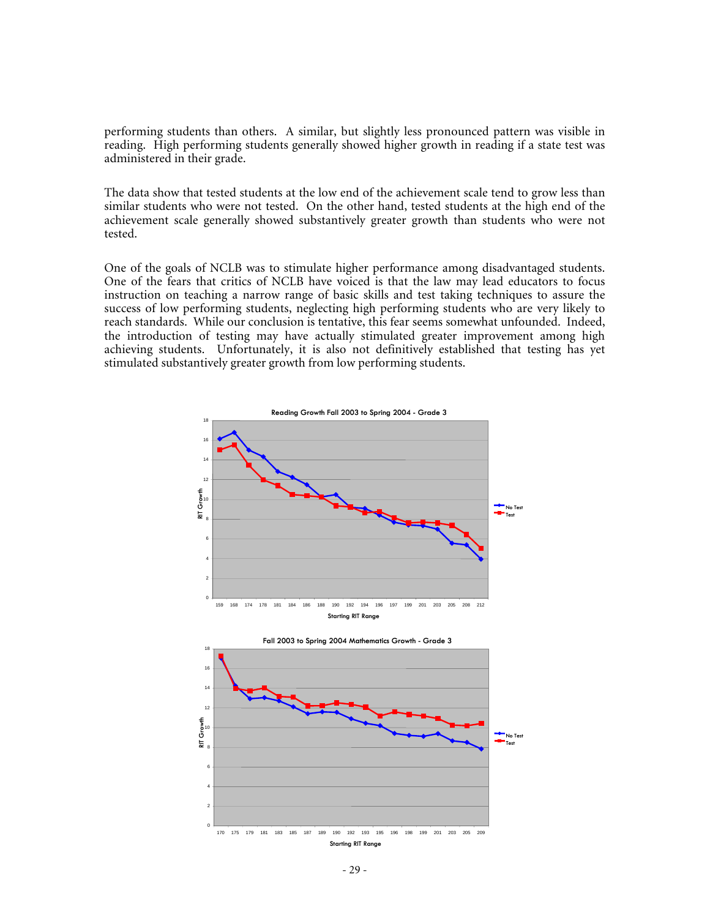performing students than others. A similar, but slightly less pronounced pattern was visible in reading. High performing students generally showed higher growth in reading if a state test was administered in their grade.

The data show that tested students at the low end of the achievement scale tend to grow less than similar students who were not tested. On the other hand, tested students at the high end of the achievement scale generally showed substantively greater growth than students who were not tested.

One of the goals of NCLB was to stimulate higher performance among disadvantaged students. One of the fears that critics of NCLB have voiced is that the law may lead educators to focus instruction on teaching a narrow range of basic skills and test taking techniques to assure the success of low performing students, neglecting high performing students who are very likely to reach standards. While our conclusion is tentative, this fear seems somewhat unfounded. Indeed, the introduction of testing may have actually stimulated greater improvement among high achieving students. Unfortunately, it is also not definitively established that testing has yet stimulated substantively greater growth from low performing students.

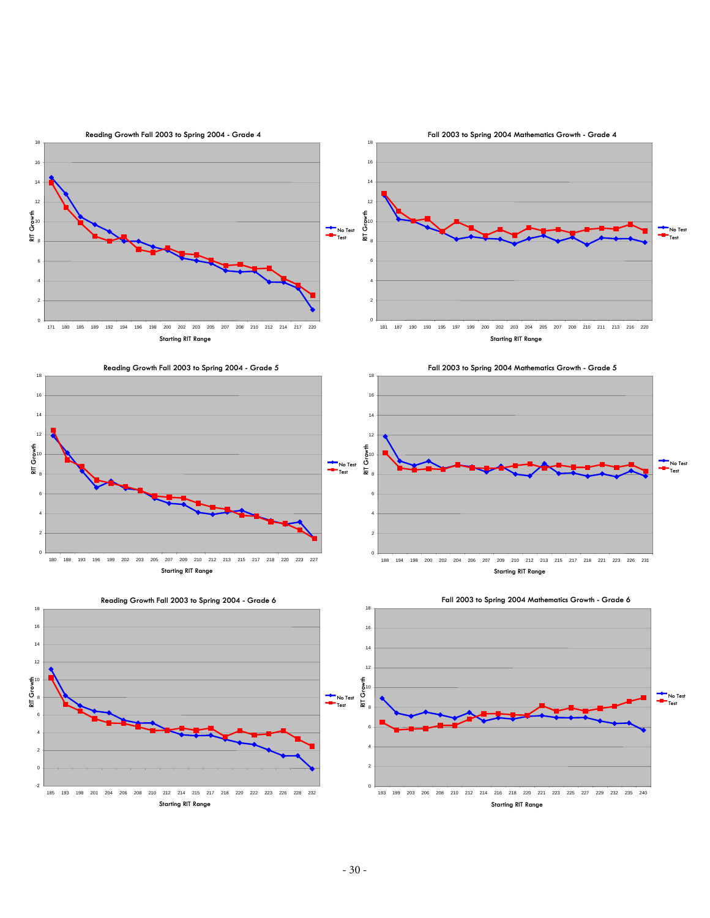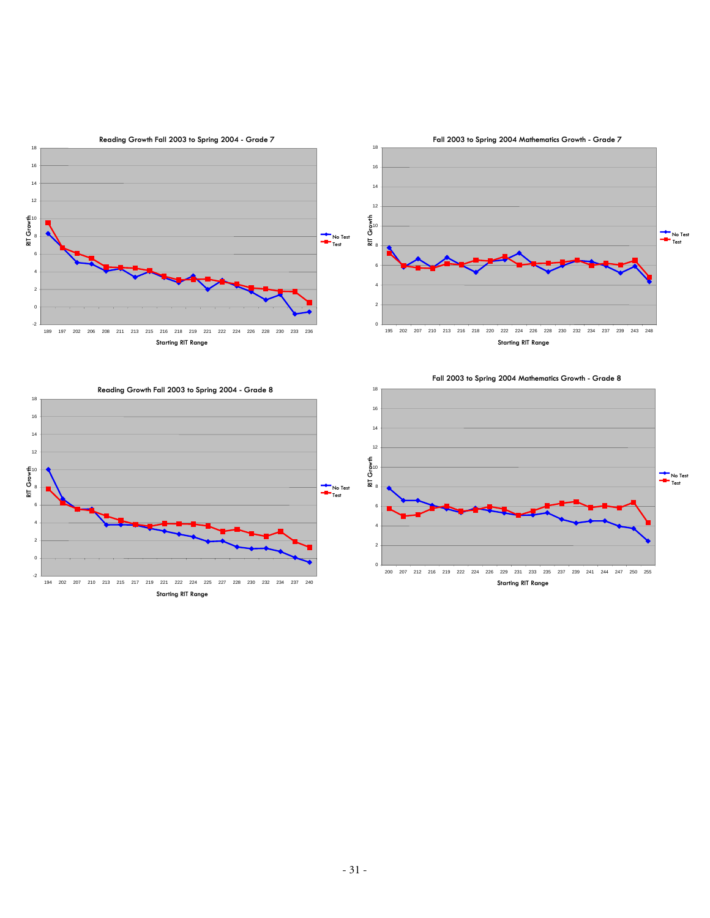

 207 212 216 219 222 224 226 229 231 233 235 237 239 241 244 247 250 255 **Starting RIT Range** 

 202 207 210 213 215 217 219 221 222 224 225 227 228 230 232 234 237 240 **Starting RIT Range**

-2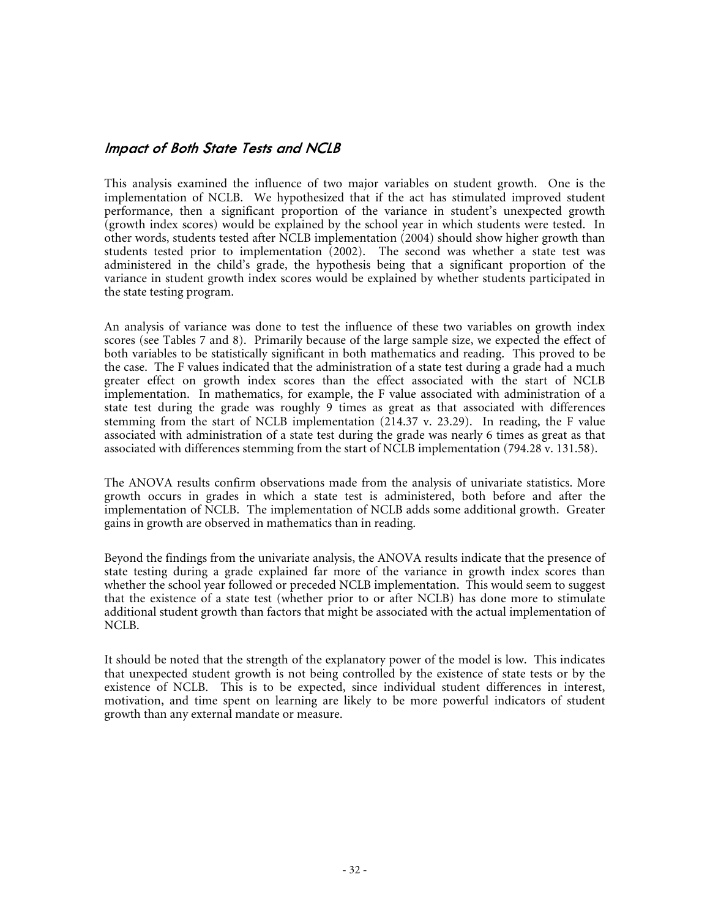#### **Impact of Both State Tests and NCLB**

This analysis examined the influence of two major variables on student growth. One is the implementation of NCLB. We hypothesized that if the act has stimulated improved student performance, then a significant proportion of the variance in student's unexpected growth (growth index scores) would be explained by the school year in which students were tested. In other words, students tested after NCLB implementation (2004) should show higher growth than students tested prior to implementation (2002). The second was whether a state test was administered in the child's grade, the hypothesis being that a significant proportion of the variance in student growth index scores would be explained by whether students participated in the state testing program.

An analysis of variance was done to test the influence of these two variables on growth index scores (see Tables 7 and 8). Primarily because of the large sample size, we expected the effect of both variables to be statistically significant in both mathematics and reading. This proved to be the case. The F values indicated that the administration of a state test during a grade had a much greater effect on growth index scores than the effect associated with the start of NCLB implementation. In mathematics, for example, the F value associated with administration of a state test during the grade was roughly 9 times as great as that associated with differences stemming from the start of NCLB implementation (214.37 v. 23.29). In reading, the F value associated with administration of a state test during the grade was nearly 6 times as great as that associated with differences stemming from the start of NCLB implementation (794.28 v. 131.58).

The ANOVA results confirm observations made from the analysis of univariate statistics. More growth occurs in grades in which a state test is administered, both before and after the implementation of NCLB. The implementation of NCLB adds some additional growth. Greater gains in growth are observed in mathematics than in reading.

Beyond the findings from the univariate analysis, the ANOVA results indicate that the presence of state testing during a grade explained far more of the variance in growth index scores than whether the school year followed or preceded NCLB implementation. This would seem to suggest that the existence of a state test (whether prior to or after NCLB) has done more to stimulate additional student growth than factors that might be associated with the actual implementation of NCLB.

It should be noted that the strength of the explanatory power of the model is low. This indicates that unexpected student growth is not being controlled by the existence of state tests or by the existence of NCLB. This is to be expected, since individual student differences in interest, motivation, and time spent on learning are likely to be more powerful indicators of student growth than any external mandate or measure.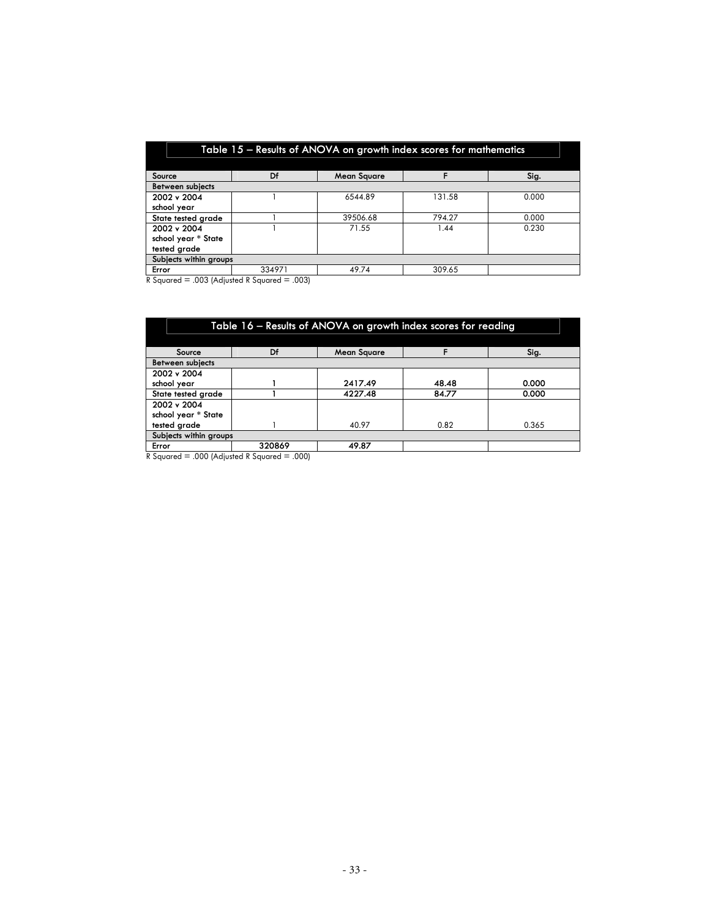| Table 15 - Results of ANOVA on growth index scores for mathematics |        |                    |        |       |  |  |  |  |
|--------------------------------------------------------------------|--------|--------------------|--------|-------|--|--|--|--|
|                                                                    |        |                    |        |       |  |  |  |  |
| Source                                                             | Df     | <b>Mean Square</b> |        | Sig.  |  |  |  |  |
| Between subjects                                                   |        |                    |        |       |  |  |  |  |
| 2002 v 2004                                                        |        | 6544.89            | 131.58 | 0.000 |  |  |  |  |
| school year                                                        |        |                    |        |       |  |  |  |  |
| State tested grade                                                 |        | 39506.68           | 794.27 | 0.000 |  |  |  |  |
| 2002 v 2004                                                        |        | 71.55              | 1.44   | 0.230 |  |  |  |  |
| school year * State                                                |        |                    |        |       |  |  |  |  |
| tested grade                                                       |        |                    |        |       |  |  |  |  |
| Subjects within groups                                             |        |                    |        |       |  |  |  |  |
| Error                                                              | 334971 | 49.74              | 309.65 |       |  |  |  |  |

R Squared  $=$  .003 (Adjusted R Squared  $=$  .003)

| Table 16 – Results of ANOVA on growth index scores for reading |                                                                                                                                                                                                                                                                |       |       |  |  |  |  |  |  |
|----------------------------------------------------------------|----------------------------------------------------------------------------------------------------------------------------------------------------------------------------------------------------------------------------------------------------------------|-------|-------|--|--|--|--|--|--|
|                                                                |                                                                                                                                                                                                                                                                |       |       |  |  |  |  |  |  |
| Df<br>Sig.<br><b>Mean Square</b><br>Source                     |                                                                                                                                                                                                                                                                |       |       |  |  |  |  |  |  |
| <b>Between subiects</b>                                        |                                                                                                                                                                                                                                                                |       |       |  |  |  |  |  |  |
| 2002 v 2004                                                    |                                                                                                                                                                                                                                                                |       |       |  |  |  |  |  |  |
|                                                                | 2417.49                                                                                                                                                                                                                                                        | 48.48 | 0.000 |  |  |  |  |  |  |
|                                                                | 4227.48                                                                                                                                                                                                                                                        | 84.77 | 0.000 |  |  |  |  |  |  |
|                                                                |                                                                                                                                                                                                                                                                |       |       |  |  |  |  |  |  |
| school year * State                                            |                                                                                                                                                                                                                                                                |       |       |  |  |  |  |  |  |
|                                                                | 40.97                                                                                                                                                                                                                                                          | 0.82  | 0.365 |  |  |  |  |  |  |
| Subjects within groups                                         |                                                                                                                                                                                                                                                                |       |       |  |  |  |  |  |  |
| 320869<br>Error<br>49.87                                       |                                                                                                                                                                                                                                                                |       |       |  |  |  |  |  |  |
|                                                                | $P_{1}$ $P_{2}$ $P_{3}$ $P_{4}$ $P_{5}$ $P_{6}$ $P_{7}$ $P_{8}$ $P_{9}$ $P_{1}$ $P_{1}$ $P_{2}$ $P_{3}$ $P_{4}$ $P_{5}$ $P_{6}$ $P_{7}$ $P_{8}$ $P_{9}$ $P_{1}$ $P_{1}$ $P_{2}$ $P_{3}$ $P_{4}$ $P_{5}$ $P_{6}$ $P_{7}$ $P_{8}$ $P_{9}$ $P_{1}$ $P_{1}$ $P_{2$ |       |       |  |  |  |  |  |  |

R Squared = .000 (Adjusted R Squared = .000)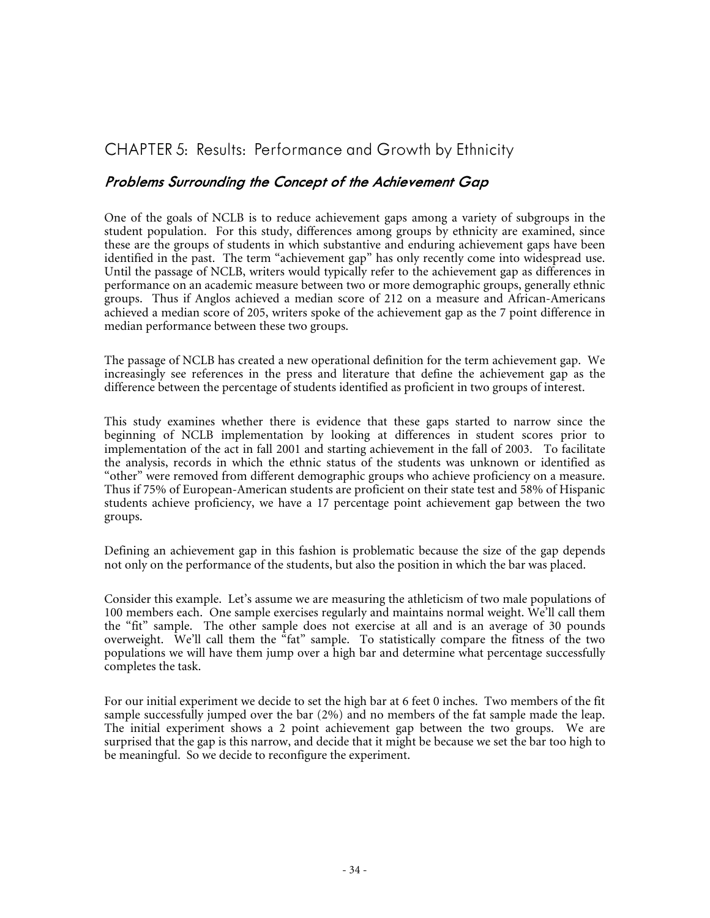## CHAPTER 5: Results: Performance and Growth by Ethnicity

#### **Problems Surrounding the Concept of the Achievement Gap**

One of the goals of NCLB is to reduce achievement gaps among a variety of subgroups in the student population. For this study, differences among groups by ethnicity are examined, since these are the groups of students in which substantive and enduring achievement gaps have been identified in the past. The term "achievement gap" has only recently come into widespread use. Until the passage of NCLB, writers would typically refer to the achievement gap as differences in performance on an academic measure between two or more demographic groups, generally ethnic groups. Thus if Anglos achieved a median score of 212 on a measure and African-Americans achieved a median score of 205, writers spoke of the achievement gap as the 7 point difference in median performance between these two groups.

The passage of NCLB has created a new operational definition for the term achievement gap. We increasingly see references in the press and literature that define the achievement gap as the difference between the percentage of students identified as proficient in two groups of interest.

This study examines whether there is evidence that these gaps started to narrow since the beginning of NCLB implementation by looking at differences in student scores prior to implementation of the act in fall 2001 and starting achievement in the fall of 2003. To facilitate the analysis, records in which the ethnic status of the students was unknown or identified as "other" were removed from different demographic groups who achieve proficiency on a measure. Thus if 75% of European-American students are proficient on their state test and 58% of Hispanic students achieve proficiency, we have a 17 percentage point achievement gap between the two groups.

Defining an achievement gap in this fashion is problematic because the size of the gap depends not only on the performance of the students, but also the position in which the bar was placed.

Consider this example. Let's assume we are measuring the athleticism of two male populations of 100 members each. One sample exercises regularly and maintains normal weight. We'll call them the "fit" sample. The other sample does not exercise at all and is an average of 30 pounds overweight. We'll call them the  $^{8}$ fat" sample. To statistically compare the fitness of the two populations we will have them jump over a high bar and determine what percentage successfully completes the task.

For our initial experiment we decide to set the high bar at 6 feet 0 inches. Two members of the fit sample successfully jumped over the bar (2%) and no members of the fat sample made the leap. The initial experiment shows a 2 point achievement gap between the two groups. We are surprised that the gap is this narrow, and decide that it might be because we set the bar too high to be meaningful. So we decide to reconfigure the experiment.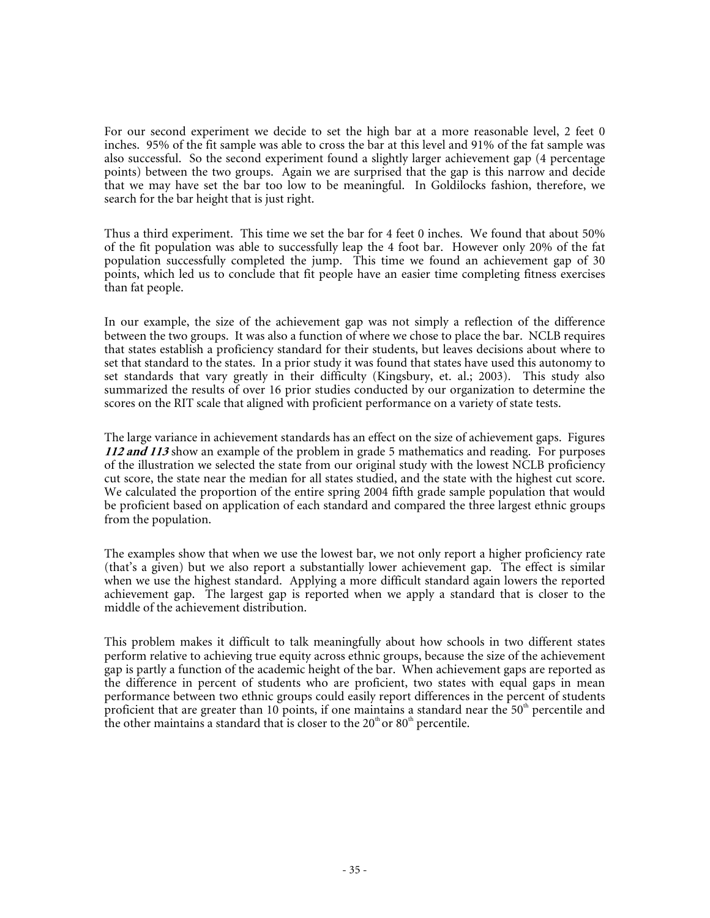For our second experiment we decide to set the high bar at a more reasonable level, 2 feet 0 inches. 95% of the fit sample was able to cross the bar at this level and 91% of the fat sample was also successful. So the second experiment found a slightly larger achievement gap (4 percentage points) between the two groups. Again we are surprised that the gap is this narrow and decide that we may have set the bar too low to be meaningful. In Goldilocks fashion, therefore, we search for the bar height that is just right.

Thus a third experiment. This time we set the bar for 4 feet 0 inches. We found that about 50% of the fit population was able to successfully leap the 4 foot bar. However only 20% of the fat population successfully completed the jump. This time we found an achievement gap of 30 points, which led us to conclude that fit people have an easier time completing fitness exercises than fat people.

In our example, the size of the achievement gap was not simply a reflection of the difference between the two groups. It was also a function of where we chose to place the bar. NCLB requires that states establish a proficiency standard for their students, but leaves decisions about where to set that standard to the states. In a prior study it was found that states have used this autonomy to set standards that vary greatly in their difficulty (Kingsbury, et. al.; 2003). This study also summarized the results of over 16 prior studies conducted by our organization to determine the scores on the RIT scale that aligned with proficient performance on a variety of state tests.

The large variance in achievement standards has an effect on the size of achievement gaps. Figures **112 and 113** show an example of the problem in grade 5 mathematics and reading. For purposes of the illustration we selected the state from our original study with the lowest NCLB proficiency cut score, the state near the median for all states studied, and the state with the highest cut score. We calculated the proportion of the entire spring 2004 fifth grade sample population that would be proficient based on application of each standard and compared the three largest ethnic groups from the population.

The examples show that when we use the lowest bar, we not only report a higher proficiency rate (that's a given) but we also report a substantially lower achievement gap. The effect is similar when we use the highest standard. Applying a more difficult standard again lowers the reported achievement gap. The largest gap is reported when we apply a standard that is closer to the middle of the achievement distribution.

This problem makes it difficult to talk meaningfully about how schools in two different states perform relative to achieving true equity across ethnic groups, because the size of the achievement gap is partly a function of the academic height of the bar. When achievement gaps are reported as the difference in percent of students who are proficient, two states with equal gaps in mean performance between two ethnic groups could easily report differences in the percent of students proficient that are greater than 10 points, if one maintains a standard near the  $50<sup>th</sup>$  percentile and the other maintains a standard that is closer to the  $20<sup>th</sup>$  or  $80<sup>th</sup>$  percentile.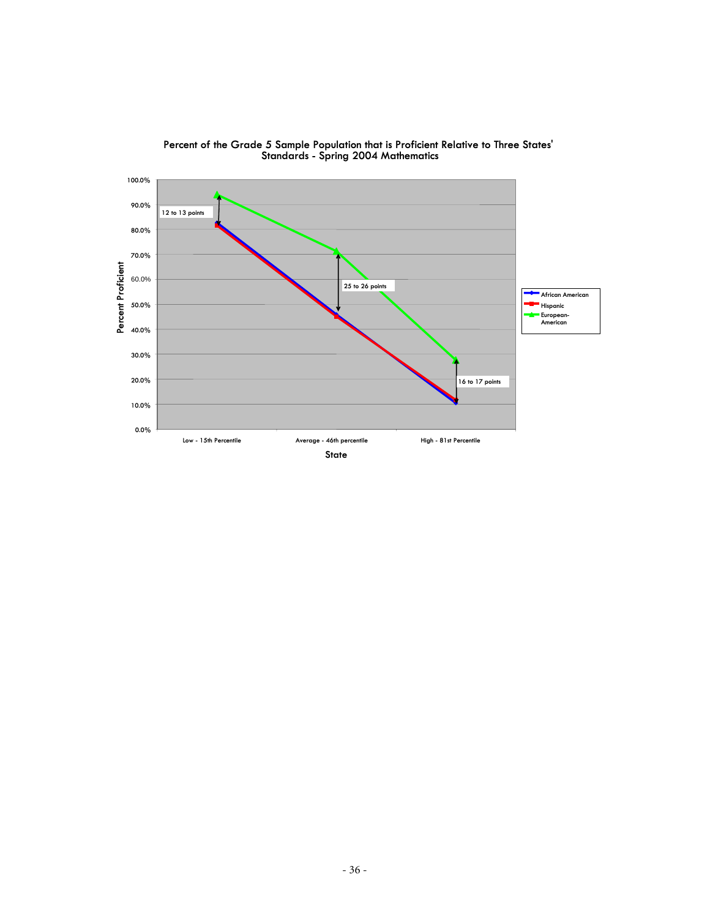

**Percent of the Grade 5 Sample Population that is Proficient Relative to Three States' Standards - Spring 2004 Mathematics**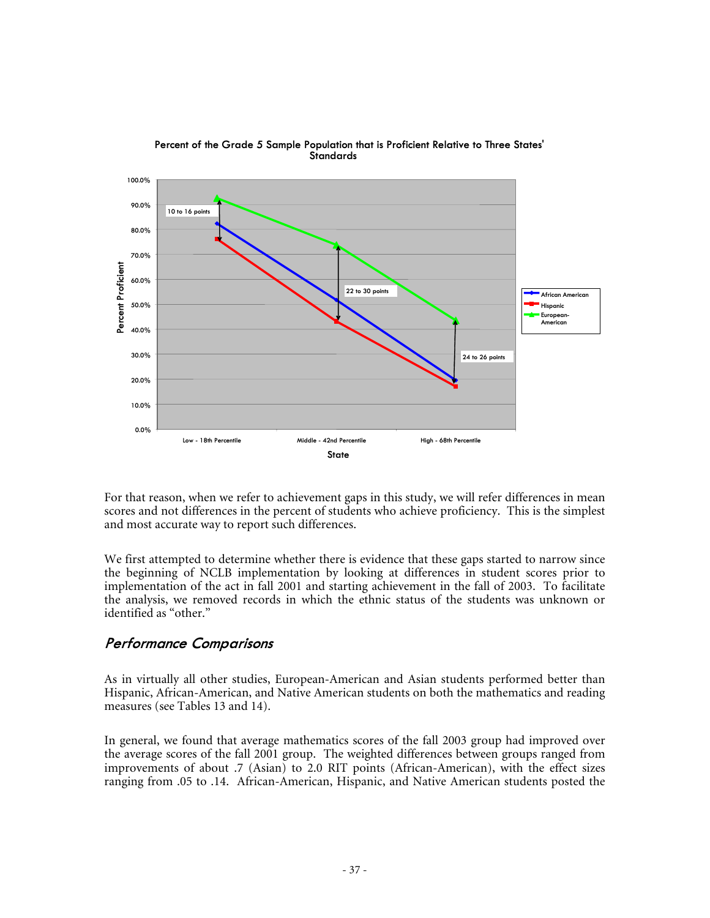

**Percent of the Grade 5 Sample Population that is Proficient Relative to Three States' Standards**

For that reason, when we refer to achievement gaps in this study, we will refer differences in mean scores and not differences in the percent of students who achieve proficiency. This is the simplest and most accurate way to report such differences.

We first attempted to determine whether there is evidence that these gaps started to narrow since the beginning of NCLB implementation by looking at differences in student scores prior to implementation of the act in fall 2001 and starting achievement in the fall of 2003. To facilitate the analysis, we removed records in which the ethnic status of the students was unknown or identified as "other."

### **Performance Comparisons**

As in virtually all other studies, European-American and Asian students performed better than Hispanic, African-American, and Native American students on both the mathematics and reading measures (see Tables 13 and 14).

In general, we found that average mathematics scores of the fall 2003 group had improved over the average scores of the fall 2001 group. The weighted differences between groups ranged from improvements of about .7 (Asian) to 2.0 RIT points (African-American), with the effect sizes ranging from .05 to .14. African-American, Hispanic, and Native American students posted the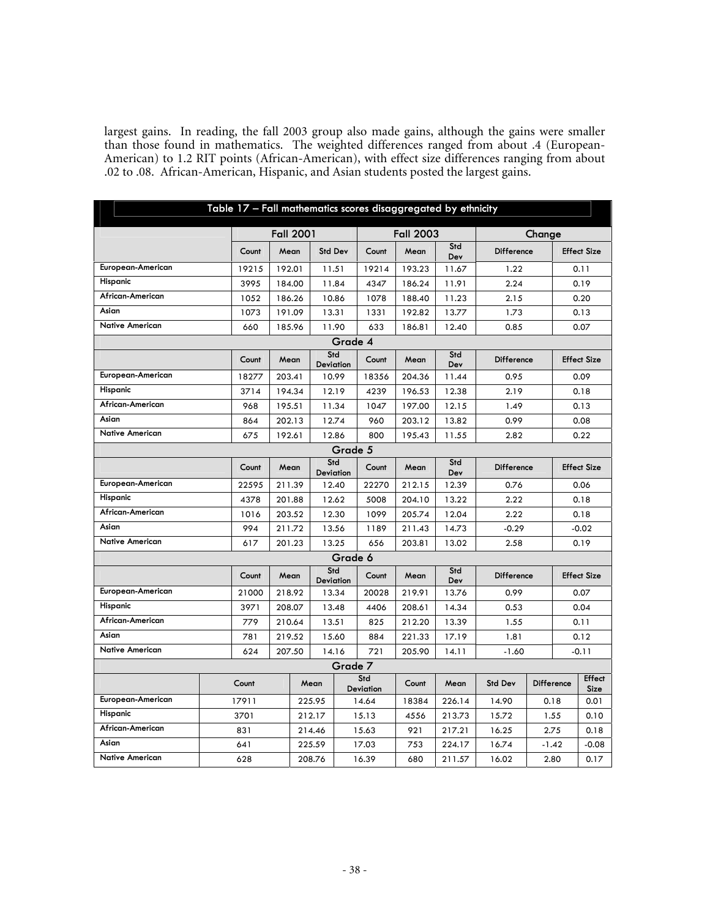largest gains. In reading, the fall 2003 group also made gains, although the gains were smaller than those found in mathematics. The weighted differences ranged from about .4 (European-American) to 1.2 RIT points (African-American), with effect size differences ranging from about .02 to .08. African-American, Hispanic, and Asian students posted the largest gains.

|                        | Table 17 - Fall mathematics scores disaggregated by ethnicity |                  |                  |         |                         |                  |            |                   |        |                   |                              |
|------------------------|---------------------------------------------------------------|------------------|------------------|---------|-------------------------|------------------|------------|-------------------|--------|-------------------|------------------------------|
|                        |                                                               | <b>Fall 2001</b> |                  |         |                         | <b>Fall 2003</b> |            |                   | Change |                   |                              |
|                        | Count                                                         | Mean             | <b>Std Dev</b>   |         | Count                   | Mean             | Std<br>Dev | <b>Difference</b> |        |                   | <b>Effect Size</b>           |
| European-American      | 19215                                                         | 192.01           | 11.51            |         | 19214                   | 193.23           | 11.67      | 1.22              |        |                   | 0.11                         |
| Hispanic               | 3995                                                          | 184.00           | 11.84            |         | 4347                    | 186.24           | 11.91      | 2.24              |        |                   | 0.19                         |
| African-American       | 1052                                                          | 186.26           | 10.86            |         | 1078                    | 188.40           | 11.23      | 2.15              |        |                   | 0.20                         |
| Asian                  | 1073                                                          | 191.09           | 13.31            |         | 1331                    | 192.82           | 13.77      | 1.73              |        |                   | 0.13                         |
| <b>Native American</b> | 660                                                           | 185.96           | 11.90            |         | 633                     | 186.81           | 12.40      | 0.85              |        |                   | 0.07                         |
|                        |                                                               |                  |                  | Grade 4 |                         |                  |            |                   |        |                   |                              |
|                        | Count                                                         | Mean             | Std<br>Deviation |         | Count                   | Mean             | Std<br>Dev | Difference        |        |                   | <b>Effect Size</b>           |
| European-American      | 18277                                                         | 203.41           | 10.99            |         | 18356                   | 204.36           | 11.44      | 0.95              |        |                   | 0.09                         |
| Hispanic               | 3714                                                          | 194.34           | 12.19            |         | 4239                    | 196.53           | 12.38      | 2.19              |        |                   | 0.18                         |
| African-American       | 968                                                           | 195.51           | 11.34            |         | 1047                    | 197.00           | 12.15      | 1.49              |        |                   | 0.13                         |
| Asian                  | 864                                                           | 202.13           | 12.74            |         | 960                     | 203.12           | 13.82      | 0.99              |        |                   | 0.08                         |
| <b>Native American</b> | 675                                                           | 192.61           | 12.86            |         | 800                     | 195.43           | 11.55      | 2.82              |        |                   | 0.22                         |
| Grade 5                |                                                               |                  |                  |         |                         |                  |            |                   |        |                   |                              |
|                        | Count                                                         | Mean             | Std<br>Deviation |         | Count                   | Mean             | Std<br>Dev | <b>Difference</b> |        |                   | <b>Effect Size</b>           |
| European-American      | 22595                                                         | 211.39           | 12.40            |         | 22270                   | 212.15           | 12.39      | 0.76              |        |                   | 0.06                         |
| Hispanic               | 4378                                                          | 201.88           | 12.62            |         | 5008                    | 204.10           | 13.22      | 2.22              |        |                   | 0.18                         |
| African-American       | 1016                                                          | 203.52           | 12.30            |         | 1099                    | 205.74           | 12.04      | 2.22              |        |                   | 0.18                         |
| Asian                  | 994                                                           | 211.72           | 13.56            |         | 1189                    | 211.43           | 14.73      | $-0.29$           |        |                   | $-0.02$                      |
| <b>Native American</b> | 617                                                           | 201.23           | 13.25            |         | 656                     | 203.81           | 13.02      | 2.58              |        | 0.19              |                              |
|                        |                                                               |                  |                  | Grade 6 |                         |                  |            |                   |        |                   |                              |
|                        | Count                                                         | Mean             | Std<br>Deviation |         | Count                   | Mean             | Std<br>Dev | Difference        |        |                   | <b>Effect Size</b>           |
| European-American      | 21000                                                         | 218.92           | 13.34            |         | 20028                   | 219.91           | 13.76      | 0.99              |        |                   | 0.07                         |
| Hispanic               | 3971                                                          | 208.07           | 13.48            |         | 4406                    | 208.61           | 14.34      | 0.53              |        |                   | 0.04                         |
| African-American       | 779                                                           | 210.64           | 13.51            |         | 825                     | 212.20           | 13.39      | 1.55              |        |                   | 0.11                         |
| Asian                  | 781                                                           | 219.52           | 15.60            |         | 884                     | 221.33           | 17.19      | 1.81              |        |                   | 0.12                         |
| <b>Native American</b> | 624                                                           | 207.50           | 14.16            |         | 721                     | 205.90           | 14.11      | $-1.60$           |        |                   | $-0.11$                      |
|                        |                                                               |                  |                  |         | Grade 7                 |                  |            |                   |        |                   |                              |
|                        | Count                                                         |                  | Mean             |         | Std<br><b>Deviation</b> | Count            | Mean       | <b>Std Dev</b>    |        | <b>Difference</b> | <b>Effect</b><br><b>Size</b> |
| European-American      | 17911                                                         |                  | 225.95           |         | 14.64                   | 18384            | 226.14     | 14.90             |        | 0.18              | 0.01                         |
| Hispanic               | 3701                                                          |                  | 212.17           |         | 15.13                   | 4556             | 213.73     | 15.72             |        | 1.55              | 0.10                         |
| African-American       | 831                                                           |                  | 214.46           |         | 15.63                   | 921              | 217.21     | 16.25             |        | 2.75              | 0.18                         |
| Asian                  | 641                                                           |                  | 225.59           |         | 17.03                   | 753              | 224.17     | 16.74             |        | $-1.42$           | $-0.08$                      |
| <b>Native American</b> | 628                                                           | 208.76           |                  | 16.39   | 680                     | 211.57           | 16.02      |                   | 2.80   | 0.17              |                              |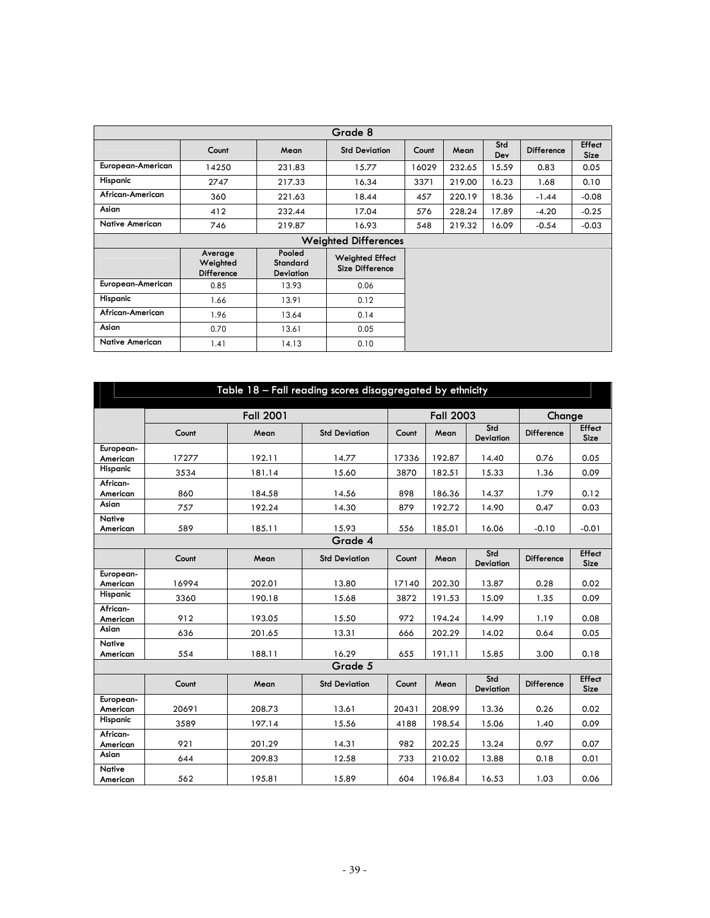| Grade 8                |                                   |                                        |                                           |       |        |            |                   |                              |  |  |  |  |
|------------------------|-----------------------------------|----------------------------------------|-------------------------------------------|-------|--------|------------|-------------------|------------------------------|--|--|--|--|
|                        | Count                             | Mean                                   | <b>Std Deviation</b>                      | Count | Mean   | Std<br>Dev | <b>Difference</b> | <b>Effect</b><br><b>Size</b> |  |  |  |  |
| European-American      | 14250                             | 231.83                                 | 15.77                                     | 16029 | 232.65 | 15.59      | 0.83              | 0.05                         |  |  |  |  |
| Hispanic               | 2747                              | 217.33                                 | 16.34                                     | 3371  | 219.00 | 16.23      | 1.68              | 0.10                         |  |  |  |  |
| African-American       | 360                               | 221.63                                 | 18.44                                     | 457   | 220.19 | 18.36      | $-1.44$           | $-0.08$                      |  |  |  |  |
| Asian                  | 412                               | 232.44                                 | 17.04                                     | 576   | 228.24 | 17.89      | $-4.20$           | $-0.25$                      |  |  |  |  |
| <b>Native American</b> | 746                               | 219.87                                 | 16.93                                     | 548   | 219.32 | 16.09      | $-0.54$           | $-0.03$                      |  |  |  |  |
|                        |                                   |                                        | <b>Weighted Differences</b>               |       |        |            |                   |                              |  |  |  |  |
|                        | Average<br>Weighted<br>Difference | Pooled<br>Standard<br><b>Deviation</b> | <b>Weighted Effect</b><br>Size Difference |       |        |            |                   |                              |  |  |  |  |
| European-American      | 0.85                              | 13.93                                  | 0.06                                      |       |        |            |                   |                              |  |  |  |  |
| Hispanic               | 1.66                              | 13.91                                  | 0.12                                      |       |        |            |                   |                              |  |  |  |  |
| African-American       | 1.96                              | 13.64                                  | 0.14                                      |       |        |            |                   |                              |  |  |  |  |
| Asian                  | 0.70                              | 13.61                                  | 0.05                                      |       |        |            |                   |                              |  |  |  |  |
| <b>Native American</b> | 1.41                              | 14.13                                  | 0.10                                      |       |        |            |                   |                              |  |  |  |  |

| Table 18 - Fall reading scores disaggregated by ethnicity |       |                   |                              |       |                  |                  |                   |                              |  |  |
|-----------------------------------------------------------|-------|-------------------|------------------------------|-------|------------------|------------------|-------------------|------------------------------|--|--|
|                                                           |       | <b>Fall 2001</b>  |                              |       | <b>Fall 2003</b> |                  | Change            |                              |  |  |
|                                                           | Count | Mean              | <b>Std Deviation</b>         | Count | Mean             | Std<br>Deviation | <b>Difference</b> | <b>Effect</b><br><b>Size</b> |  |  |
| European-<br>American                                     | 17277 | 192.11            | 14.77                        | 17336 | 192.87           | 14.40            | 0.76              | 0.05                         |  |  |
| Hispanic                                                  | 3534  | 181.14            | 15.60                        | 3870  | 182.51           | 15.33            | 1.36              | 0.09                         |  |  |
| African-<br>American                                      | 860   | 184.58            | 14.56                        | 898   | 186.36           | 14.37            | 1.79              | 0.12                         |  |  |
| Asian                                                     | 757   | 192.24            | 14.30                        | 879   | 192.72           | 14.90            | 0.47              | 0.03                         |  |  |
| <b>Native</b><br>American                                 | 589   | 185.11            | 15.93                        | 556   | 185.01           | 16.06            | $-0.10$           | $-0.01$                      |  |  |
|                                                           |       |                   | Grade 4                      |       |                  |                  |                   |                              |  |  |
|                                                           | Count | <b>Difference</b> | <b>Effect</b><br><b>Size</b> |       |                  |                  |                   |                              |  |  |
| European-<br>American                                     | 16994 | 202.01            | 13.80                        | 17140 | 202.30           | 13.87            | 0.28              | 0.02                         |  |  |
| Hispanic                                                  | 3360  | 190.18            | 15.68                        | 3872  | 191.53           | 15.09            | 1.35              | 0.09                         |  |  |
| African-<br>American                                      | 912   | 193.05            | 15.50                        | 972   | 194.24           | 14.99            | 1.19              | 0.08                         |  |  |
| Asian                                                     | 636   | 201.65            | 13.31                        | 666   | 202.29           | 14.02            | 0.64              | 0.05                         |  |  |
| <b>Native</b><br>American                                 | 554   | 188.11            | 16.29                        | 655   | 191.11           | 15.85            | 3.00              | 0.18                         |  |  |
|                                                           |       |                   | Grade 5                      |       |                  |                  |                   |                              |  |  |
|                                                           | Count | Mean              | <b>Std Deviation</b>         | Count | Mean             | Std<br>Deviation | <b>Difference</b> | <b>Effect</b><br><b>Size</b> |  |  |
| European-<br>American                                     | 20691 | 208.73            | 13.61                        | 20431 | 208.99           | 13.36            | 0.26              | 0.02                         |  |  |
| Hispanic                                                  | 3589  | 197.14            | 15.56                        | 4188  | 198.54           | 15.06            | 1.40              | 0.09                         |  |  |
| African-<br>American                                      | 921   | 201.29            | 14.31                        | 982   | 202.25           | 13.24            | 0.97              | 0.07                         |  |  |
| Asian                                                     | 644   | 209.83            | 12.58                        | 733   | 210.02           | 13.88            | 0.18              | 0.01                         |  |  |
| <b>Native</b><br>American                                 | 562   | 195.81            | 15.89                        | 604   | 196.84           | 16.53            | 1.03              | 0.06                         |  |  |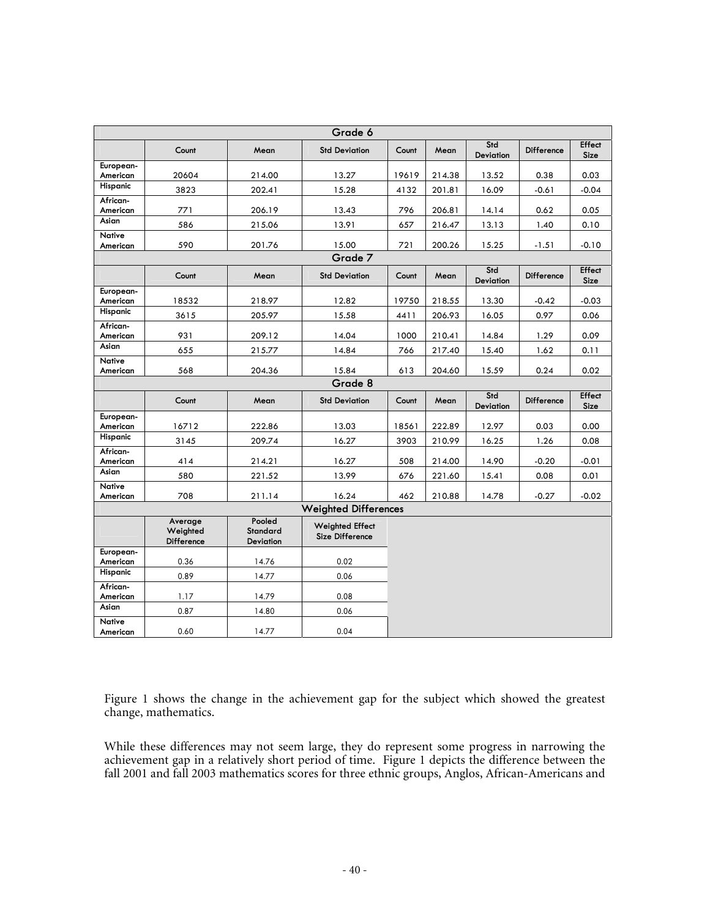| Grade 6                   |                                   |                                 |                                                  |       |        |                         |                   |                              |  |  |  |  |
|---------------------------|-----------------------------------|---------------------------------|--------------------------------------------------|-------|--------|-------------------------|-------------------|------------------------------|--|--|--|--|
|                           | Count                             | Mean                            | <b>Std Deviation</b>                             | Count | Mean   | Std<br><b>Deviation</b> | <b>Difference</b> | Effect<br>Size               |  |  |  |  |
| European-<br>American     | 20604                             | 214.00                          | 13.27                                            | 19619 | 214.38 | 13.52                   | 0.38              | 0.03                         |  |  |  |  |
| Hispanic                  | 3823                              | 202.41                          | 15.28                                            | 4132  | 201.81 | 16.09                   | $-0.61$           | $-0.04$                      |  |  |  |  |
| African-<br>American      | 771                               | 206.19                          | 13.43                                            | 796   | 206.81 | 14.14                   | 0.62              | 0.05                         |  |  |  |  |
| Asian                     | 586                               | 215.06                          | 13.91                                            | 657   | 216.47 | 13.13                   | 1.40              | 0.10                         |  |  |  |  |
| <b>Native</b><br>American | 590                               | 201.76                          | 15.00                                            | 721   | 200.26 | 15.25                   | $-1.51$           | $-0.10$                      |  |  |  |  |
| Grade 7                   |                                   |                                 |                                                  |       |        |                         |                   |                              |  |  |  |  |
|                           | Count                             | Mean                            | <b>Std Deviation</b>                             | Count | Mean   | Std<br>Deviation        | <b>Difference</b> | <b>Effect</b><br><b>Size</b> |  |  |  |  |
| European-<br>American     | 18532                             | 218.97                          | 12.82                                            | 19750 | 218.55 | 13.30                   | $-0.42$           | $-0.03$                      |  |  |  |  |
| Hispanic                  | 3615                              | 205.97                          | 15.58                                            | 4411  | 206.93 | 16.05                   | 0.97              | 0.06                         |  |  |  |  |
| African-<br>American      | 931                               | 209.12                          | 14.04                                            | 1000  | 210.41 | 14.84                   | 1.29              | 0.09                         |  |  |  |  |
| Asian                     | 655                               | 215.77                          | 14.84                                            | 766   | 217.40 | 15.40                   | 1.62              | 0.11                         |  |  |  |  |
| <b>Native</b><br>American | 568                               | 204.36                          | 15.84                                            | 613   | 204.60 | 15.59                   | 0.24              | 0.02                         |  |  |  |  |
|                           |                                   |                                 | Grade 8                                          |       |        |                         |                   |                              |  |  |  |  |
|                           | Count                             | Mean                            | <b>Std Deviation</b>                             | Count | Mean   | Std<br>Deviation        | Difference        | <b>Effect</b><br><b>Size</b> |  |  |  |  |
|                           |                                   |                                 |                                                  |       |        |                         |                   |                              |  |  |  |  |
| European-<br>American     | 16712                             | 222.86                          | 13.03                                            | 18561 | 222.89 | 12.97                   | 0.03              | 0.00                         |  |  |  |  |
| Hispanic                  | 3145                              | 209.74                          | 16.27                                            | 3903  | 210.99 | 16.25                   | 1.26              | 0.08                         |  |  |  |  |
| African-<br>American      | 414                               | 214.21                          | 16.27                                            | 508   | 214.00 | 14.90                   | $-0.20$           | $-0.01$                      |  |  |  |  |
| Asian                     | 580                               | 221.52                          | 13.99                                            | 676   | 221.60 | 15.41                   | 0.08              | 0.01                         |  |  |  |  |
| <b>Native</b><br>American | 708                               | 211.14                          | 16.24                                            | 462   | 210.88 | 14.78                   | $-0.27$           | $-0.02$                      |  |  |  |  |
|                           |                                   |                                 | <b>Weighted Differences</b>                      |       |        |                         |                   |                              |  |  |  |  |
|                           | Average<br>Weighted<br>Difference | Pooled<br>Standard<br>Deviation | <b>Weighted Effect</b><br><b>Size Difference</b> |       |        |                         |                   |                              |  |  |  |  |
| European-<br>American     | 0.36                              | 14.76                           | 0.02                                             |       |        |                         |                   |                              |  |  |  |  |
| Hispanic                  | 0.89                              | 14.77                           | 0.06                                             |       |        |                         |                   |                              |  |  |  |  |
| African-<br>American      | 1.17                              | 14.79                           | 0.08                                             |       |        |                         |                   |                              |  |  |  |  |
| Asian<br><b>Native</b>    | 0.87                              | 14.80                           | 0.06                                             |       |        |                         |                   |                              |  |  |  |  |

Figure 1 shows the change in the achievement gap for the subject which showed the greatest change, mathematics.

While these differences may not seem large, they do represent some progress in narrowing the achievement gap in a relatively short period of time. Figure 1 depicts the difference between the fall 2001 and fall 2003 mathematics scores for three ethnic groups, Anglos, African-Americans and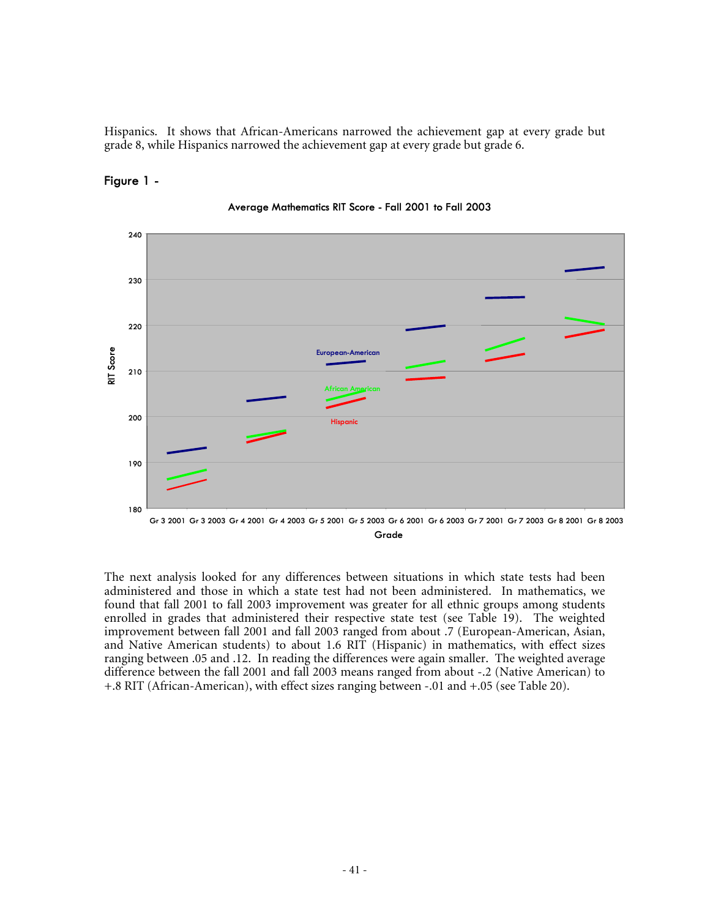Hispanics. It shows that African-Americans narrowed the achievement gap at every grade but grade 8, while Hispanics narrowed the achievement gap at every grade but grade 6.

#### **Figure 1 -**



**Average Mathematics RIT Score - Fall 2001 to Fall 2003**

The next analysis looked for any differences between situations in which state tests had been administered and those in which a state test had not been administered. In mathematics, we found that fall 2001 to fall 2003 improvement was greater for all ethnic groups among students enrolled in grades that administered their respective state test (see Table 19). The weighted improvement between fall 2001 and fall 2003 ranged from about .7 (European-American, Asian, and Native American students) to about 1.6 RIT (Hispanic) in mathematics, with effect sizes ranging between .05 and .12. In reading the differences were again smaller. The weighted average difference between the fall 2001 and fall 2003 means ranged from about -.2 (Native American) to +.8 RIT (African-American), with effect sizes ranging between -.01 and +.05 (see Table 20).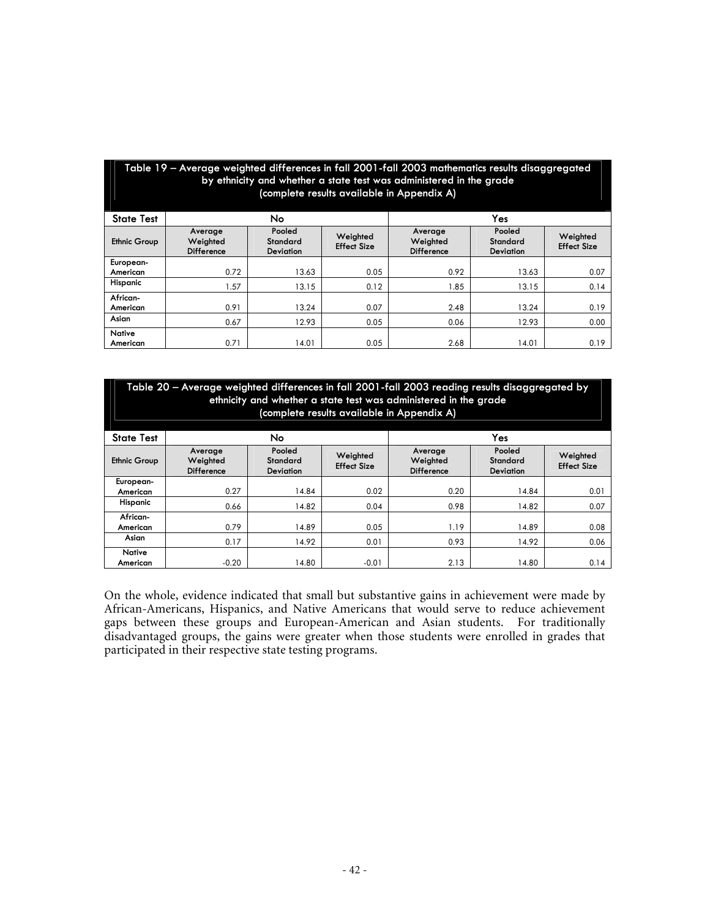| Table 19 – Average weighted differences in fall 2001-fall 2003 mathematics results disaggregated<br>by ethnicity and whether a state test was administered in the grade<br>(complete results available in Appendix A) |                                                                                                                                                                                                                                              |       |      |      |       |      |  |  |  |  |  |  |
|-----------------------------------------------------------------------------------------------------------------------------------------------------------------------------------------------------------------------|----------------------------------------------------------------------------------------------------------------------------------------------------------------------------------------------------------------------------------------------|-------|------|------|-------|------|--|--|--|--|--|--|
| <b>State Test</b>                                                                                                                                                                                                     | No<br>Yes                                                                                                                                                                                                                                    |       |      |      |       |      |  |  |  |  |  |  |
| <b>Ethnic Group</b>                                                                                                                                                                                                   | Pooled<br>Pooled<br>Average<br>Average<br>Weighted<br>Weighted<br>Weighted<br>Weighted<br>Standard<br>Standard<br><b>Effect Size</b><br><b>Effect Size</b><br><b>Difference</b><br><b>Difference</b><br><b>Deviation</b><br><b>Deviation</b> |       |      |      |       |      |  |  |  |  |  |  |
| European-                                                                                                                                                                                                             |                                                                                                                                                                                                                                              |       |      |      |       |      |  |  |  |  |  |  |
| American                                                                                                                                                                                                              | 0.72                                                                                                                                                                                                                                         | 13.63 | 0.05 | 0.92 | 13.63 | 0.07 |  |  |  |  |  |  |
| Hispanic                                                                                                                                                                                                              | 1.57                                                                                                                                                                                                                                         | 13.15 | 0.12 | 1.85 | 13.15 | 0.14 |  |  |  |  |  |  |
| African-                                                                                                                                                                                                              |                                                                                                                                                                                                                                              |       |      |      |       |      |  |  |  |  |  |  |
| American                                                                                                                                                                                                              | 0.91                                                                                                                                                                                                                                         | 13.24 | 0.07 | 2.48 | 13.24 | 0.19 |  |  |  |  |  |  |
| Asian                                                                                                                                                                                                                 | 0.67<br>12.93<br>0.05<br>0.06<br>12.93<br>0.00                                                                                                                                                                                               |       |      |      |       |      |  |  |  |  |  |  |
| Native                                                                                                                                                                                                                |                                                                                                                                                                                                                                              |       |      |      |       |      |  |  |  |  |  |  |
| American                                                                                                                                                                                                              | 0.71                                                                                                                                                                                                                                         | 14.01 | 0.05 | 2.68 | 14.01 | 0.19 |  |  |  |  |  |  |

| Table 20 – Average weighted differences in fall 2001-fall 2003 reading results disaggregated by<br>ethnicity and whether a state test was administered in the grade<br>(complete results available in Appendix A) |                                                                                                                                                                                                                                              |       |         |      |       |      |  |  |  |  |  |  |
|-------------------------------------------------------------------------------------------------------------------------------------------------------------------------------------------------------------------|----------------------------------------------------------------------------------------------------------------------------------------------------------------------------------------------------------------------------------------------|-------|---------|------|-------|------|--|--|--|--|--|--|
| Yes<br>No.<br><b>State Test</b>                                                                                                                                                                                   |                                                                                                                                                                                                                                              |       |         |      |       |      |  |  |  |  |  |  |
| <b>Ethnic Group</b>                                                                                                                                                                                               | Pooled<br>Pooled<br>Average<br>Average<br>Weighted<br>Weighted<br>Weighted<br>Weighted<br>Standard<br>Standard<br><b>Effect Size</b><br><b>Effect Size</b><br><b>Difference</b><br><b>Difference</b><br><b>Deviation</b><br><b>Deviation</b> |       |         |      |       |      |  |  |  |  |  |  |
| European-                                                                                                                                                                                                         |                                                                                                                                                                                                                                              |       |         |      |       |      |  |  |  |  |  |  |
| American                                                                                                                                                                                                          | 0.27                                                                                                                                                                                                                                         | 14.84 | 0.02    | 0.20 | 14.84 | 0.01 |  |  |  |  |  |  |
| Hispanic                                                                                                                                                                                                          | 0.66                                                                                                                                                                                                                                         | 14.82 | 0.04    | 0.98 | 14.82 | 0.07 |  |  |  |  |  |  |
| African-                                                                                                                                                                                                          |                                                                                                                                                                                                                                              |       |         |      |       |      |  |  |  |  |  |  |
| American                                                                                                                                                                                                          | 0.79                                                                                                                                                                                                                                         | 14.89 | 0.05    | 1.19 | 14.89 | 0.08 |  |  |  |  |  |  |
| Asian                                                                                                                                                                                                             | 0.17<br>0.01<br>0.93<br>14.92<br>14.92<br>0.06                                                                                                                                                                                               |       |         |      |       |      |  |  |  |  |  |  |
| <b>Native</b>                                                                                                                                                                                                     |                                                                                                                                                                                                                                              |       |         |      |       |      |  |  |  |  |  |  |
| American                                                                                                                                                                                                          | $-0.20$                                                                                                                                                                                                                                      | 14.80 | $-0.01$ | 2.13 | 14.80 | 0.14 |  |  |  |  |  |  |

On the whole, evidence indicated that small but substantive gains in achievement were made by African-Americans, Hispanics, and Native Americans that would serve to reduce achievement gaps between these groups and European-American and Asian students. For traditionally disadvantaged groups, the gains were greater when those students were enrolled in grades that participated in their respective state testing programs.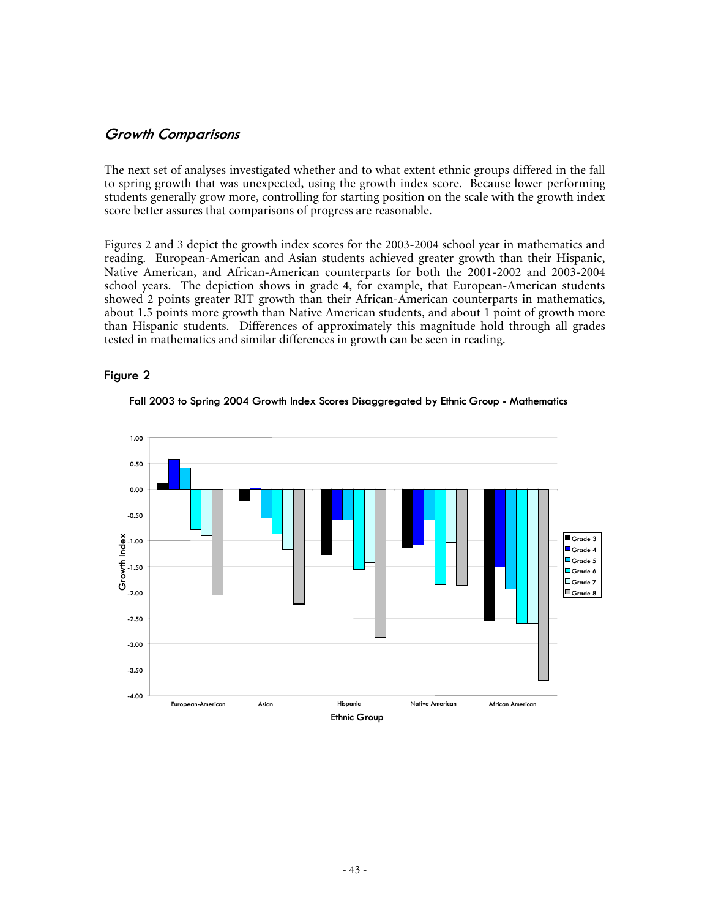#### **Growth Comparisons**

The next set of analyses investigated whether and to what extent ethnic groups differed in the fall to spring growth that was unexpected, using the growth index score. Because lower performing students generally grow more, controlling for starting position on the scale with the growth index score better assures that comparisons of progress are reasonable.

Figures 2 and 3 depict the growth index scores for the 2003-2004 school year in mathematics and reading. European-American and Asian students achieved greater growth than their Hispanic, Native American, and African-American counterparts for both the 2001-2002 and 2003-2004 school years. The depiction shows in grade 4, for example, that European-American students showed 2 points greater RIT growth than their African-American counterparts in mathematics, about 1.5 points more growth than Native American students, and about 1 point of growth more than Hispanic students. Differences of approximately this magnitude hold through all grades tested in mathematics and similar differences in growth can be seen in reading.

#### **Figure 2**



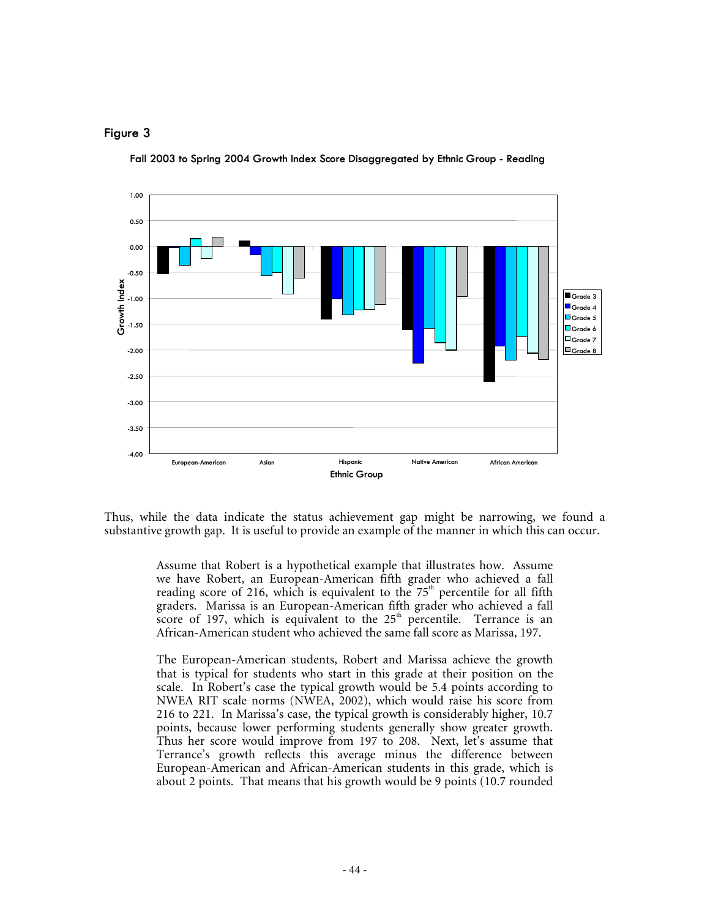#### **Figure 3**



**Fall 2003 to Spring 2004 Growth Index Score Disaggregated by Ethnic Group - Reading** 

Thus, while the data indicate the status achievement gap might be narrowing, we found a substantive growth gap. It is useful to provide an example of the manner in which this can occur.

> Assume that Robert is a hypothetical example that illustrates how. Assume we have Robert, an European-American fifth grader who achieved a fall reading score of 216, which is equivalent to the  $75<sup>th</sup>$  percentile for all fifth graders. Marissa is an European-American fifth grader who achieved a fall score of 197, which is equivalent to the  $25<sup>th</sup>$  percentile. Terrance is an African-American student who achieved the same fall score as Marissa, 197.

> The European-American students, Robert and Marissa achieve the growth that is typical for students who start in this grade at their position on the scale. In Robert's case the typical growth would be 5.4 points according to NWEA RIT scale norms (NWEA, 2002), which would raise his score from 216 to 221. In Marissa's case, the typical growth is considerably higher, 10.7 points, because lower performing students generally show greater growth. Thus her score would improve from 197 to 208. Next, let's assume that Terrance's growth reflects this average minus the difference between European-American and African-American students in this grade, which is about 2 points. That means that his growth would be 9 points (10.7 rounded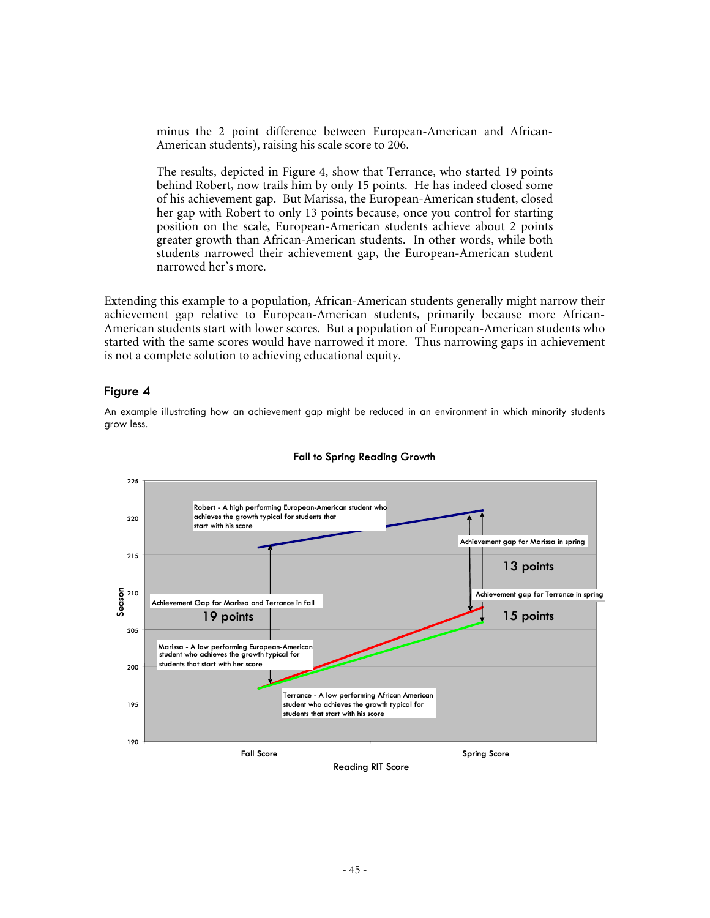minus the 2 point difference between European-American and African-American students), raising his scale score to 206.

The results, depicted in Figure 4, show that Terrance, who started 19 points behind Robert, now trails him by only 15 points. He has indeed closed some of his achievement gap. But Marissa, the European-American student, closed her gap with Robert to only 13 points because, once you control for starting position on the scale, European-American students achieve about 2 points greater growth than African-American students. In other words, while both students narrowed their achievement gap, the European-American student narrowed her's more.

Extending this example to a population, African-American students generally might narrow their achievement gap relative to European-American students, primarily because more African-American students start with lower scores. But a population of European-American students who started with the same scores would have narrowed it more. Thus narrowing gaps in achievement is not a complete solution to achieving educational equity.

#### **Figure 4**

An example illustrating how an achievement gap might be reduced in an environment in which minority students grow less.



#### **Fall to Spring Reading Growth**

**Reading RIT Score**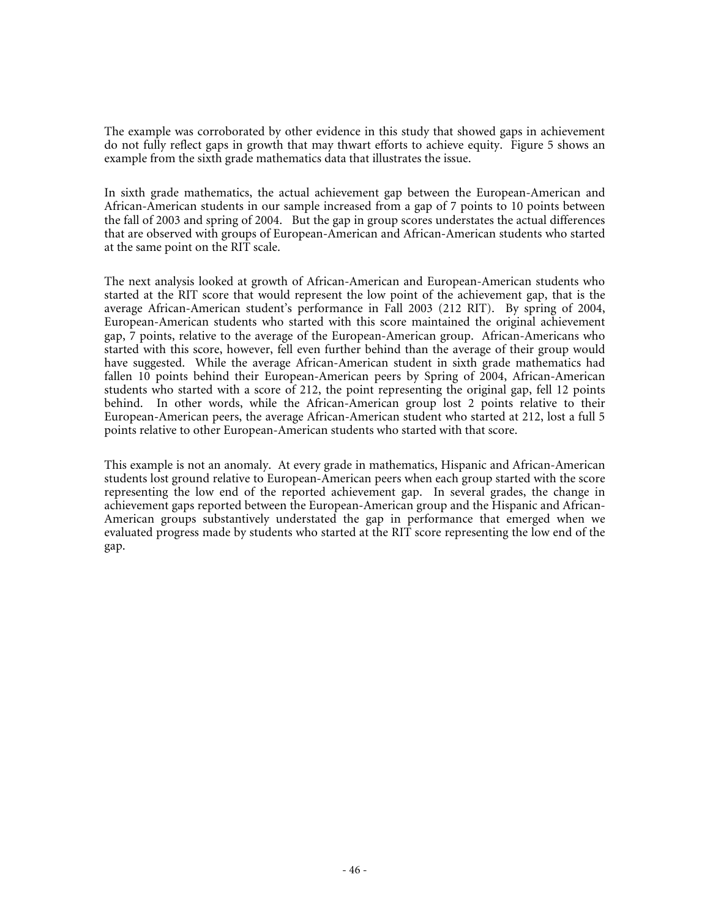The example was corroborated by other evidence in this study that showed gaps in achievement do not fully reflect gaps in growth that may thwart efforts to achieve equity. Figure 5 shows an example from the sixth grade mathematics data that illustrates the issue.

In sixth grade mathematics, the actual achievement gap between the European-American and African-American students in our sample increased from a gap of 7 points to 10 points between the fall of 2003 and spring of 2004. But the gap in group scores understates the actual differences that are observed with groups of European-American and African-American students who started at the same point on the RIT scale.

The next analysis looked at growth of African-American and European-American students who started at the RIT score that would represent the low point of the achievement gap, that is the average African-American student's performance in Fall 2003 (212 RIT). By spring of 2004, European-American students who started with this score maintained the original achievement gap, 7 points, relative to the average of the European-American group. African-Americans who started with this score, however, fell even further behind than the average of their group would have suggested. While the average African-American student in sixth grade mathematics had fallen 10 points behind their European-American peers by Spring of 2004, African-American students who started with a score of 212, the point representing the original gap, fell 12 points behind. In other words, while the African-American group lost 2 points relative to their European-American peers, the average African-American student who started at 212, lost a full 5 points relative to other European-American students who started with that score.

This example is not an anomaly. At every grade in mathematics, Hispanic and African-American students lost ground relative to European-American peers when each group started with the score representing the low end of the reported achievement gap. In several grades, the change in achievement gaps reported between the European-American group and the Hispanic and African-American groups substantively understated the gap in performance that emerged when we evaluated progress made by students who started at the RIT score representing the low end of the gap.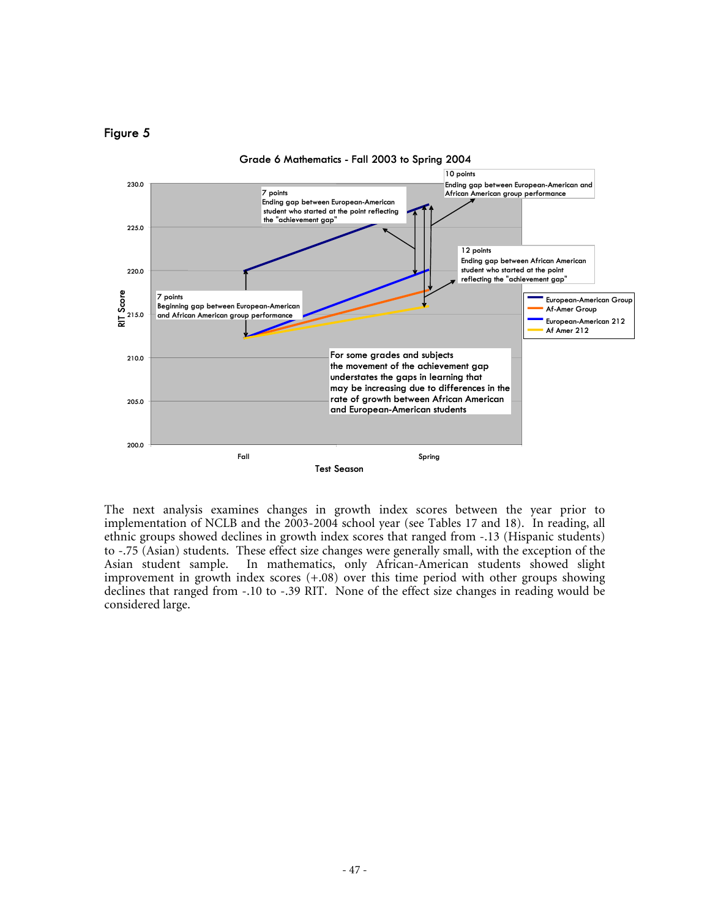#### **Figure 5**



The next analysis examines changes in growth index scores between the year prior to implementation of NCLB and the 2003-2004 school year (see Tables 17 and 18). In reading, all ethnic groups showed declines in growth index scores that ranged from -.13 (Hispanic students) to -.75 (Asian) students. These effect size changes were generally small, with the exception of the Asian student sample. In mathematics, only African-American students showed slight improvement in growth index scores (+.08) over this time period with other groups showing declines that ranged from -.10 to -.39 RIT. None of the effect size changes in reading would be considered large.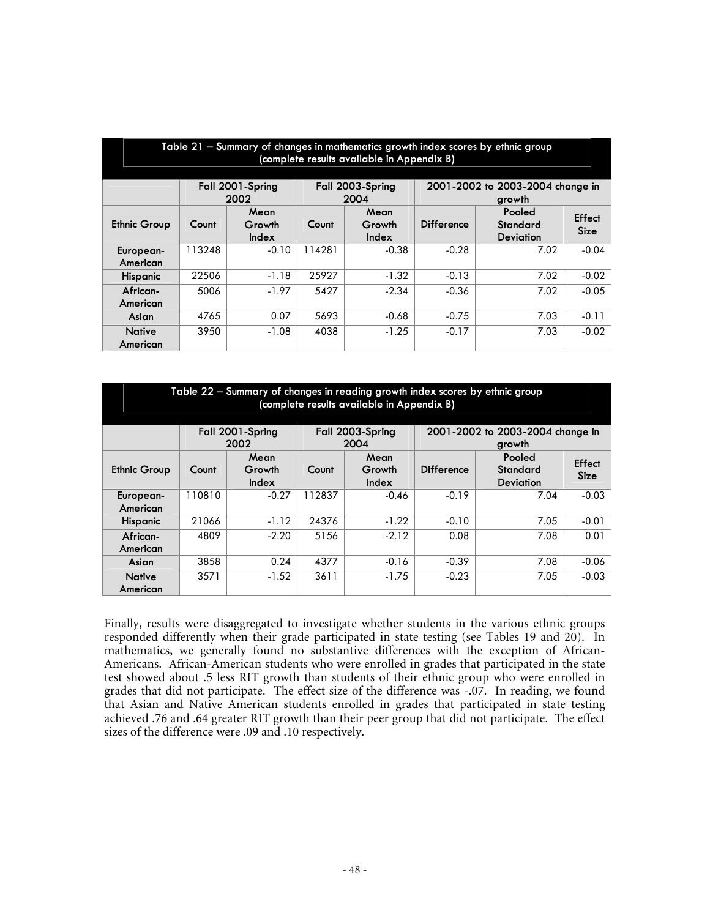|                                                                                                    | Table 21 – Summary of changes in mathematics growth index scores by ethnic group<br>(complete results available in Appendix B) |                         |        |                         |                   |                                        |                       |  |  |  |  |  |
|----------------------------------------------------------------------------------------------------|--------------------------------------------------------------------------------------------------------------------------------|-------------------------|--------|-------------------------|-------------------|----------------------------------------|-----------------------|--|--|--|--|--|
| Fall 2001-Spring<br>Fall 2003-Spring<br>2001-2002 to 2003-2004 change in<br>2002<br>2004<br>growth |                                                                                                                                |                         |        |                         |                   |                                        |                       |  |  |  |  |  |
| <b>Ethnic Group</b>                                                                                | Count                                                                                                                          | Mean<br>Growth<br>Index | Count  | Mean<br>Growth<br>Index | <b>Difference</b> | Pooled<br>Standard<br><b>Deviation</b> | Effect<br><b>Size</b> |  |  |  |  |  |
| European-<br>American                                                                              | 113248                                                                                                                         | $-0.10$                 | 114281 | $-0.38$                 | $-0.28$           | 7.02                                   | $-0.04$               |  |  |  |  |  |
| <b>Hispanic</b>                                                                                    | 22506                                                                                                                          | $-1.18$                 | 25927  | $-1.32$                 | $-0.13$           | 7.02                                   | $-0.02$               |  |  |  |  |  |
| African-<br>American                                                                               | 5006                                                                                                                           | $-1.97$                 | 5427   | $-2.34$                 | $-0.36$           | 7.02                                   | $-0.05$               |  |  |  |  |  |
| Asian                                                                                              | 0.07<br>5693<br>7.03<br>$-0.11$<br>4765<br>$-0.75$<br>$-0.68$                                                                  |                         |        |                         |                   |                                        |                       |  |  |  |  |  |
| <b>Native</b><br>American                                                                          | 3950                                                                                                                           | $-1.08$                 | 4038   | $-1.25$                 | $-0.17$           | 7.03                                   | $-0.02$               |  |  |  |  |  |

| Table 22 – Summary of changes in reading growth index scores by ethnic group<br>(complete results available in Appendix B) |                                                                                                                                                                     |         |        |         |         |      |         |  |  |  |  |
|----------------------------------------------------------------------------------------------------------------------------|---------------------------------------------------------------------------------------------------------------------------------------------------------------------|---------|--------|---------|---------|------|---------|--|--|--|--|
| Fall 2001-Spring<br>Fall 2003-Spring<br>2001-2002 to 2003-2004 change in<br>2004<br>2002<br>growth                         |                                                                                                                                                                     |         |        |         |         |      |         |  |  |  |  |
| <b>Ethnic Group</b>                                                                                                        | Pooled<br>Mean<br>Mean<br>Effect<br>Growth<br><b>Standard</b><br>Growth<br><b>Difference</b><br>Count<br>Count<br><b>Size</b><br>Index<br>Index<br><b>Deviation</b> |         |        |         |         |      |         |  |  |  |  |
| European-<br>American                                                                                                      | 110810                                                                                                                                                              | $-0.27$ | 112837 | $-0.46$ | $-0.19$ | 7.04 | $-0.03$ |  |  |  |  |
| <b>Hispanic</b>                                                                                                            | 21066                                                                                                                                                               | $-1.12$ | 24376  | $-1.22$ | $-0.10$ | 7.05 | $-0.01$ |  |  |  |  |
| African-<br>American                                                                                                       | 0.01<br>$-2.20$<br>$-2.12$<br>0.08<br>7.08<br>4809<br>5156                                                                                                          |         |        |         |         |      |         |  |  |  |  |
| Asian                                                                                                                      | 0.24<br>3858<br>$-0.39$<br>7.08<br>4377<br>$-0.16$<br>$-0.06$                                                                                                       |         |        |         |         |      |         |  |  |  |  |
| <b>Native</b><br>American                                                                                                  | 3611<br>$-0.23$<br>7.05<br>$-1.52$<br>$-0.03$<br>3571<br>$-1.75$                                                                                                    |         |        |         |         |      |         |  |  |  |  |

Finally, results were disaggregated to investigate whether students in the various ethnic groups responded differently when their grade participated in state testing (see Tables 19 and 20). In mathematics, we generally found no substantive differences with the exception of African-Americans. African-American students who were enrolled in grades that participated in the state test showed about .5 less RIT growth than students of their ethnic group who were enrolled in grades that did not participate. The effect size of the difference was -.07. In reading, we found that Asian and Native American students enrolled in grades that participated in state testing achieved .76 and .64 greater RIT growth than their peer group that did not participate. The effect sizes of the difference were .09 and .10 respectively.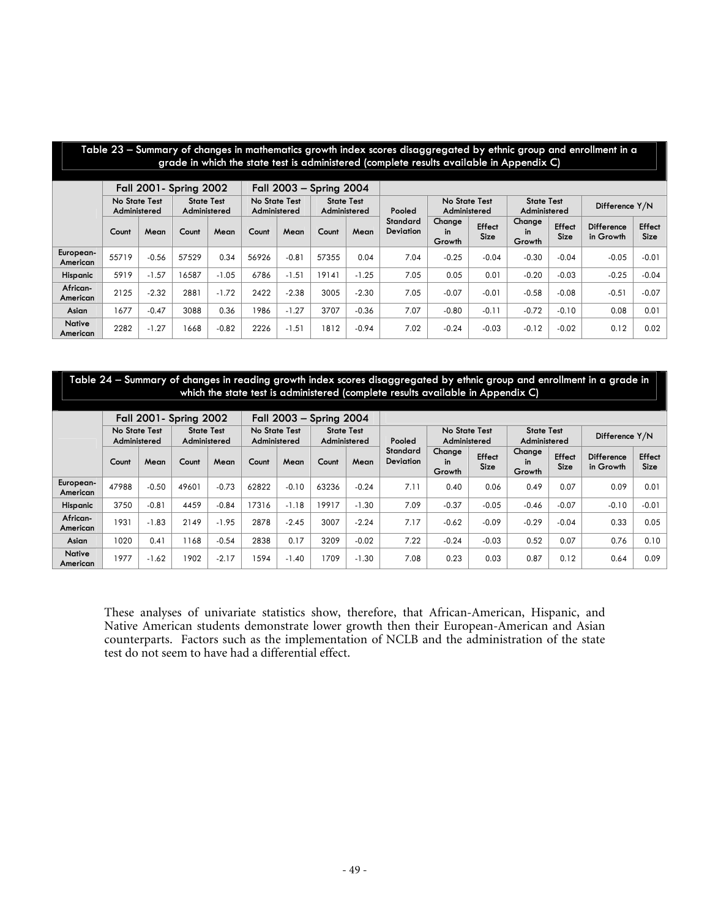|                                                                                                                                    | Table 23 – Summary of changes in mathematics growth index scores disaggregated by ethnic group and enrollment in a<br>grade in which the state test is administered (complete results available in Appendix C) |         |       |         |       |         |        |                               |                              |                                   |                       |                        |                       |                                |                       |
|------------------------------------------------------------------------------------------------------------------------------------|----------------------------------------------------------------------------------------------------------------------------------------------------------------------------------------------------------------|---------|-------|---------|-------|---------|--------|-------------------------------|------------------------------|-----------------------------------|-----------------------|------------------------|-----------------------|--------------------------------|-----------------------|
| <b>Fall 2001- Spring 2002</b><br>Fall 2003 - Spring 2004                                                                           |                                                                                                                                                                                                                |         |       |         |       |         |        |                               |                              |                                   |                       |                        |                       |                                |                       |
|                                                                                                                                    | No State Test<br><b>State Test</b><br>No State Test<br><b>State Test</b><br>Administered<br>Administered<br>Administered<br>Administered                                                                       |         |       |         |       |         | Pooled | No State Test<br>Administered |                              | <b>State Test</b><br>Administered |                       | Difference Y/N         |                       |                                |                       |
|                                                                                                                                    | Count                                                                                                                                                                                                          | Mean    | Count | Mean    | Count | Mean    | Count  | Mean                          | Standard<br><b>Deviation</b> | Change<br>in<br>Growth            | Effect<br><b>Size</b> | Change<br>in<br>Growth | Effect<br><b>Size</b> | <b>Difference</b><br>in Growth | Effect<br><b>Size</b> |
| European-<br>American                                                                                                              | 55719                                                                                                                                                                                                          | $-0.56$ | 57529 | 0.34    | 56926 | $-0.81$ | 57355  | 0.04                          | 7.04                         | $-0.25$                           | $-0.04$               | $-0.30$                | $-0.04$               | $-0.05$                        | $-0.01$               |
| <b>Hispanic</b>                                                                                                                    | 5919                                                                                                                                                                                                           | $-1.57$ | 16587 | $-1.05$ | 6786  | $-1.51$ | 19141  | $-1.25$                       | 7.05                         | 0.05                              | 0.01                  | $-0.20$                | $-0.03$               | $-0.25$                        | $-0.04$               |
| African-<br>American                                                                                                               | 2125                                                                                                                                                                                                           | $-2.32$ | 2881  | $-1.72$ | 2422  | $-2.38$ | 3005   | $-2.30$                       | 7.05                         | $-0.07$                           | $-0.01$               | $-0.58$                | $-0.08$               | $-0.51$                        | $-0.07$               |
| $-0.47$<br>3088<br>0.36<br>$-1.27$<br>3707<br>$-0.36$<br>7.07<br>$-0.72$<br>1677<br>1986<br>$-0.80$<br>$-0.11$<br>$-0.10$<br>Asian |                                                                                                                                                                                                                |         |       |         |       |         |        | 0.08                          | 0.01                         |                                   |                       |                        |                       |                                |                       |
| <b>Native</b><br>American                                                                                                          | 2282                                                                                                                                                                                                           | $-1.27$ | 1668  | $-0.82$ | 2226  | $-1.51$ | 1812   | $-0.94$                       | 7.02                         | $-0.24$                           | $-0.03$               | $-0.12$                | $-0.02$               | 0.12                           | 0.02                  |

| Table 24 – Summary of changes in reading growth index scores disaggregated by ethnic group and enrollment in a grade in |
|-------------------------------------------------------------------------------------------------------------------------|
| which the state test is administered (complete results available in Appendix C)                                         |
|                                                                                                                         |

|                           |                               |         | Fall 2001 - Spring 2002           |         |                               | Fall 2003 - Spring 2004 |                                   |         |                              |                               |                       |                               |                                   |                                |                       |  |
|---------------------------|-------------------------------|---------|-----------------------------------|---------|-------------------------------|-------------------------|-----------------------------------|---------|------------------------------|-------------------------------|-----------------------|-------------------------------|-----------------------------------|--------------------------------|-----------------------|--|
|                           | No State Test<br>Administered |         | <b>State Test</b><br>Administered |         | No State Test<br>Administered |                         | <b>State Test</b><br>Administered |         | Pooled                       | No State Test<br>Administered |                       |                               | <b>State Test</b><br>Administered |                                | Difference Y/N        |  |
|                           | Count                         | Mean    | Count                             | Mean    | Count                         | Mean                    | Count                             | Mean    | Standard<br><b>Deviation</b> | Change<br>in<br>Growth        | Effect<br><b>Size</b> | Change<br><b>in</b><br>Growth | Effect<br><b>Size</b>             | <b>Difference</b><br>in Growth | Effect<br><b>Size</b> |  |
| European-<br>American     | 47988                         | $-0.50$ | 49601                             | $-0.73$ | 62822                         | $-0.10$                 | 63236                             | $-0.24$ | 7.11                         | 0.40                          | 0.06                  | 0.49                          | 0.07                              | 0.09                           | 0.01                  |  |
| Hispanic                  | 3750                          | $-0.81$ | 4459                              | $-0.84$ | 17316                         | $-1.18$                 | 9917                              | $-1.30$ | 7.09                         | $-0.37$                       | $-0.05$               | $-0.46$                       | $-0.07$                           | $-0.10$                        | $-0.01$               |  |
| African-<br>American      | 1931                          | $-1.83$ | 2149                              | $-1.95$ | 2878                          | $-2.45$                 | 3007                              | $-2.24$ | 7.17                         | $-0.62$                       | $-0.09$               | $-0.29$                       | $-0.04$                           | 0.33                           | 0.05                  |  |
| Asian                     | 1020                          | 0.41    | 1168                              | $-0.54$ | 2838                          | 0.17                    | 3209                              | $-0.02$ | 7.22                         | $-0.24$                       | $-0.03$               | 0.52                          | 0.07                              | 0.76                           | 0.10                  |  |
| <b>Native</b><br>American | 1977                          | $-1.62$ | 1902                              | $-2.17$ | 1594                          | $-1.40$                 | 1709                              | $-1.30$ | 7.08                         | 0.23                          | 0.03                  | 0.87                          | 0.12                              | 0.64                           | 0.09                  |  |

These analyses of univariate statistics show, therefore, that African-American, Hispanic, and Native American students demonstrate lower growth then their European-American and Asian counterparts. Factors such as the implementation of NCLB and the administration of the state test do not seem to have had a differential effect.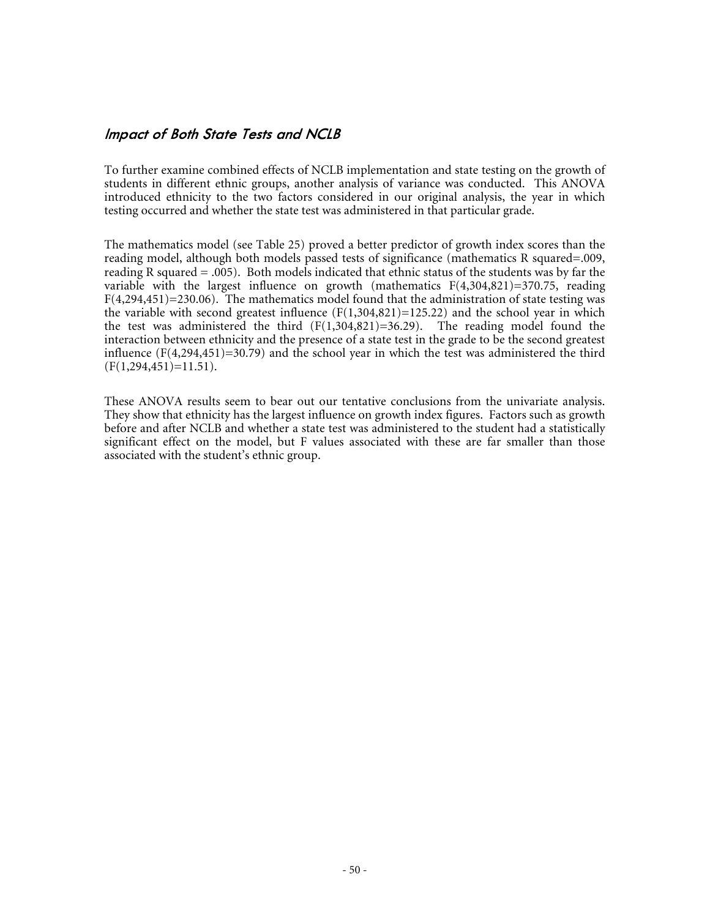#### **Impact of Both State Tests and NCLB**

To further examine combined effects of NCLB implementation and state testing on the growth of students in different ethnic groups, another analysis of variance was conducted. This ANOVA introduced ethnicity to the two factors considered in our original analysis, the year in which testing occurred and whether the state test was administered in that particular grade.

The mathematics model (see Table 25) proved a better predictor of growth index scores than the reading model, although both models passed tests of significance (mathematics R squared=.009, reading R squared  $= .005$ ). Both models indicated that ethnic status of the students was by far the variable with the largest influence on growth (mathematics  $F(4,304,821)=370.75$ , reading  $F(4,294,451)=230.06$ . The mathematics model found that the administration of state testing was the variable with second greatest influence  $(F(1,304,821)=125.22)$  and the school year in which the test was administered the third  $(F(1,304,821)=36.29)$ . The reading model found the interaction between ethnicity and the presence of a state test in the grade to be the second greatest influence  $(F(4,294,451)=30.79)$  and the school year in which the test was administered the third  $(F(1, 294, 451)=11.51)$ .

These ANOVA results seem to bear out our tentative conclusions from the univariate analysis. They show that ethnicity has the largest influence on growth index figures. Factors such as growth before and after NCLB and whether a state test was administered to the student had a statistically significant effect on the model, but F values associated with these are far smaller than those associated with the student's ethnic group.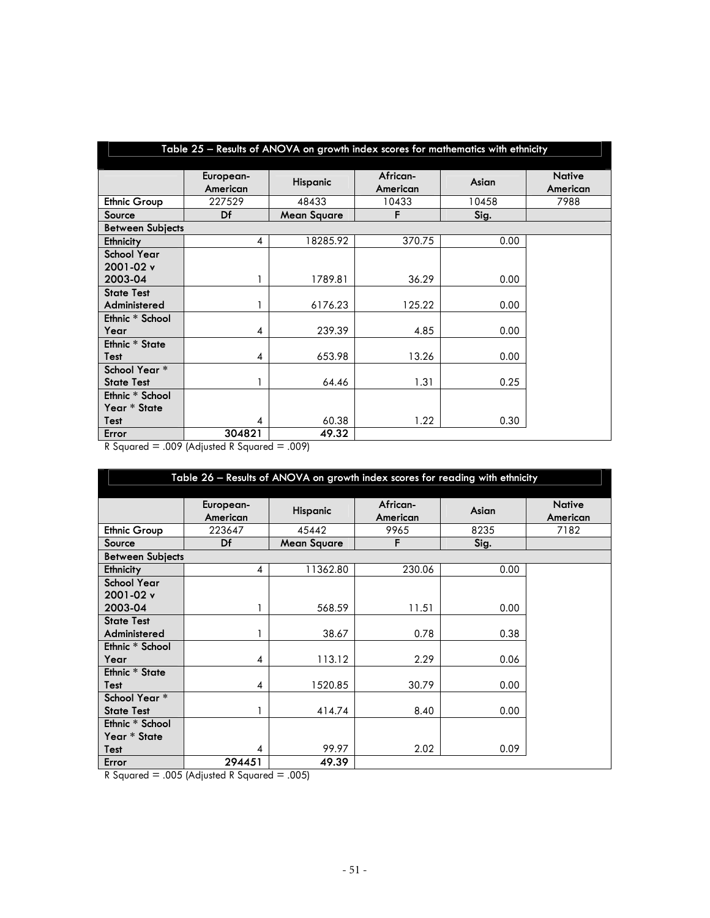|                         |                       | Table 25 - Results of ANOVA on growth index scores for mathematics with ethnicity |                      |       |                           |
|-------------------------|-----------------------|-----------------------------------------------------------------------------------|----------------------|-------|---------------------------|
|                         |                       |                                                                                   |                      |       |                           |
|                         | European-<br>American | Hispanic                                                                          | African-<br>American | Asian | <b>Native</b><br>American |
| <b>Ethnic Group</b>     | 227529                | 48433                                                                             | 10433                | 10458 | 7988                      |
| Source                  | Df                    | <b>Mean Square</b>                                                                | F                    | Sig.  |                           |
| <b>Between Subjects</b> |                       |                                                                                   |                      |       |                           |
| Ethnicity               | 4                     | 18285.92                                                                          | 370.75               | 0.00  |                           |
| <b>School Year</b>      |                       |                                                                                   |                      |       |                           |
| 2001-02 v               |                       |                                                                                   |                      |       |                           |
| 2003-04                 |                       | 1789.81                                                                           | 36.29                | 0.00  |                           |
| <b>State Test</b>       |                       |                                                                                   |                      |       |                           |
| Administered            |                       | 6176.23                                                                           | 125.22               | 0.00  |                           |
| Ethnic * School         |                       |                                                                                   |                      |       |                           |
| Year                    | 4                     | 239.39                                                                            | 4.85                 | 0.00  |                           |
| Ethnic * State          |                       |                                                                                   |                      |       |                           |
| Test                    | 4                     | 653.98                                                                            | 13.26                | 0.00  |                           |
| School Year *           |                       |                                                                                   |                      |       |                           |
| <b>State Test</b>       |                       | 64.46                                                                             | 1.31                 | 0.25  |                           |
| Ethnic * School         |                       |                                                                                   |                      |       |                           |
| Year * State            |                       |                                                                                   |                      |       |                           |
| Test                    | 4                     | 60.38                                                                             | 1.22                 | 0.30  |                           |
| Error                   | 304821                | 49.32                                                                             |                      |       |                           |

 $R$  Squared = .009 (Adjusted R Squared = .009)

|                         | Table 26 - Results of ANOVA on growth index scores for reading with ethnicity |                    |                      |       |                           |  |  |  |  |  |
|-------------------------|-------------------------------------------------------------------------------|--------------------|----------------------|-------|---------------------------|--|--|--|--|--|
|                         |                                                                               |                    |                      |       |                           |  |  |  |  |  |
|                         | European-<br>American                                                         | Hispanic           | African-<br>American | Asian | <b>Native</b><br>American |  |  |  |  |  |
| <b>Ethnic Group</b>     | 223647                                                                        | 45442              | 9965                 | 8235  | 7182                      |  |  |  |  |  |
| Source                  | Df                                                                            | <b>Mean Square</b> | F                    | Sig.  |                           |  |  |  |  |  |
| <b>Between Subjects</b> |                                                                               |                    |                      |       |                           |  |  |  |  |  |
| Ethnicity               | 4                                                                             | 11362.80           | 230.06               | 0.00  |                           |  |  |  |  |  |
| <b>School Year</b>      |                                                                               |                    |                      |       |                           |  |  |  |  |  |
| 2001-02 v               |                                                                               |                    |                      |       |                           |  |  |  |  |  |
| 2003-04                 |                                                                               | 568.59             | 11.51                | 0.00  |                           |  |  |  |  |  |
| <b>State Test</b>       |                                                                               |                    |                      |       |                           |  |  |  |  |  |
| Administered            |                                                                               | 38.67              | 0.78                 | 0.38  |                           |  |  |  |  |  |
| Ethnic * School         |                                                                               |                    |                      |       |                           |  |  |  |  |  |
| Year                    | 4                                                                             | 113.12             | 2.29                 | 0.06  |                           |  |  |  |  |  |
| <b>Ethnic * State</b>   |                                                                               |                    |                      |       |                           |  |  |  |  |  |
| Test                    | 4                                                                             | 1520.85            | 30.79                | 0.00  |                           |  |  |  |  |  |
| School Year *           |                                                                               |                    |                      |       |                           |  |  |  |  |  |
| <b>State Test</b>       |                                                                               | 414.74             | 8.40                 | 0.00  |                           |  |  |  |  |  |
| Ethnic * School         |                                                                               |                    |                      |       |                           |  |  |  |  |  |
| Year * State            |                                                                               |                    |                      |       |                           |  |  |  |  |  |
| Test                    | 4                                                                             | 99.97              | 2.02                 | 0.09  |                           |  |  |  |  |  |
| Error                   | 294451                                                                        | 49.39              |                      |       |                           |  |  |  |  |  |

R Squared = .005 (Adjusted R Squared = .005)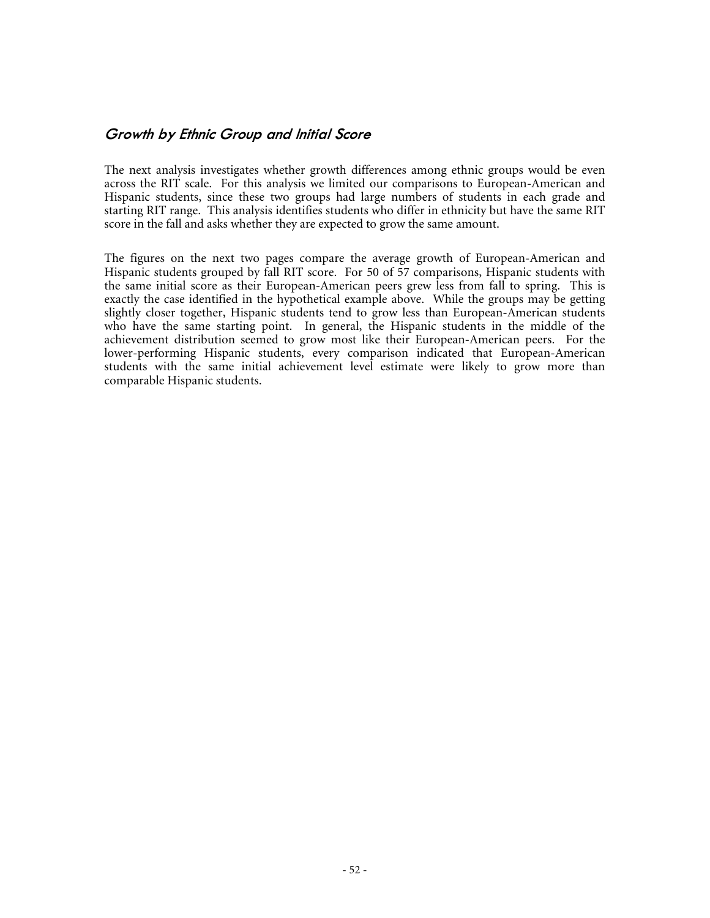#### **Growth by Ethnic Group and Initial Score**

The next analysis investigates whether growth differences among ethnic groups would be even across the RIT scale. For this analysis we limited our comparisons to European-American and Hispanic students, since these two groups had large numbers of students in each grade and starting RIT range. This analysis identifies students who differ in ethnicity but have the same RIT score in the fall and asks whether they are expected to grow the same amount.

The figures on the next two pages compare the average growth of European-American and Hispanic students grouped by fall RIT score. For 50 of 57 comparisons, Hispanic students with the same initial score as their European-American peers grew less from fall to spring. This is exactly the case identified in the hypothetical example above. While the groups may be getting slightly closer together, Hispanic students tend to grow less than European-American students who have the same starting point. In general, the Hispanic students in the middle of the achievement distribution seemed to grow most like their European-American peers. For the lower-performing Hispanic students, every comparison indicated that European-American students with the same initial achievement level estimate were likely to grow more than comparable Hispanic students.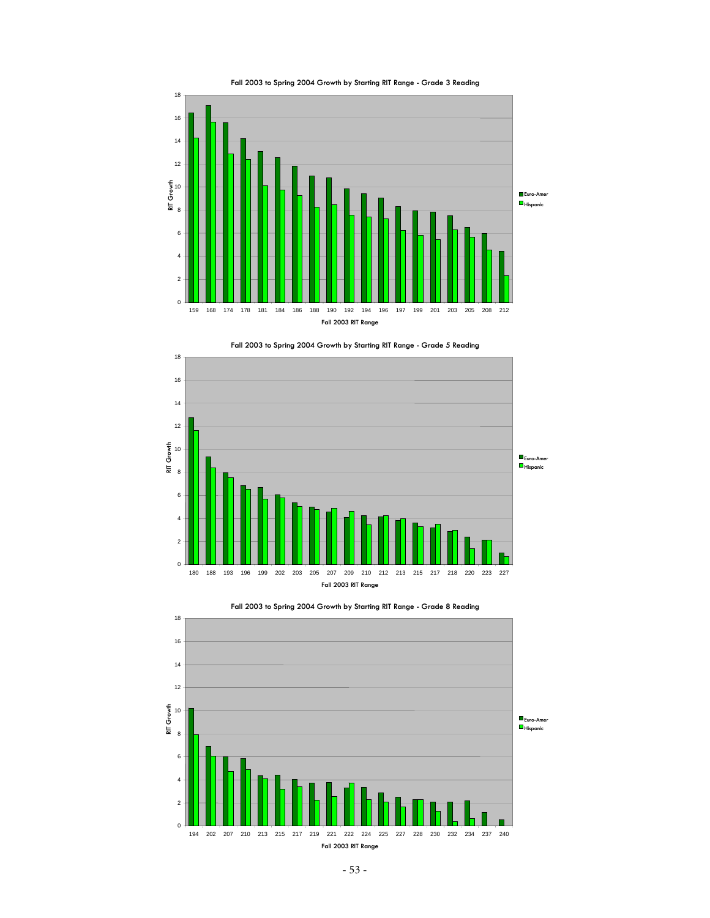



 188 193 196 199 202 203 205 207 209 210 212 213 215 217 218 220 223 227 **Fall 2003 RIT Range**

 $0<sup>1</sup>$  

**RIT Growth** 

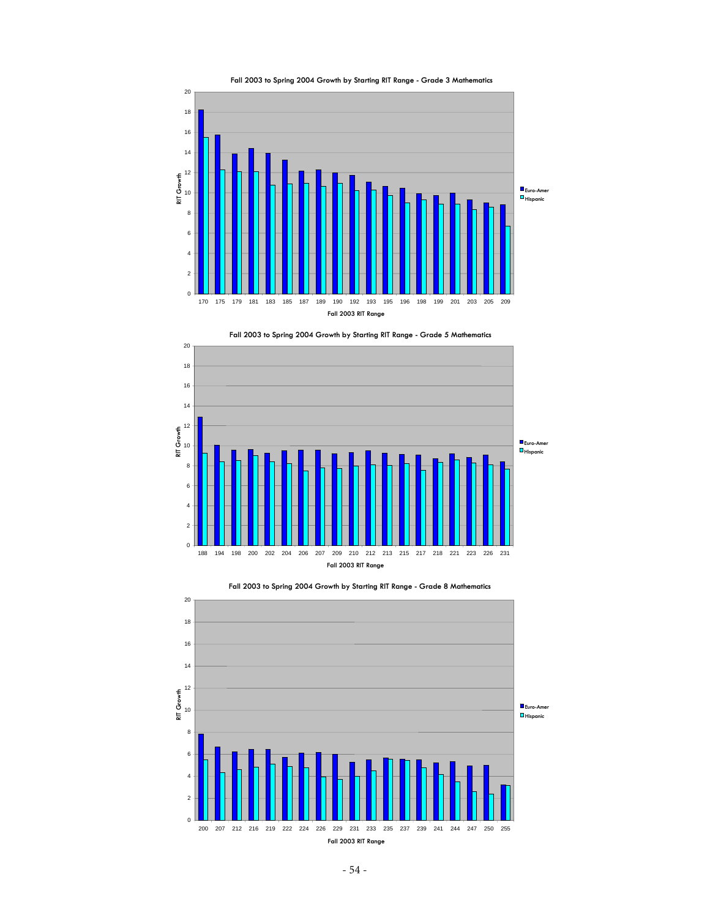







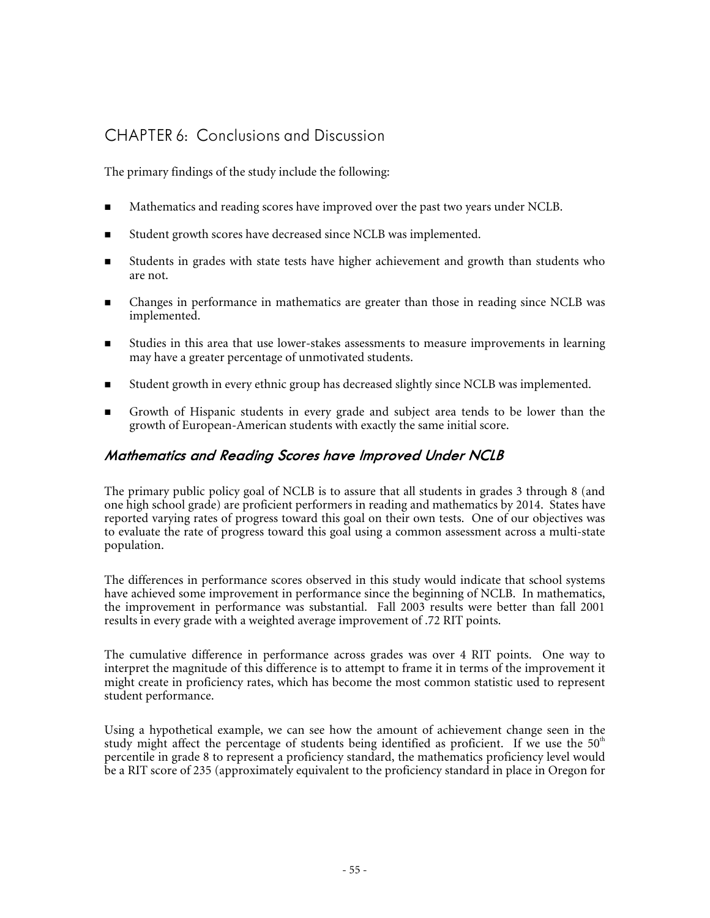# CHAPTER 6: Conclusions and Discussion

The primary findings of the study include the following:

- **Mathematics and reading scores have improved over the past two years under NCLB.**
- Student growth scores have decreased since NCLB was implemented.
- Students in grades with state tests have higher achievement and growth than students who are not.
- **EXECUTE:** Changes in performance in mathematics are greater than those in reading since NCLB was implemented.
- Studies in this area that use lower-stakes assessments to measure improvements in learning may have a greater percentage of unmotivated students.
- Student growth in every ethnic group has decreased slightly since NCLB was implemented.
- Growth of Hispanic students in every grade and subject area tends to be lower than the growth of European-American students with exactly the same initial score.

## **Mathematics and Reading Scores have Improved Under NCLB**

The primary public policy goal of NCLB is to assure that all students in grades 3 through 8 (and one high school grade) are proficient performers in reading and mathematics by 2014. States have reported varying rates of progress toward this goal on their own tests. One of our objectives was to evaluate the rate of progress toward this goal using a common assessment across a multi-state population.

The differences in performance scores observed in this study would indicate that school systems have achieved some improvement in performance since the beginning of NCLB. In mathematics, the improvement in performance was substantial. Fall 2003 results were better than fall 2001 results in every grade with a weighted average improvement of .72 RIT points.

The cumulative difference in performance across grades was over 4 RIT points. One way to interpret the magnitude of this difference is to attempt to frame it in terms of the improvement it might create in proficiency rates, which has become the most common statistic used to represent student performance.

Using a hypothetical example, we can see how the amount of achievement change seen in the study might affect the percentage of students being identified as proficient. If we use the  $50<sup>th</sup>$ percentile in grade 8 to represent a proficiency standard, the mathematics proficiency level would be a RIT score of 235 (approximately equivalent to the proficiency standard in place in Oregon for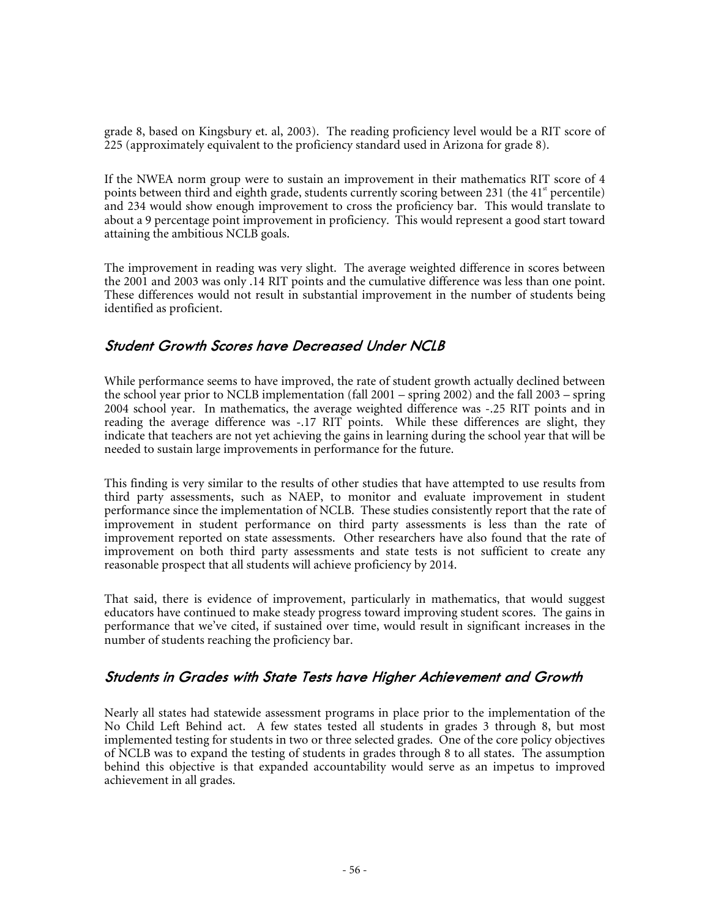grade 8, based on Kingsbury et. al, 2003). The reading proficiency level would be a RIT score of 225 (approximately equivalent to the proficiency standard used in Arizona for grade 8).

If the NWEA norm group were to sustain an improvement in their mathematics RIT score of 4 points between third and eighth grade, students currently scoring between 231 (the  $41^{\circ}$  percentile) and 234 would show enough improvement to cross the proficiency bar. This would translate to about a 9 percentage point improvement in proficiency. This would represent a good start toward attaining the ambitious NCLB goals.

The improvement in reading was very slight. The average weighted difference in scores between the 2001 and 2003 was only .14 RIT points and the cumulative difference was less than one point. These differences would not result in substantial improvement in the number of students being identified as proficient.

### **Student Growth Scores have Decreased Under NCLB**

While performance seems to have improved, the rate of student growth actually declined between the school year prior to NCLB implementation (fall 2001 – spring 2002) and the fall 2003 – spring 2004 school year. In mathematics, the average weighted difference was -.25 RIT points and in reading the average difference was -.17 RIT points. While these differences are slight, they indicate that teachers are not yet achieving the gains in learning during the school year that will be needed to sustain large improvements in performance for the future.

This finding is very similar to the results of other studies that have attempted to use results from third party assessments, such as NAEP, to monitor and evaluate improvement in student performance since the implementation of NCLB. These studies consistently report that the rate of improvement in student performance on third party assessments is less than the rate of improvement reported on state assessments. Other researchers have also found that the rate of improvement on both third party assessments and state tests is not sufficient to create any reasonable prospect that all students will achieve proficiency by 2014.

That said, there is evidence of improvement, particularly in mathematics, that would suggest educators have continued to make steady progress toward improving student scores. The gains in performance that we've cited, if sustained over time, would result in significant increases in the number of students reaching the proficiency bar.

## **Students in Grades with State Tests have Higher Achievement and Growth**

Nearly all states had statewide assessment programs in place prior to the implementation of the No Child Left Behind act. A few states tested all students in grades 3 through 8, but most implemented testing for students in two or three selected grades. One of the core policy objectives of NCLB was to expand the testing of students in grades through 8 to all states. The assumption behind this objective is that expanded accountability would serve as an impetus to improved achievement in all grades.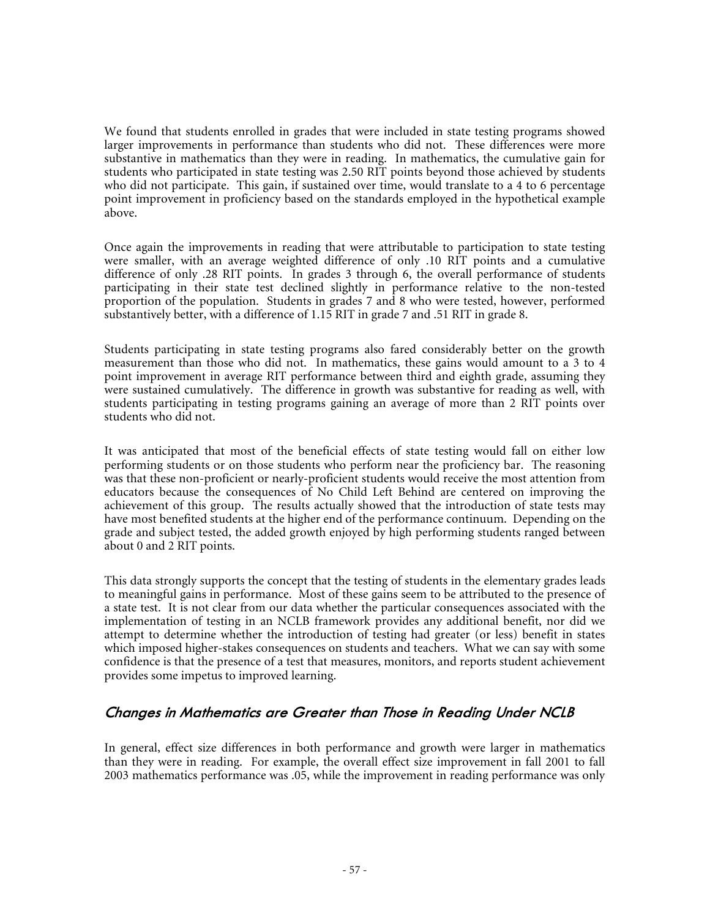We found that students enrolled in grades that were included in state testing programs showed larger improvements in performance than students who did not. These differences were more substantive in mathematics than they were in reading. In mathematics, the cumulative gain for students who participated in state testing was 2.50 RIT points beyond those achieved by students who did not participate. This gain, if sustained over time, would translate to a 4 to 6 percentage point improvement in proficiency based on the standards employed in the hypothetical example above.

Once again the improvements in reading that were attributable to participation to state testing were smaller, with an average weighted difference of only .10 RIT points and a cumulative difference of only .28 RIT points. In grades 3 through 6, the overall performance of students participating in their state test declined slightly in performance relative to the non-tested proportion of the population. Students in grades 7 and 8 who were tested, however, performed substantively better, with a difference of 1.15 RIT in grade 7 and .51 RIT in grade 8.

Students participating in state testing programs also fared considerably better on the growth measurement than those who did not. In mathematics, these gains would amount to a 3 to 4 point improvement in average RIT performance between third and eighth grade, assuming they were sustained cumulatively. The difference in growth was substantive for reading as well, with students participating in testing programs gaining an average of more than 2 RIT points over students who did not.

It was anticipated that most of the beneficial effects of state testing would fall on either low performing students or on those students who perform near the proficiency bar. The reasoning was that these non-proficient or nearly-proficient students would receive the most attention from educators because the consequences of No Child Left Behind are centered on improving the achievement of this group. The results actually showed that the introduction of state tests may have most benefited students at the higher end of the performance continuum. Depending on the grade and subject tested, the added growth enjoyed by high performing students ranged between about 0 and 2 RIT points.

This data strongly supports the concept that the testing of students in the elementary grades leads to meaningful gains in performance. Most of these gains seem to be attributed to the presence of a state test. It is not clear from our data whether the particular consequences associated with the implementation of testing in an NCLB framework provides any additional benefit, nor did we attempt to determine whether the introduction of testing had greater (or less) benefit in states which imposed higher-stakes consequences on students and teachers. What we can say with some confidence is that the presence of a test that measures, monitors, and reports student achievement provides some impetus to improved learning.

## **Changes in Mathematics are Greater than Those in Reading Under NCLB**

In general, effect size differences in both performance and growth were larger in mathematics than they were in reading. For example, the overall effect size improvement in fall 2001 to fall 2003 mathematics performance was .05, while the improvement in reading performance was only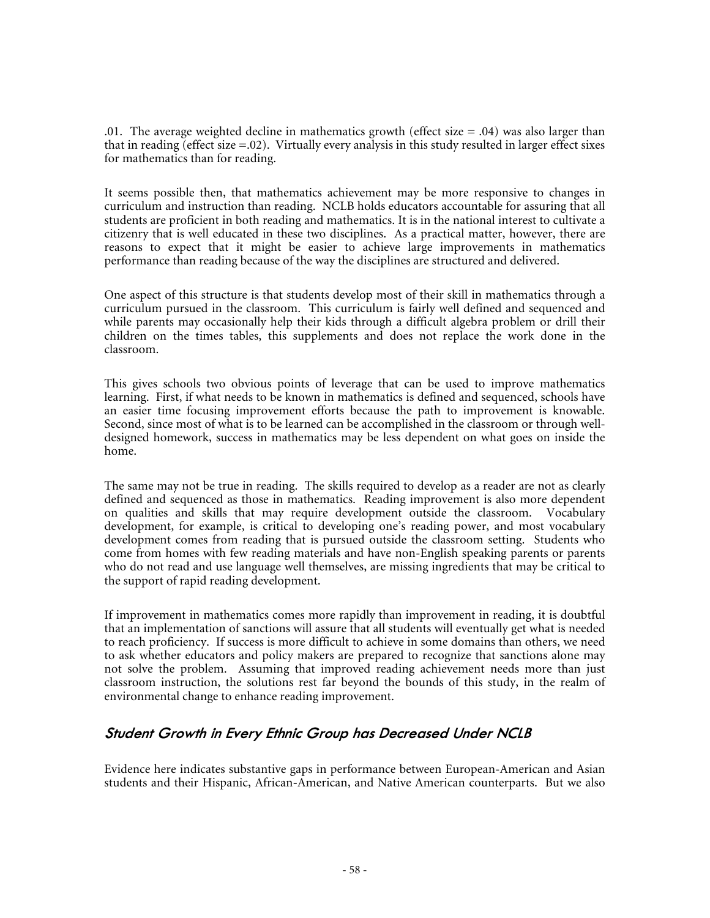.01. The average weighted decline in mathematics growth (effect size  $= .04$ ) was also larger than that in reading (effect size =.02). Virtually every analysis in this study resulted in larger effect sixes for mathematics than for reading.

It seems possible then, that mathematics achievement may be more responsive to changes in curriculum and instruction than reading. NCLB holds educators accountable for assuring that all students are proficient in both reading and mathematics. It is in the national interest to cultivate a citizenry that is well educated in these two disciplines. As a practical matter, however, there are reasons to expect that it might be easier to achieve large improvements in mathematics performance than reading because of the way the disciplines are structured and delivered.

One aspect of this structure is that students develop most of their skill in mathematics through a curriculum pursued in the classroom. This curriculum is fairly well defined and sequenced and while parents may occasionally help their kids through a difficult algebra problem or drill their children on the times tables, this supplements and does not replace the work done in the classroom.

This gives schools two obvious points of leverage that can be used to improve mathematics learning. First, if what needs to be known in mathematics is defined and sequenced, schools have an easier time focusing improvement efforts because the path to improvement is knowable. Second, since most of what is to be learned can be accomplished in the classroom or through welldesigned homework, success in mathematics may be less dependent on what goes on inside the home.

The same may not be true in reading. The skills required to develop as a reader are not as clearly defined and sequenced as those in mathematics. Reading improvement is also more dependent on qualities and skills that may require development outside the classroom. Vocabulary development, for example, is critical to developing one's reading power, and most vocabulary development comes from reading that is pursued outside the classroom setting. Students who come from homes with few reading materials and have non-English speaking parents or parents who do not read and use language well themselves, are missing ingredients that may be critical to the support of rapid reading development.

If improvement in mathematics comes more rapidly than improvement in reading, it is doubtful that an implementation of sanctions will assure that all students will eventually get what is needed to reach proficiency. If success is more difficult to achieve in some domains than others, we need to ask whether educators and policy makers are prepared to recognize that sanctions alone may not solve the problem. Assuming that improved reading achievement needs more than just classroom instruction, the solutions rest far beyond the bounds of this study, in the realm of environmental change to enhance reading improvement.

### **Student Growth in Every Ethnic Group has Decreased Under NCLB**

Evidence here indicates substantive gaps in performance between European-American and Asian students and their Hispanic, African-American, and Native American counterparts. But we also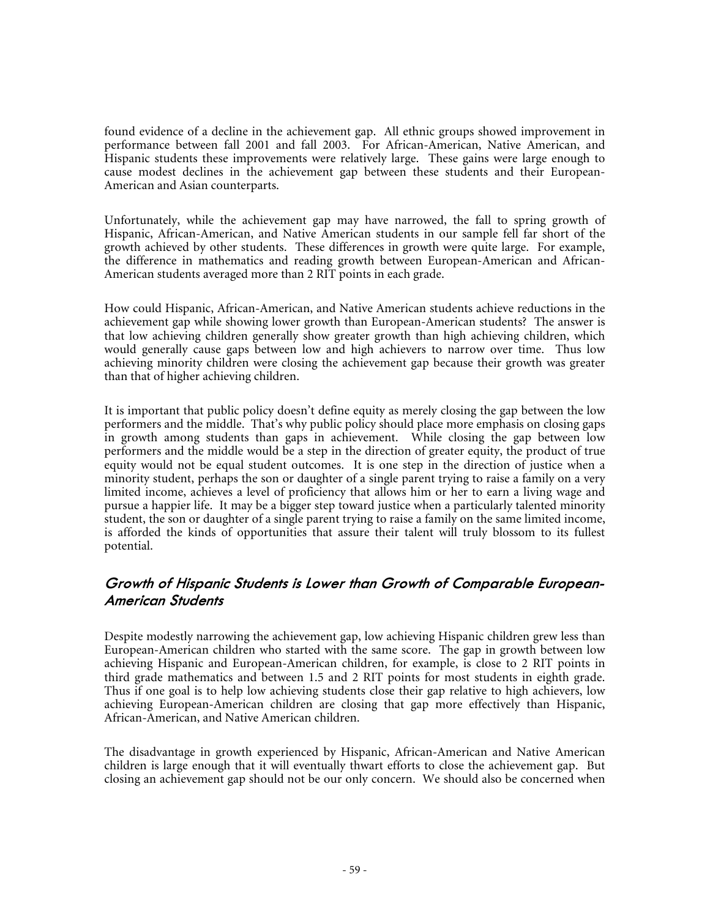found evidence of a decline in the achievement gap. All ethnic groups showed improvement in performance between fall 2001 and fall 2003. For African-American, Native American, and Hispanic students these improvements were relatively large. These gains were large enough to cause modest declines in the achievement gap between these students and their European-American and Asian counterparts.

Unfortunately, while the achievement gap may have narrowed, the fall to spring growth of Hispanic, African-American, and Native American students in our sample fell far short of the growth achieved by other students. These differences in growth were quite large. For example, the difference in mathematics and reading growth between European-American and African-American students averaged more than 2 RIT points in each grade.

How could Hispanic, African-American, and Native American students achieve reductions in the achievement gap while showing lower growth than European-American students? The answer is that low achieving children generally show greater growth than high achieving children, which would generally cause gaps between low and high achievers to narrow over time. Thus low achieving minority children were closing the achievement gap because their growth was greater than that of higher achieving children.

It is important that public policy doesn't define equity as merely closing the gap between the low performers and the middle. That's why public policy should place more emphasis on closing gaps in growth among students than gaps in achievement. While closing the gap between low performers and the middle would be a step in the direction of greater equity, the product of true equity would not be equal student outcomes. It is one step in the direction of justice when a minority student, perhaps the son or daughter of a single parent trying to raise a family on a very limited income, achieves a level of proficiency that allows him or her to earn a living wage and pursue a happier life. It may be a bigger step toward justice when a particularly talented minority student, the son or daughter of a single parent trying to raise a family on the same limited income, is afforded the kinds of opportunities that assure their talent will truly blossom to its fullest potential.

## **Growth of Hispanic Students is Lower than Growth of Comparable European-American Students**

Despite modestly narrowing the achievement gap, low achieving Hispanic children grew less than European-American children who started with the same score. The gap in growth between low achieving Hispanic and European-American children, for example, is close to 2 RIT points in third grade mathematics and between 1.5 and 2 RIT points for most students in eighth grade. Thus if one goal is to help low achieving students close their gap relative to high achievers, low achieving European-American children are closing that gap more effectively than Hispanic, African-American, and Native American children.

The disadvantage in growth experienced by Hispanic, African-American and Native American children is large enough that it will eventually thwart efforts to close the achievement gap. But closing an achievement gap should not be our only concern. We should also be concerned when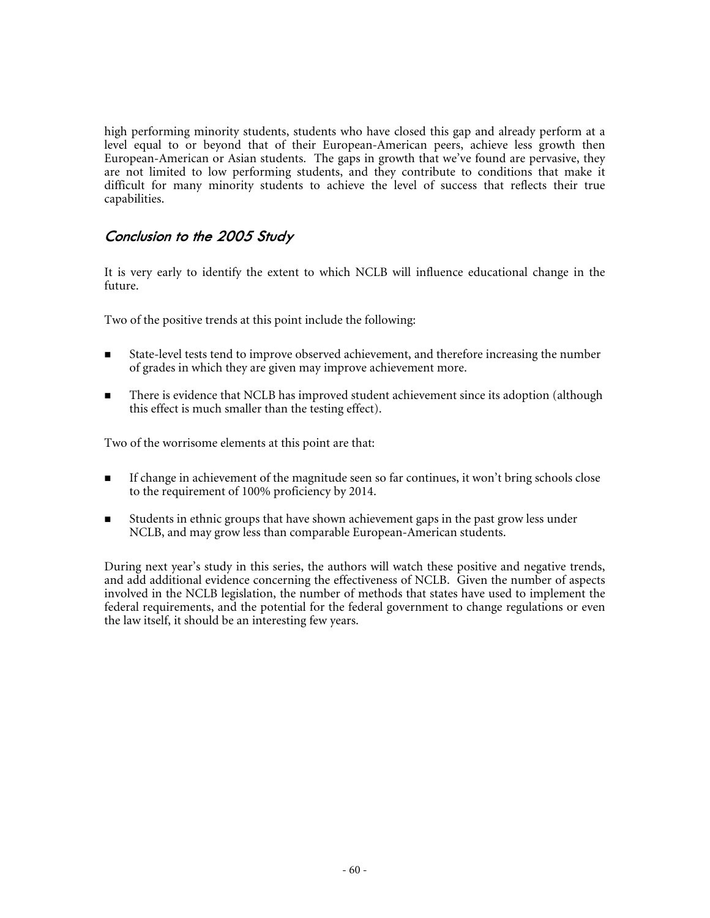high performing minority students, students who have closed this gap and already perform at a level equal to or beyond that of their European-American peers, achieve less growth then European-American or Asian students. The gaps in growth that we've found are pervasive, they are not limited to low performing students, and they contribute to conditions that make it difficult for many minority students to achieve the level of success that reflects their true capabilities.

## **Conclusion to the 2005 Study**

It is very early to identify the extent to which NCLB will influence educational change in the future.

Two of the positive trends at this point include the following:

- State-level tests tend to improve observed achievement, and therefore increasing the number of grades in which they are given may improve achievement more.
- There is evidence that NCLB has improved student achievement since its adoption (although this effect is much smaller than the testing effect).

Two of the worrisome elements at this point are that:

- If change in achievement of the magnitude seen so far continues, it won't bring schools close to the requirement of 100% proficiency by 2014.
- Students in ethnic groups that have shown achievement gaps in the past grow less under NCLB, and may grow less than comparable European-American students.

During next year's study in this series, the authors will watch these positive and negative trends, and add additional evidence concerning the effectiveness of NCLB. Given the number of aspects involved in the NCLB legislation, the number of methods that states have used to implement the federal requirements, and the potential for the federal government to change regulations or even the law itself, it should be an interesting few years.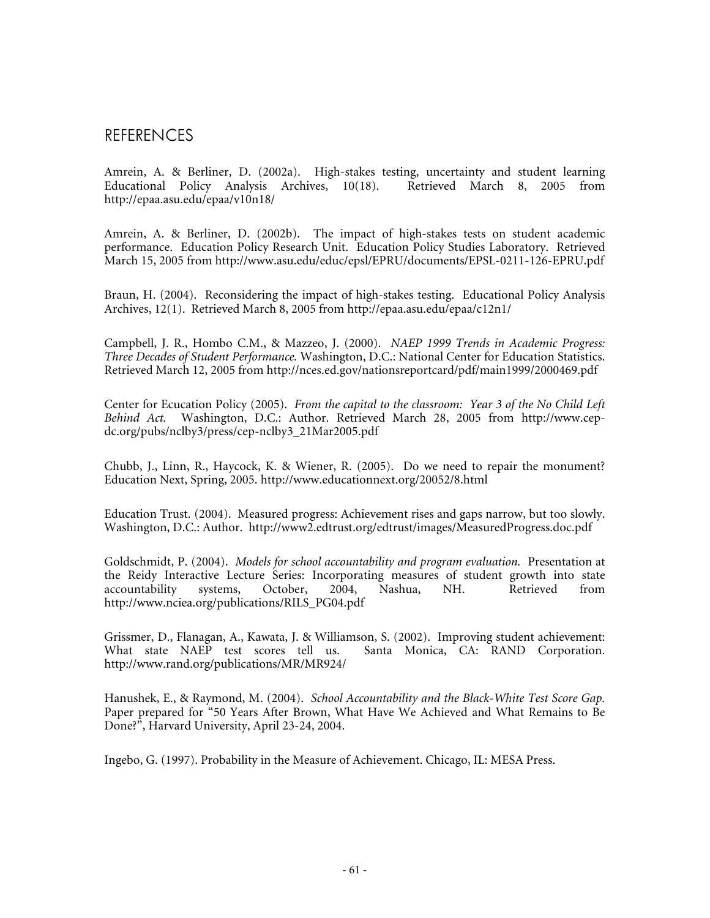## REFERENCES

Amrein, A. & Berliner, D. (2002a). High-stakes testing, uncertainty and student learning<br>Educational Policy Analysis Archives, 10(18). Retrieved March 8, 2005 from Educational Policy Analysis Archives, 10(18). http://epaa.asu.edu/epaa/v10n18/

Amrein, A. & Berliner, D. (2002b). The impact of high-stakes tests on student academic performance. Education Policy Research Unit. Education Policy Studies Laboratory. Retrieved March 15, 2005 from http://www.asu.edu/educ/epsl/EPRU/documents/EPSL-0211-126-EPRU.pdf

Braun, H. (2004). Reconsidering the impact of high-stakes testing. Educational Policy Analysis Archives, 12(1). Retrieved March 8, 2005 from http://epaa.asu.edu/epaa/c12n1/

Campbell, J. R., Hombo C.M., & Mazzeo, J. (2000). *NAEP 1999 Trends in Academic Progress: Three Decades of Student Performance.* Washington, D.C.: National Center for Education Statistics. Retrieved March 12, 2005 from http://nces.ed.gov/nationsreportcard/pdf/main1999/2000469.pdf

Center for Ecucation Policy (2005). *From the capital to the classroom: Year 3 of the No Child Left Behind Act.* Washington, D.C.: Author. Retrieved March 28, 2005 from http://www.cepdc.org/pubs/nclby3/press/cep-nclby3\_21Mar2005.pdf

Chubb, J., Linn, R., Haycock, K. & Wiener, R. (2005). Do we need to repair the monument? Education Next, Spring, 2005. http://www.educationnext.org/20052/8.html

Education Trust. (2004). Measured progress: Achievement rises and gaps narrow, but too slowly. Washington, D.C.: Author. http://www2.edtrust.org/edtrust/images/MeasuredProgress.doc.pdf

Goldschmidt, P. (2004). *Models for school accountability and program evaluation.* Presentation at the Reidy Interactive Lecture Series: Incorporating measures of student growth into state<br>accountability systems, October, 2004, Nashua, NH. Retrieved from accountability http://www.nciea.org/publications/RILS\_PG04.pdf

Grissmer, D., Flanagan, A., Kawata, J. & Williamson, S. (2002). Improving student achievement:<br>What state NAEP test scores tell us. Santa Monica, CA: RAND Corporation. Santa Monica, CA: RAND Corporation. http://www.rand.org/publications/MR/MR924/

Hanushek, E., & Raymond, M. (2004). *School Accountability and the Black-White Test Score Gap.* Paper prepared for "50 Years After Brown, What Have We Achieved and What Remains to Be Done?", Harvard University, April 23-24, 2004.

Ingebo, G. (1997). Probability in the Measure of Achievement. Chicago, IL: MESA Press.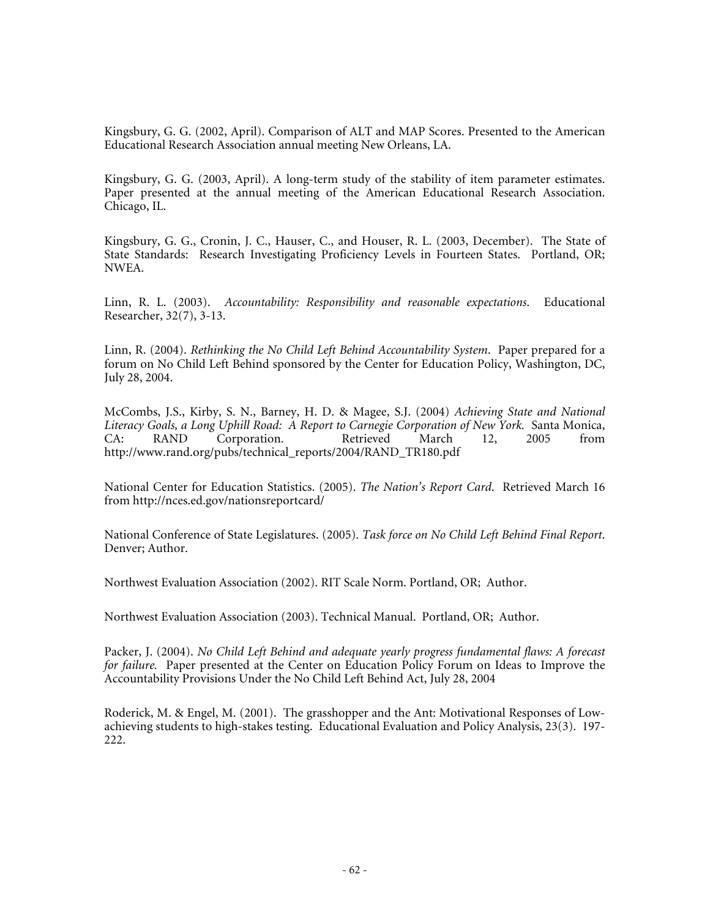Kingsbury, G. G. (2002, April). Comparison of ALT and MAP Scores. Presented to the American Educational Research Association annual meeting New Orleans, LA.

Kingsbury, G. G. (2003, April). A long-term study of the stability of item parameter estimates. Paper presented at the annual meeting of the American Educational Research Association. Chicago, IL.

Kingsbury, G. G., Cronin, J. C., Hauser, C., and Houser, R. L. (2003, December). The State of State Standards: Research Investigating Proficiency Levels in Fourteen States. Portland, OR; NWEA.

Linn, R. L. (2003). *Accountability: Responsibility and reasonable expectations*. Educational Researcher, 32(7), 3-13.

Linn, R. (2004). *Rethinking the No Child Left Behind Accountability System*. Paper prepared for a forum on No Child Left Behind sponsored by the Center for Education Policy, Washington, DC, July 28, 2004.

McCombs, J.S., Kirby, S. N., Barney, H. D. & Magee, S.J. (2004) *Achieving State and National Literacy Goals, a Long Uphill Road: A Report to Carnegie Corporation of New York.* Santa Monica, Corporation. http://www.rand.org/pubs/technical\_reports/2004/RAND\_TR180.pdf

National Center for Education Statistics. (2005). *The Nation's Report Card*. Retrieved March 16 from http://nces.ed.gov/nationsreportcard/

National Conference of State Legislatures. (2005). *Task force on No Child Left Behind Final Report*. Denver; Author.

Northwest Evaluation Association (2002). RIT Scale Norm. Portland, OR; Author.

Northwest Evaluation Association (2003). Technical Manual. Portland, OR; Author.

Packer, J. (2004). *No Child Left Behind and adequate yearly progress fundamental flaws: A forecast for failure.* Paper presented at the Center on Education Policy Forum on Ideas to Improve the Accountability Provisions Under the No Child Left Behind Act, July 28, 2004

Roderick, M. & Engel, M. (2001). The grasshopper and the Ant: Motivational Responses of Lowachieving students to high-stakes testing. Educational Evaluation and Policy Analysis, 23(3). 197- 222.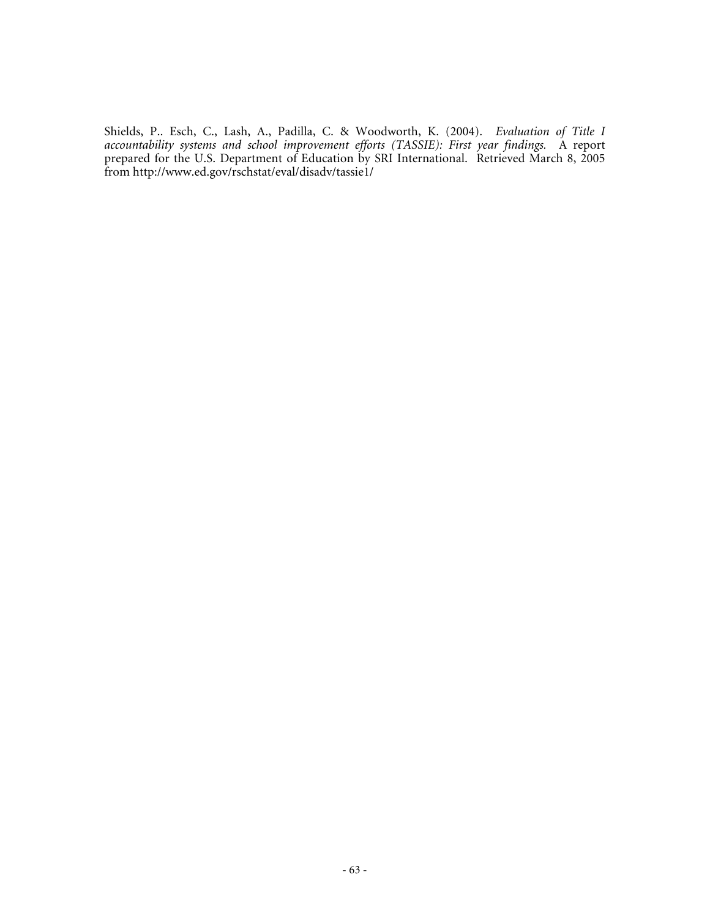Shields, P.. Esch, C., Lash, A., Padilla, C. & Woodworth, K. (2004). *Evaluation of Title I accountability systems and school improvement efforts (TASSIE): First year findings.* A report prepared for the U.S. Department of Education by SRI International. Retrieved March 8, 2005 from http://www.ed.gov/rschstat/eval/disadv/tassie1/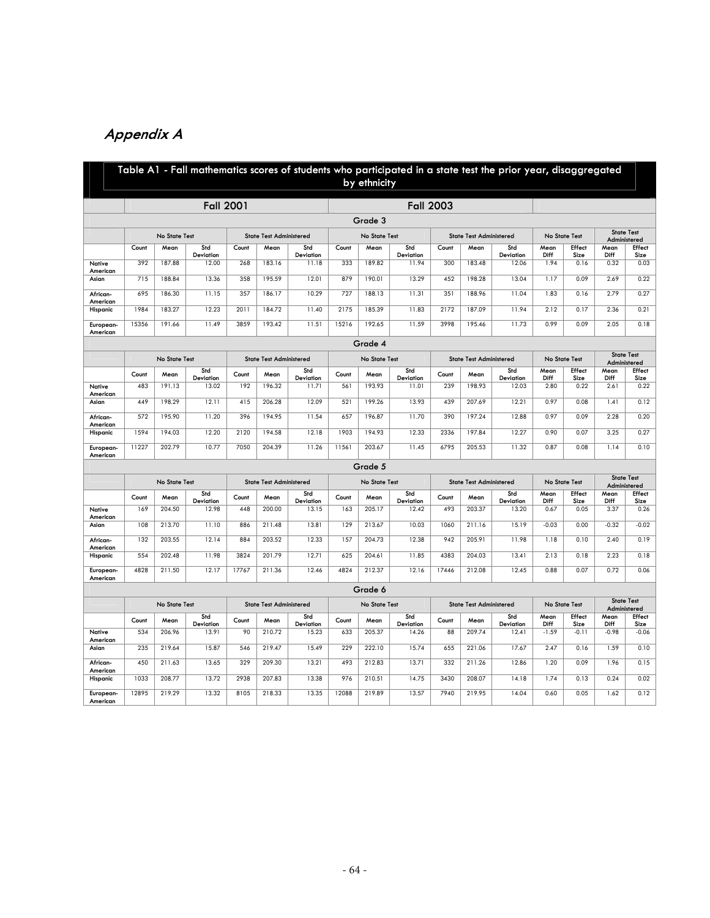# **Appendix A**

|                       |       |               | Table A1 - Fall mathematics scores of students who participated in a state test the prior year, disaggregated |       |                                |                    |               | by ethnicity  |                    |                                |                                |                    |              |                |              |                                   |
|-----------------------|-------|---------------|---------------------------------------------------------------------------------------------------------------|-------|--------------------------------|--------------------|---------------|---------------|--------------------|--------------------------------|--------------------------------|--------------------|--------------|----------------|--------------|-----------------------------------|
|                       |       |               | <b>Fall 2001</b>                                                                                              |       |                                |                    |               |               | <b>Fall 2003</b>   |                                |                                |                    |              |                |              |                                   |
|                       |       |               |                                                                                                               |       |                                |                    |               | Grade 3       |                    |                                |                                |                    |              |                |              |                                   |
|                       |       | No State Test |                                                                                                               |       | <b>State Test Administered</b> |                    |               | No State Test |                    |                                | <b>State Test Administered</b> |                    |              | No State Test  |              | <b>State Test</b><br>Administered |
|                       | Count | Mean          | Std<br>Deviation                                                                                              | Count | Mean                           | Std<br>Deviation   | Count         | Mean          | Std<br>Deviation   | Count                          | Mean                           | Std<br>Deviation   | Mean<br>Diff | Effect<br>Size | Mean<br>Diff | Effect<br>Size                    |
| Native<br>American    | 392   | 187.88        | 12.00                                                                                                         | 268   | 183.16                         | 11.18              | 333           | 189.82        | 11.94              | 300                            | 183.48                         | 12.06              | 1.94         | 0.16           | 0.32         | 0.03                              |
| Asian                 | 715   | 188.84        | 13.36                                                                                                         | 358   | 195.59                         | 12.01              | 879           | 190.01        | 13.29              | 452                            | 198.28                         | 13.04              | 1.17         | 0.09           | 2.69         | 0.22                              |
| African-<br>American  | 695   | 186.30        | 11.15                                                                                                         | 357   | 186.17                         | 10.29              | 727           | 188.13        | 11.31              | 351                            | 188.96                         | 11.04              | 1.83         | 0.16           | 2.79         | 0.27                              |
| Hispanic              | 1984  | 183.27        | 12.23                                                                                                         | 2011  | 184.72                         | 11.40              | 2175          | 185.39        | 11.83              | 2172                           | 187.09                         | 11.94              | 2.12         | 0.17           | 2.36         | 0.21                              |
| European-<br>American | 15356 | 191.66        | 11.49                                                                                                         | 3859  | 193.42                         | 11.51              | 15216         | 192.65        | 11.59              | 3998                           | 195.46                         | 11.73              | 0.99         | 0.09           | 2.05         | 0.18                              |
|                       |       |               |                                                                                                               |       |                                |                    |               | Grade 4       |                    |                                |                                |                    |              |                |              |                                   |
|                       |       | No State Test |                                                                                                               |       | <b>State Test Administered</b> |                    | No State Test |               |                    |                                | <b>State Test Administered</b> |                    |              | No State Test  |              | <b>State Test</b><br>Administered |
|                       | Count | Mean          | Std                                                                                                           | Count | Mean                           | Std                | Count         | Mean          | Std                | Count                          | Mean                           | Std                | Mean         | Effect         | Mean         | Effect                            |
| Native                | 483   | 191.13        | Deviation<br>13.02                                                                                            | 192   | 196.32                         | Deviation<br>11.71 | 561           | 193.93        | Deviation<br>11.01 | 239                            | 198.93                         | Deviation<br>12.03 | Diff<br>2.80 | Size<br>0.22   | Diff<br>2.61 | Size<br>0.22                      |
| American<br>Asian     | 449   | 198.29        | 12.11                                                                                                         | 415   | 206.28                         | 12.09              | 521           | 199.26        | 13.93              | 439                            | 207.69                         | 12.21              | 0.97         | 0.08           | 1.41         | 0.12                              |
| African-              | 572   | 195.90        | 11.20                                                                                                         | 396   | 194.95                         | 11.54              | 657           | 196.87        | 11.70              | 390                            | 197.24                         | 12.88              | 0.97         | 0.09           | 2.28         | 0.20                              |
| American<br>Hispanic  | 1594  | 194.03        | 12.20                                                                                                         | 2120  | 194.58                         | 12.18              | 1903          | 194.93        | 12.33              | 2336                           | 197.84                         | 12.27              | 0.90         | 0.07           | 3.25         | 0.27                              |
| European-             | 11227 | 202.79        | 10.77                                                                                                         | 7050  | 204.39                         | 11.26              | 11561         | 203.67        | 11.45              | 6795                           | 205.53                         | 11.32              | 0.87         | 0.08           | 1.14         | 0.10                              |
| American              |       |               |                                                                                                               |       |                                |                    |               | Grade 5       |                    |                                |                                |                    |              |                |              |                                   |
|                       |       | No State Test |                                                                                                               |       | <b>State Test Administered</b> |                    |               | No State Test |                    | <b>State Test Administered</b> |                                |                    |              | No State Test  |              | <b>State Test</b><br>Administered |
|                       | Count | Mean          | Std<br>Deviation                                                                                              | Count | Mean                           | Std<br>Deviation   | Count         | Mean          | Std<br>Deviation   | Count                          | Mean                           | Std<br>Deviation   | Mean<br>Diff | Effect<br>Size | Mean<br>Diff | Effect<br>Size                    |
| Native<br>American    | 169   | 204.50        | 12.98                                                                                                         | 448   | 200.00                         | 13.15              | 163           | 205.17        | 12.42              | 493                            | 203.37                         | 13.20              | 0.67         | 0.05           | 3.37         | 0.26                              |
| Asian                 | 108   | 213.70        | 11.10                                                                                                         | 886   | 211.48                         | 13.81              | 129           | 213.67        | 10.03              | 1060                           | 211.16                         | 15.19              | $-0.03$      | 0.00           | $-0.32$      | $-0.02$                           |
| African-<br>American  | 132   | 203.55        | 12.14                                                                                                         | 884   | 203.52                         | 12.33              | 157           | 204.73        | 12.38              | 942                            | 205.91                         | 11.98              | 1.18         | 0.10           | 2.40         | 0.19                              |
| Hispanic              | 554   | 202.48        | 11.98                                                                                                         | 3824  | 201.79                         | 12.71              | 625           | 204.61        | 11.85              | 4383                           | 204.03                         | 13.41              | 2.13         | 0.18           | 2.23         | 0.18                              |
| European-<br>American | 4828  | 211.50        | 12.17                                                                                                         | 17767 | 211.36                         | 12.46              | 4824          | 212.37        | 12.16              | 17446                          | 212.08                         | 12.45              | 0.88         | 0.07           | 0.72         | 0.06                              |
|                       |       |               |                                                                                                               |       |                                |                    |               | Grade 6       |                    |                                |                                |                    |              |                |              |                                   |
|                       |       | No State Test |                                                                                                               |       | <b>State Test Administered</b> |                    |               | No State Test |                    |                                | <b>State Test Administered</b> |                    |              | No State Test  |              | <b>State Test</b><br>Administered |
|                       | Count | Mean          | Std<br>Deviation                                                                                              | Count | Mean                           | Std<br>Deviation   | Count         | Mean          | Std<br>Deviation   | Count                          | Mean                           | Std<br>Deviation   | Mean<br>Diff | Effect<br>Size | Mean<br>Diff | Effect<br>Size                    |
| Native<br>American    | 534   | 206.96        | 13.91                                                                                                         | 90    | 210.72                         | 15.23              | 633           | 205.37        | 14.26              | 88                             | 209.74                         | 12.41              | $-1.59$      | $-0.11$        | $-0.98$      | $-0.06$                           |
| Asian                 | 235   | 219.64        | 15.87                                                                                                         | 546   | 219.47                         | 15.49              | 229           | 222.10        | 15.74              | 655                            | 221.06                         | 17.67              | 2.47         | 0.16           | 1.59         | 0.10                              |
| African-              | 450   | 211.63        | 13.65                                                                                                         | 329   | 209.30                         | 13.21              | 493           | 212.83        | 13.71              | 332                            | 211.26                         | 12.86              | 1.20         | 0.09           | 1.96         | 0.15                              |
| American<br>Hispanic  | 1033  | 208.77        | 13.72                                                                                                         | 2938  | 207.83                         | 13.38              | 976           | 210.51        | 14.75              | 3430                           | 208.07                         | 14.18              | 1.74         | 0.13           | 0.24         | 0.02                              |
| European-<br>American | 12895 | 219.29        | 13.32                                                                                                         | 8105  | 218.33                         | 13.35              | 12088         | 219.89        | 13.57              | 7940                           | 219.95                         | 14.04              | 0.60         | 0.05           | 1.62         | 0.12                              |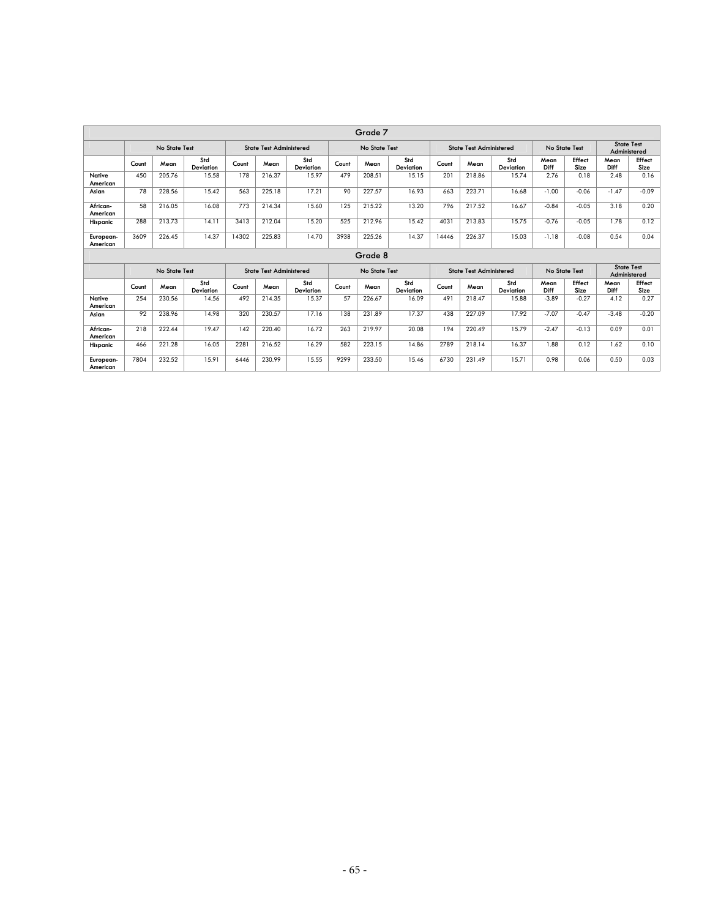|                       | Grade 7 |               |                  |       |                                |                  |               |               |                  |                                |                                |                  |               |                |                                   |                |
|-----------------------|---------|---------------|------------------|-------|--------------------------------|------------------|---------------|---------------|------------------|--------------------------------|--------------------------------|------------------|---------------|----------------|-----------------------------------|----------------|
|                       |         | No State Test |                  |       | <b>State Test Administered</b> |                  |               | No State Test |                  |                                | <b>State Test Administered</b> |                  | No State Test |                | <b>State Test</b><br>Administered |                |
|                       | Count   | Mean          | Std<br>Deviation | Count | Mean                           | Std<br>Deviation | Count         | Mean          | Std<br>Deviation | Count                          | Mean                           | Std<br>Deviation | Mean<br>Diff  | Effect<br>Size | Mean<br>Diff                      | Effect<br>Size |
| Native<br>American    | 450     | 205.76        | 15.58            | 178   | 216.37                         | 15.97            | 479           | 208.51        | 15.15            | 201                            | 218.86                         | 15.74            | 2.76          | 0.18           | 2.48                              | 0.16           |
| Asian                 | 78      | 228.56        | 15.42            | 563   | 225.18                         | 17.21            | 90            | 227.57        | 16.93            | 663                            | 223.71                         | 16.68            | $-1.00$       | $-0.06$        | $-1.47$                           | $-0.09$        |
| African-<br>American  | 58      | 216.05        | 16.08            | 773   | 214.34                         | 15.60            | 125           | 215.22        | 13.20            | 796                            | 217.52                         | 16.67            | $-0.84$       | $-0.05$        | 3.18                              | 0.20           |
| Hispanic              | 288     | 213.73        | 14.11            | 3413  | 212.04                         | 15.20            | 525           | 212.96        | 15.42            | 4031                           | 213.83                         | 15.75            | $-0.76$       | $-0.05$        | 1.78                              | 0.12           |
| European-<br>American | 3609    | 226.45        | 14.37            | 14302 | 225.83                         | 14.70            | 3938          | 225.26        | 14.37            | 14446                          | 226.37                         | 15.03            | $-1.18$       | $-0.08$        | 0.54                              | 0.04           |
|                       |         |               |                  |       |                                |                  |               | Grade 8       |                  |                                |                                |                  |               |                |                                   |                |
|                       |         | No State Test |                  |       | <b>State Test Administered</b> |                  | No State Test |               |                  | <b>State Test Administered</b> |                                |                  | No State Test |                | <b>State Test</b><br>Administered |                |
|                       | Count   | Mean          | Std<br>Deviation | Count | Mean                           | Std<br>Deviation | Count         | Mean          | Std<br>Deviation | Count                          | Mean                           | Std<br>Deviation | Mean<br>Diff  | Effect<br>Size | Mean<br>Diff                      | Effect<br>Size |
| Native<br>American    | 254     | 230.56        | 14.56            | 492   | 214.35                         | 15.37            | 57            | 226.67        | 16.09            | 491                            | 218.47                         | 15.88            | $-3.89$       | $-0.27$        | 4.12                              | 0.27           |
| Asian                 | 92      | 238.96        | 14.98            | 320   | 230.57                         | 17.16            | 138           | 231.89        | 17.37            | 438                            | 227.09                         | 17.92            | $-7.07$       | $-0.47$        | $-3.48$                           | $-0.20$        |
| African-<br>American  | 218     | 222.44        | 19.47            | 142   | 220.40                         | 16.72            | 263           | 219.97        | 20.08            | 194                            | 220.49                         | 15.79            | $-2.47$       | $-0.13$        | 0.09                              | 0.01           |
| Hispanic              | 466     | 221.28        | 16.05            | 2281  | 216.52                         | 16.29            | 582           | 223.15        | 14.86            | 2789                           | 218.14                         | 16.37            | 1.88          | 0.12           | 1.62                              | 0.10           |
| European-<br>American | 7804    | 232.52        | 15.91            | 6446  | 230.99                         | 15.55            | 9299          | 233.50        | 15.46            | 6730                           | 231.49                         | 15.71            | 0.98          | 0.06           | 0.50                              | 0.03           |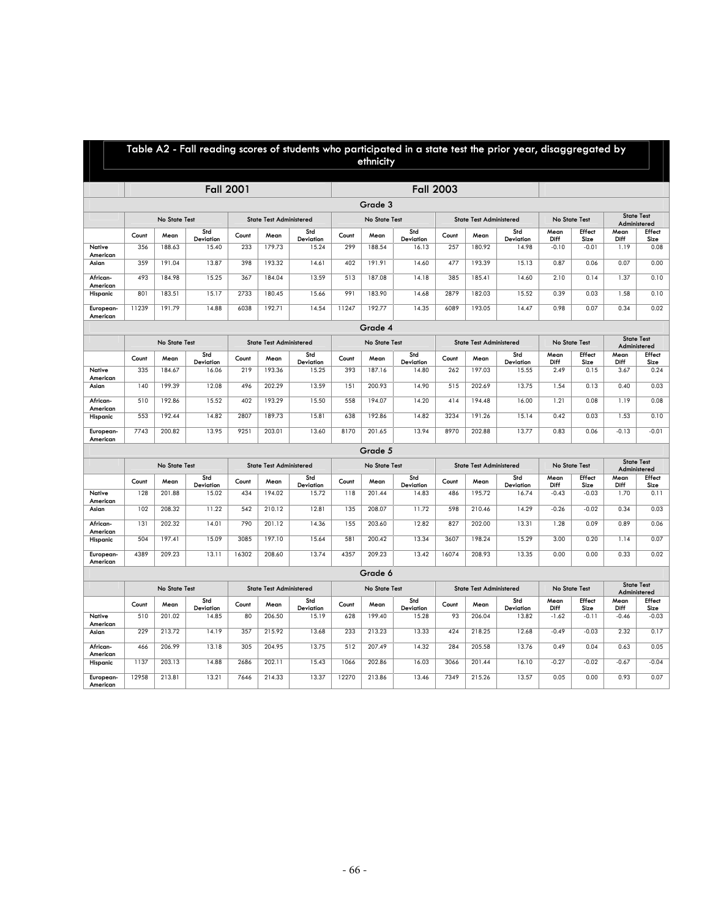|                       | Table A2 - Fall reading scores of students who participated in a state test the prior year, disaggregated by<br>ethnicity |                      |                  |       |                                |                  |       |               |                  |                  |                                |                  |              |                                    |              |                                   |
|-----------------------|---------------------------------------------------------------------------------------------------------------------------|----------------------|------------------|-------|--------------------------------|------------------|-------|---------------|------------------|------------------|--------------------------------|------------------|--------------|------------------------------------|--------------|-----------------------------------|
|                       |                                                                                                                           |                      |                  |       |                                |                  |       |               |                  |                  |                                |                  |              |                                    |              |                                   |
|                       |                                                                                                                           |                      | <b>Fall 2001</b> |       |                                |                  |       |               |                  | <b>Fall 2003</b> |                                |                  |              |                                    |              |                                   |
|                       |                                                                                                                           |                      |                  |       |                                |                  |       | Grade 3       |                  |                  |                                |                  |              |                                    |              | <b>State Test</b>                 |
|                       |                                                                                                                           | <b>No State Test</b> |                  |       | <b>State Test Administered</b> |                  |       | No State Test |                  |                  | <b>State Test Administered</b> |                  |              | <b>No State Test</b>               |              | Administered                      |
|                       | Count                                                                                                                     | Mean                 | Std<br>Deviation | Count | Mean                           | Std<br>Deviation | Count | Mean          | Std<br>Deviation | Count            | Mean                           | Std<br>Deviation | Mean<br>Diff | Effect<br>Size                     | Mean<br>Diff | Effect<br>Size                    |
| Native<br>American    | 356                                                                                                                       | 188.63               | 15.40            | 233   | 179.73                         | 15.24            | 299   | 188.54        | 16.13            | 257              | 180.92                         | 14.98            | $-0.10$      | $-0.01$                            | 1.19         | 0.08                              |
| Asian                 | 359                                                                                                                       | 191.04               | 13.87            | 398   | 193.32                         | 14.61            | 402   | 191.91        | 14.60            | 477              | 193.39                         | 15.13            | 0.87         | 0.06                               | 0.07         | 0.00                              |
| African-<br>American  | 493                                                                                                                       | 184.98               | 15.25            | 367   | 184.04                         | 13.59            | 513   | 187.08        | 14.18            | 385              | 185.41                         | 14.60            | 2.10         | 0.14                               | 1.37         | 0.10                              |
| Hispanic              | 801                                                                                                                       | 183.51               | 15.17            | 2733  | 180.45                         | 15.66            | 991   | 183.90        | 14.68            | 2879             | 182.03                         | 15.52            | 0.39         | 0.03                               | 1.58         | 0.10                              |
| European-<br>American | 11239                                                                                                                     | 191.79               | 14.88            | 6038  | 192.71                         | 14.54            | 11247 | 192.77        | 14.35            | 6089             | 193.05                         | 14.47            | 0.98         | 0.07                               | 0.34         | 0.02                              |
|                       |                                                                                                                           |                      |                  |       |                                |                  |       | Grade 4       |                  |                  |                                |                  |              |                                    |              |                                   |
|                       |                                                                                                                           | No State Test        |                  |       | <b>State Test Administered</b> |                  |       | No State Test |                  |                  | <b>State Test Administered</b> |                  |              | <b>State Test</b><br>No State Test |              | Administered                      |
|                       | Count                                                                                                                     | Mean                 | Std<br>Deviation | Count | Mean                           | Std<br>Deviation | Count | Mean          | Std<br>Deviation | Count            | Mean                           | Std<br>Deviation | Mean<br>Diff | Effect<br>Size                     | Mean<br>Diff | Effect<br>Size                    |
| Native                | 335                                                                                                                       | 184.67               | 16.06            | 219   | 193.36                         | 15.25            | 393   | 187.16        | 14.80            | 262              | 197.03                         | 15.55            | 2.49         | 0.15                               | 3.67         | 0.24                              |
| American<br>Asian     | 140                                                                                                                       | 199.39               | 12.08            | 496   | 202.29                         | 13.59            | 151   | 200.93        | 14.90            | 515              | 202.69                         | 13.75            | 1.54         | 0.13                               | 0.40         | 0.03                              |
| African-              | 510                                                                                                                       | 192.86               | 15.52            | 402   | 193.29                         | 15.50            | 558   | 194.07        | 14.20            | 414              | 194.48                         | 16.00            | 1.21         | 0.08                               | 1.19         | 0.08                              |
| American<br>Hispanic  | 553                                                                                                                       | 192.44               | 14.82            | 2807  | 189.73                         | 15.81            | 638   | 192.86        | 14.82            | 3234             | 191.26                         | 15.14            | 0.42         | 0.03                               | 1.53         | 0.10                              |
| European-<br>American | 7743                                                                                                                      | 200.82               | 13.95            | 9251  | 203.01                         | 13.60            | 8170  | 201.65        | 13.94            | 8970             | 202.88                         | 13.77            | 0.83         | 0.06                               | $-0.13$      | $-0.01$                           |
|                       |                                                                                                                           |                      |                  |       |                                |                  |       | Grade 5       |                  |                  |                                |                  |              |                                    |              |                                   |
|                       |                                                                                                                           | No State Test        |                  |       | <b>State Test Administered</b> |                  |       | No State Test |                  |                  | <b>State Test Administered</b> |                  |              | No State Test                      |              | <b>State Test</b><br>Administered |
|                       | Count                                                                                                                     | Mean                 | Std<br>Deviation | Count | Mean                           | Std<br>Deviation | Count | Mean          | Std<br>Deviation | Count            | Mean                           | Std<br>Deviation | Mean<br>Diff | Effect<br>Size                     | Mean<br>Diff | Effect<br>Size                    |
| Native<br>American    | 128                                                                                                                       | 201.88               | 15.02            | 434   | 194.02                         | 15.72            | 118   | 201.44        | 14.83            | 486              | 195.72                         | 16.74            | $-0.43$      | $-0.03$                            | 1.70         | 0.11                              |
| Asian                 | 102                                                                                                                       | 208.32               | 11.22            | 542   | 210.12                         | 12.81            | 135   | 208.07        | 11.72            | 598              | 210.46                         | 14.29            | $-0.26$      | $-0.02$                            | 0.34         | 0.03                              |
| African-<br>American  | 131                                                                                                                       | 202.32               | 14.01            | 790   | 201.12                         | 14.36            | 155   | 203.60        | 12.82            | 827              | 202.00                         | 13.31            | 1.28         | 0.09                               | 0.89         | 0.06                              |
| Hispanic              | 504                                                                                                                       | 197.41               | 15.09            | 3085  | 197.10                         | 15.64            | 581   | 200.42        | 13.34            | 3607             | 198.24                         | 15.29            | 3.00         | 0.20                               | 1.14         | 0.07                              |
| European-<br>American | 4389                                                                                                                      | 209.23               | 13.11            | 16302 | 208.60                         | 13.74            | 4357  | 209.23        | 13.42            | 16074            | 208.93                         | 13.35            | 0.00         | 0.00                               | 0.33         | 0.02                              |
|                       |                                                                                                                           |                      |                  |       |                                |                  |       | Grade 6       |                  |                  |                                |                  |              |                                    |              |                                   |
|                       |                                                                                                                           | No State Test        |                  |       | <b>State Test Administered</b> |                  |       | No State Test |                  |                  | <b>State Test Administered</b> |                  |              | <b>No State Test</b>               |              | <b>State Test</b><br>Administered |
|                       | Count                                                                                                                     | Mean                 | Std<br>Deviation | Count | Mean                           | Std<br>Deviation | Count | Mean          | Std<br>Deviation | Count            | Mean                           | Std<br>Deviation | Mean<br>Diff | Effect<br>Size                     | Mean<br>Diff | Effect<br>Size                    |
| Native<br>American    | 510                                                                                                                       | 201.02               | 14.85            | 80    | 206.50                         | 15.19            | 628   | 199.40        | 15.28            | 93               | 206.04                         | 13.82            | $-1.62$      | $-0.11$                            | $-0.46$      | $-0.03$                           |
| Asian                 | 229                                                                                                                       | 213.72               | 14.19            | 357   | 215.92                         | 13.68            | 233   | 213.23        | 13.33            | 424              | 218.25                         | 12.68            | $-0.49$      | $-0.03$                            | 2.32         | 0.17                              |
| African-<br>American  | 466                                                                                                                       | 206.99               | 13.18            | 305   | 204.95                         | 13.75            | 512   | 207.49        | 14.32            | 284              | 205.58                         | 13.76            | 0.49         | 0.04                               | 0.63         | 0.05                              |
| Hispanic              | 1137                                                                                                                      | 203.13               | 14.88            | 2686  | 202.11                         | 15.43            | 1066  | 202.86        | 16.03            | 3066             | 201.44                         | 16.10            | $-0.27$      | $-0.02$                            | $-0.67$      | $-0.04$                           |
|                       |                                                                                                                           |                      |                  |       |                                |                  |       |               |                  |                  |                                |                  |              |                                    |              |                                   |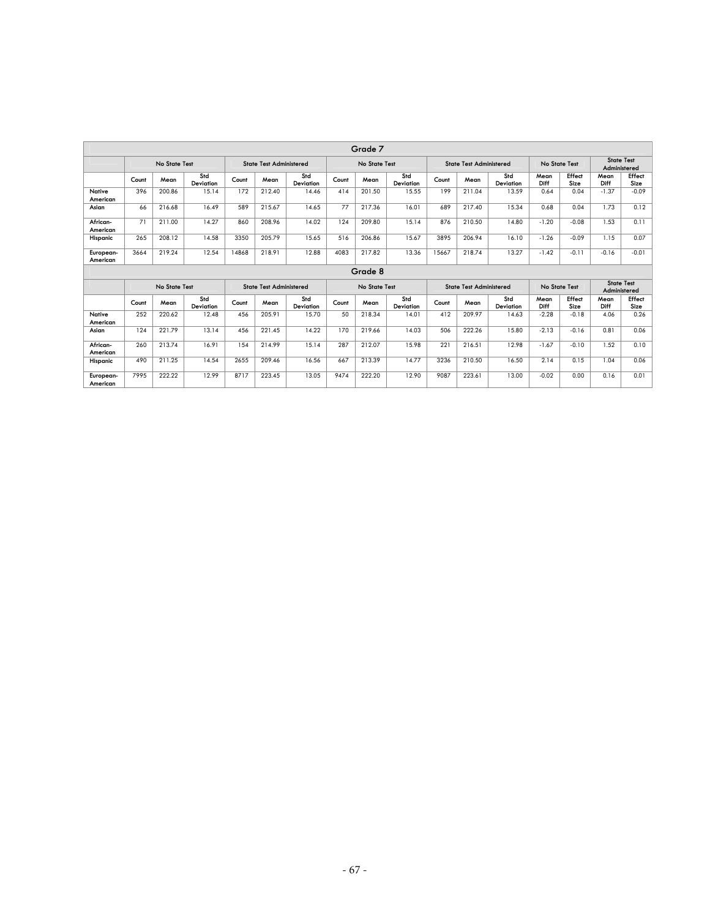|                       | Grade 7 |               |                  |       |                                |                  |       |               |                  |       |                                |                  |                      |                |                                   |                |
|-----------------------|---------|---------------|------------------|-------|--------------------------------|------------------|-------|---------------|------------------|-------|--------------------------------|------------------|----------------------|----------------|-----------------------------------|----------------|
|                       |         | No State Test |                  |       | <b>State Test Administered</b> |                  |       | No State Test |                  |       | <b>State Test Administered</b> |                  |                      | No State Test  | <b>State Test</b><br>Administered |                |
|                       | Count   | Mean          | Std<br>Deviation | Count | Mean                           | Std<br>Deviation | Count | Mean          | Std<br>Deviation | Count | Mean                           | Std<br>Deviation | Mean<br>Diff         | Effect<br>Size | Mean<br>Diff                      | Effect<br>Size |
| Native<br>American    | 396     | 200.86        | 15.14            | 172   | 212.40                         | 14.46            | 414   | 201.50        | 15.55            | 199   | 211.04                         | 13.59            | 0.64                 | 0.04           | $-1.37$                           | $-0.09$        |
| Asian                 | 66      | 216.68        | 16.49            | 589   | 215.67                         | 14.65            | 77    | 217.36        | 16.01            | 689   | 217.40                         | 15.34            | 0.68                 | 0.04           | 1.73                              | 0.12           |
| African-<br>American  | 71      | 211.00        | 14.27            | 860   | 208.96                         | 14.02            | 124   | 209.80        | 15.14            | 876   | 210.50                         | 14.80            | $-1.20$              | $-0.08$        | 1.53                              | 0.11           |
| Hispanic              | 265     | 208.12        | 14.58            | 3350  | 205.79                         | 15.65            | 516   | 206.86        | 15.67            | 3895  | 206.94                         | 16.10            | $-1.26$              | $-0.09$        | 1.15                              | 0.07           |
| European-<br>American | 3664    | 219.24        | 12.54            | 14868 | 218.91                         | 12.88            | 4083  | 217.82        | 13.36            | 15667 | 218.74                         | 13.27            | $-1.42$              | $-0.11$        | $-0.16$                           | $-0.01$        |
|                       |         |               |                  |       |                                |                  |       | Grade 8       |                  |       |                                |                  |                      |                |                                   |                |
|                       |         | No State Test |                  |       | <b>State Test Administered</b> |                  |       | No State Test |                  |       | <b>State Test Administered</b> |                  | <b>No State Test</b> |                | <b>State Test</b><br>Administered |                |
|                       | Count   | Mean          | Std<br>Deviation | Count | Mean                           | Std<br>Deviation | Count | Mean          | Std<br>Deviation | Count | Mean                           | Std<br>Deviation | Mean<br>Diff         | Effect<br>Size | Mean<br>Diff                      | Effect<br>Size |
| Native<br>American    | 252     | 220.62        | 12.48            | 456   | 205.91                         | 15.70            | 50    | 218.34        | 14.01            | 412   | 209.97                         | 14.63            | $-2.28$              | $-0.18$        | 4.06                              | 0.26           |
| Asian                 | 124     | 221.79        | 13.14            | 456   | 221.45                         | 14.22            | 170   | 219.66        | 14.03            | 506   | 222.26                         | 15.80            | $-2.13$              | $-0.16$        | 0.81                              | 0.06           |
| African-<br>American  | 260     | 213.74        | 16.91            | 154   | 214.99                         | 15.14            | 287   | 212.07        | 15.98            | 221   | 216.51                         | 12.98            | $-1.67$              | $-0.10$        | 1.52                              | 0.10           |
| Hispanic              | 490     | 211.25        | 14.54            | 2655  | 209.46                         | 16.56            | 667   | 213.39        | 14.77            | 3236  | 210.50                         | 16.50            | 2.14                 | 0.15           | 1.04                              | 0.06           |
| European-<br>American | 7995    | 222.22        | 12.99            | 8717  | 223.45                         | 13.05            | 9474  | 222.20        | 12.90            | 9087  | 223.61                         | 13.00            | $-0.02$              | 0.00           | 0.16                              | 0.01           |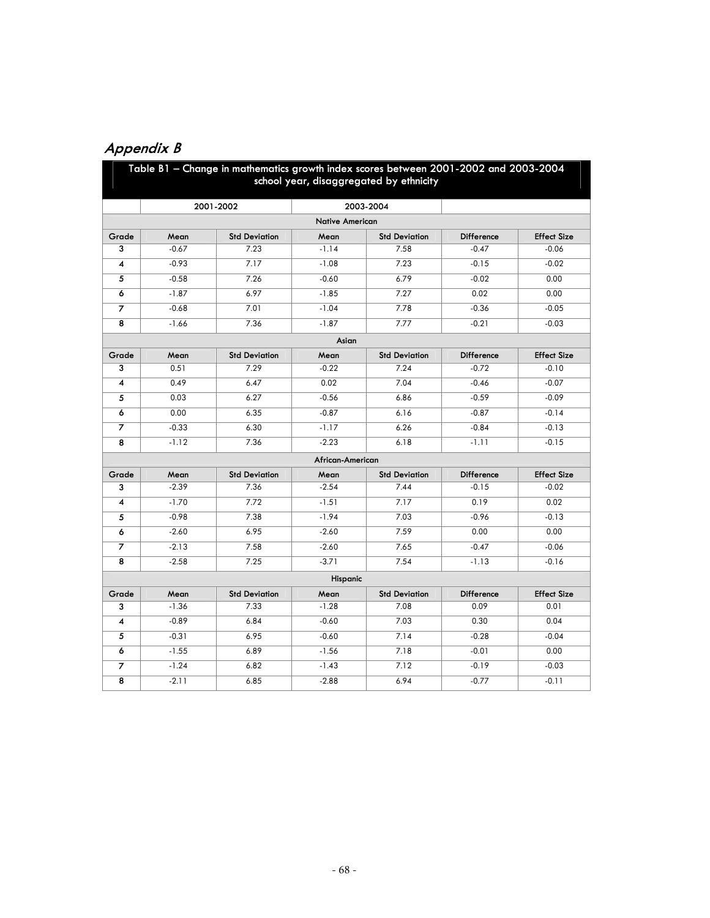# **Appendix B**

|                |         | Table B1 - Change in mathematics growth index scores between 2001-2002 and 2003-2004 |                        | school year, disaggregated by ethnicity |                   |                    |
|----------------|---------|--------------------------------------------------------------------------------------|------------------------|-----------------------------------------|-------------------|--------------------|
|                |         | 2001-2002                                                                            |                        | 2003-2004                               |                   |                    |
|                |         |                                                                                      | <b>Native American</b> |                                         |                   |                    |
| Grade          | Mean    | <b>Std Deviation</b>                                                                 | Mean                   | <b>Std Deviation</b>                    | <b>Difference</b> | <b>Effect Size</b> |
| 3              | $-0.67$ | 7.23                                                                                 | $-1.14$                | 7.58                                    | $-0.47$           | $-0.06$            |
| 4              | $-0.93$ | 7.17                                                                                 | $-1.08$                | 7.23                                    | $-0.15$           | $-0.02$            |
| 5              | $-0.58$ | 7.26                                                                                 | $-0.60$                | 6.79                                    | $-0.02$           | 0.00               |
| 6              | $-1.87$ | 6.97                                                                                 | $-1.85$                | 7.27                                    | 0.02              | 0.00               |
| $\overline{z}$ | $-0.68$ | 7.01                                                                                 | $-1.04$                | 7.78                                    | $-0.36$           | $-0.05$            |
| 8              | $-1.66$ | 7.36                                                                                 | $-1.87$                | 7.77                                    | $-0.21$           | $-0.03$            |
|                |         |                                                                                      | Asian                  |                                         |                   |                    |
| Grade          | Mean    | <b>Std Deviation</b>                                                                 | Mean                   | <b>Std Deviation</b>                    | <b>Difference</b> | <b>Effect Size</b> |
| 3              | 0.51    | 7.29                                                                                 | $-0.22$                | 7.24                                    | $-0.72$           | $-0.10$            |
| 4              | 0.49    | 6.47                                                                                 | 0.02                   | 7.04                                    | $-0.46$           | $-0.07$            |
| 5              | 0.03    | 6.27                                                                                 | $-0.56$                | 6.86                                    | $-0.59$           | $-0.09$            |
| 6              | 0.00    | 6.35                                                                                 | $-0.87$                | 6.16                                    | $-0.87$           | $-0.14$            |
| $\overline{z}$ | $-0.33$ | 6.30                                                                                 | $-1.17$                | 6.26                                    | $-0.84$           | $-0.13$            |
| 8              | $-1.12$ | 7.36                                                                                 | $-2.23$                | 6.18                                    | $-1.11$           | $-0.15$            |
|                |         |                                                                                      | African-American       |                                         |                   |                    |
| Grade          | Mean    | <b>Std Deviation</b>                                                                 | Mean                   | <b>Std Deviation</b>                    | <b>Difference</b> | <b>Effect Size</b> |
| 3              | $-2.39$ | 7.36                                                                                 | $-2.54$                | 7.44                                    | $-0.15$           | $-0.02$            |
| 4              | $-1.70$ | 7.72                                                                                 | $-1.51$                | 7.17                                    | 0.19              | 0.02               |
| 5              | $-0.98$ | 7.38                                                                                 | $-1.94$                | 7.03                                    | $-0.96$           | $-0.13$            |
| 6              | $-2.60$ | 6.95                                                                                 | $-2.60$                | 7.59                                    | 0.00              | 0.00               |
| $\overline{z}$ | $-2.13$ | 7.58                                                                                 | $-2.60$                | 7.65                                    | $-0.47$           | $-0.06$            |
| 8              | $-2.58$ | 7.25                                                                                 | $-3.71$                | 7.54                                    | $-1.13$           | $-0.16$            |
|                |         |                                                                                      | Hispanic               |                                         |                   |                    |
| Grade          | Mean    | <b>Std Deviation</b>                                                                 | Mean                   | <b>Std Deviation</b>                    | Difference        | <b>Effect Size</b> |
| 3              | $-1.36$ | 7.33                                                                                 | $-1.28$                | 7.08                                    | 0.09              | 0.01               |
| 4              | $-0.89$ | 6.84                                                                                 | $-0.60$                | 7.03                                    | 0.30              | 0.04               |
| 5              | $-0.31$ | 6.95                                                                                 | $-0.60$                | 7.14                                    | $-0.28$           | $-0.04$            |
| 6              | $-1.55$ | 6.89                                                                                 | $-1.56$                | 7.18                                    | $-0.01$           | 0.00               |
| $\overline{z}$ | $-1.24$ | 6.82                                                                                 | $-1.43$                | 7.12                                    | $-0.19$           | $-0.03$            |
| 8              | $-2.11$ | 6.85                                                                                 | $-2.88$                | 6.94                                    | $-0.77$           | $-0.11$            |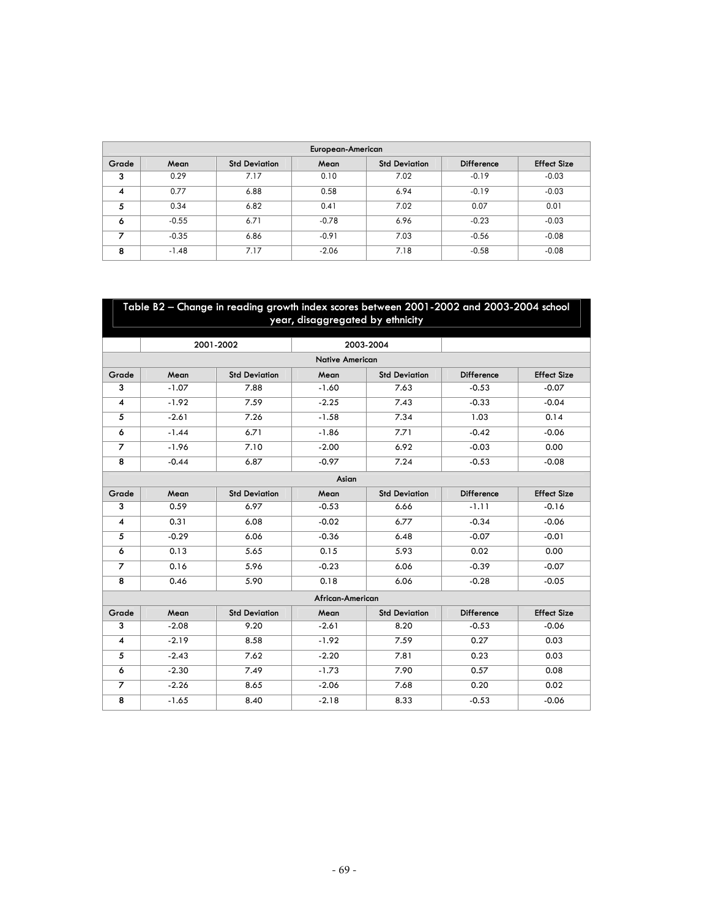|       |         |                      | European-American |                      |                   |                    |
|-------|---------|----------------------|-------------------|----------------------|-------------------|--------------------|
| Grade | Mean    | <b>Std Deviation</b> | Mean              | <b>Std Deviation</b> | <b>Difference</b> | <b>Effect Size</b> |
| 3     | 0.29    | 7.17                 | 0.10              | 7.02                 | $-0.19$           | $-0.03$            |
| 4     | 0.77    | 6.88                 | 0.58              | 6.94                 | $-0.19$           | $-0.03$            |
| 5     | 0.34    | 6.82                 | 0.41              | 7.02                 | 0.07              | 0.01               |
| 6     | $-0.55$ | 6.71                 | $-0.78$           | 6.96                 | $-0.23$           | $-0.03$            |
| 7     | $-0.35$ | 6.86                 | $-0.91$           | 7.03                 | $-0.56$           | $-0.08$            |
| 8     | $-1.48$ | 7.17                 | $-2.06$           | 7.18                 | $-0.58$           | $-0.08$            |

|                         | Table B2 - Change in reading growth index scores between 2001-2002 and 2003-2004 school<br>year, disaggregated by ethnicity |                      |                        |                      |                   |                    |  |  |  |  |  |  |  |
|-------------------------|-----------------------------------------------------------------------------------------------------------------------------|----------------------|------------------------|----------------------|-------------------|--------------------|--|--|--|--|--|--|--|
|                         |                                                                                                                             | 2001-2002            |                        | 2003-2004            |                   |                    |  |  |  |  |  |  |  |
|                         |                                                                                                                             |                      | <b>Native American</b> |                      |                   |                    |  |  |  |  |  |  |  |
| Grade                   | Mean                                                                                                                        | <b>Std Deviation</b> | Mean                   | <b>Std Deviation</b> | <b>Difference</b> | <b>Effect Size</b> |  |  |  |  |  |  |  |
| 3                       | $-1.07$                                                                                                                     | 7.88                 | $-1.60$                | 7.63                 | $-0.53$           | $-0.07$            |  |  |  |  |  |  |  |
| $\overline{\mathbf{4}}$ | $-1.92$                                                                                                                     | 7.59                 | $-2.25$                | 7.43                 | $-0.33$           | $-0.04$            |  |  |  |  |  |  |  |
| 5                       | $-2.61$                                                                                                                     | 7.26                 | $-1.58$                | 7.34                 | 1.03              | 0.14               |  |  |  |  |  |  |  |
| 6                       | $-1.44$                                                                                                                     | 6.71                 | $-1.86$                | 7.71                 | $-0.42$           | $-0.06$            |  |  |  |  |  |  |  |
| $\overline{7}$          | $-1.96$                                                                                                                     | 7.10                 | $-2.00$                | 6.92                 | $-0.03$           | 0.00               |  |  |  |  |  |  |  |
| 8                       | $-0.44$                                                                                                                     | 6.87                 | $-0.97$                | 7.24                 | $-0.53$           | $-0.08$            |  |  |  |  |  |  |  |
|                         |                                                                                                                             |                      | Asian                  |                      |                   |                    |  |  |  |  |  |  |  |
| Grade                   | Mean                                                                                                                        | <b>Std Deviation</b> | Mean                   | <b>Std Deviation</b> | <b>Difference</b> | <b>Effect Size</b> |  |  |  |  |  |  |  |
| 3                       | 0.59                                                                                                                        | 6.97                 | $-0.53$                | 6.66                 | $-1.11$           | $-0.16$            |  |  |  |  |  |  |  |
| $\overline{\mathbf{4}}$ | 0.31                                                                                                                        | 6.08                 | $-0.02$                | 6.77                 | $-0.34$           | $-0.06$            |  |  |  |  |  |  |  |
| 5                       | $-0.29$                                                                                                                     | 6.06                 | $-0.36$                | 6.48                 | $-0.07$           | $-0.01$            |  |  |  |  |  |  |  |
| 6                       | 0.13                                                                                                                        | 5.65                 | 0.15                   | 5.93                 | 0.02              | 0.00               |  |  |  |  |  |  |  |
| $\overline{7}$          | 0.16                                                                                                                        | 5.96                 | $-0.23$                | 6.06                 | $-0.39$           | $-0.07$            |  |  |  |  |  |  |  |
| 8                       | 0.46                                                                                                                        | 5.90                 | 0.18                   | 6.06                 | $-0.28$           | $-0.05$            |  |  |  |  |  |  |  |
|                         |                                                                                                                             |                      | African-American       |                      |                   |                    |  |  |  |  |  |  |  |
| Grade                   | Mean                                                                                                                        | <b>Std Deviation</b> | Mean                   | <b>Std Deviation</b> | Difference        | <b>Effect Size</b> |  |  |  |  |  |  |  |
| 3                       | $-2.08$                                                                                                                     | 9.20                 | $-2.61$                | 8.20                 | $-0.53$           | $-0.06$            |  |  |  |  |  |  |  |
| $\overline{4}$          | $-2.19$                                                                                                                     | 8.58                 | $-1.92$                | 7.59                 | 0.27              | 0.03               |  |  |  |  |  |  |  |
| 5                       | $-2.43$                                                                                                                     | 7.62                 | $-2.20$                | 7.81                 | 0.23              | 0.03               |  |  |  |  |  |  |  |
| 6                       | $-2.30$                                                                                                                     | 7.49                 | $-1.73$                | 7.90                 | 0.57              | 0.08               |  |  |  |  |  |  |  |
| $\overline{z}$          | $-2.26$                                                                                                                     | 8.65                 | $-2.06$                | 7.68                 | 0.20              | 0.02               |  |  |  |  |  |  |  |
| 8                       | $-1.65$                                                                                                                     | 8.40                 | $-2.18$                | 8.33                 | $-0.53$           | $-0.06$            |  |  |  |  |  |  |  |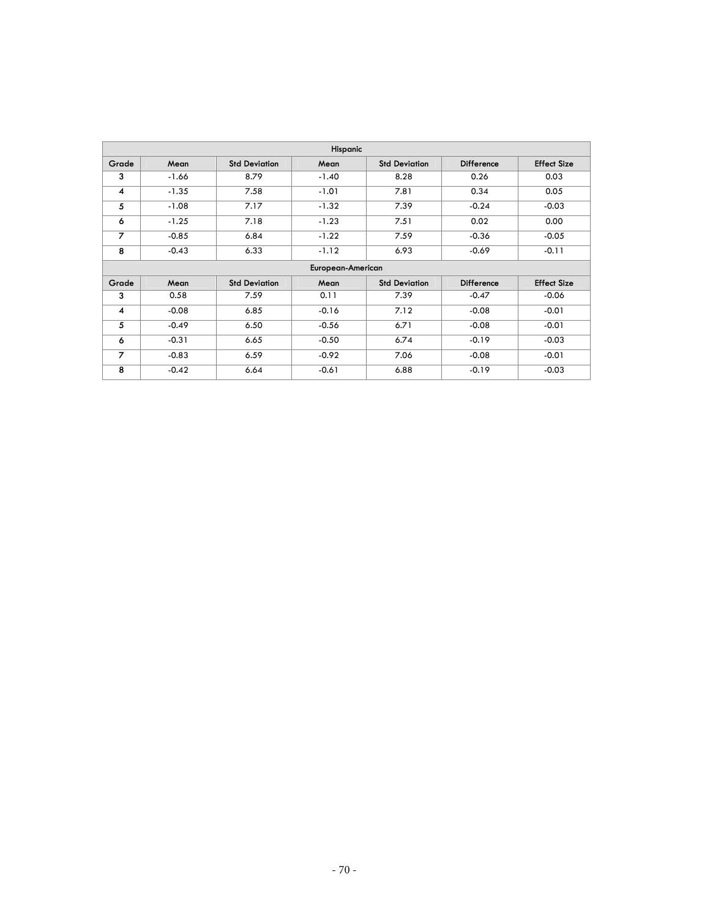|                |         |                      | Hispanic          |                      |                   |                    |
|----------------|---------|----------------------|-------------------|----------------------|-------------------|--------------------|
| Grade          | Mean    | <b>Std Deviation</b> | Mean              | <b>Std Deviation</b> | <b>Difference</b> | <b>Effect Size</b> |
| 3              | $-1.66$ | 8.79                 | $-1.40$           | 8.28                 | 0.26              | 0.03               |
| 4              | $-1.35$ | 7.58                 | $-1.01$           | 7.81                 | 0.34              | 0.05               |
| 5              | $-1.08$ | 7.17                 | $-1.32$           | 7.39                 | $-0.24$           | $-0.03$            |
| 6              | $-1.25$ | 7.18                 | $-1.23$           | 7.51                 | 0.02              | 0.00               |
| $\overline{z}$ | $-0.85$ | 6.84                 | $-1.22$           | 7.59                 | $-0.36$           | $-0.05$            |
| 8              | $-0.43$ | 6.33                 | $-1.12$           | 6.93                 | $-0.69$           | $-0.11$            |
|                |         |                      | European-American |                      |                   |                    |
| Grade          | Mean    | <b>Std Deviation</b> | Mean              | <b>Std Deviation</b> | <b>Difference</b> | <b>Effect Size</b> |
| 3              | 0.58    | 7.59                 | 0.11              | 7.39                 | $-0.47$           | $-0.06$            |
| 4              | $-0.08$ | 6.85                 | $-0.16$           | 7.12                 | $-0.08$           | $-0.01$            |
| 5              | $-0.49$ | 6.50                 | $-0.56$           | 6.71                 | $-0.08$           | $-0.01$            |
| 6              | $-0.31$ | 6.65                 | $-0.50$           | 6.74                 | $-0.19$           | $-0.03$            |
| 7              | $-0.83$ | 6.59                 | $-0.92$           | 7.06                 | $-0.08$           | $-0.01$            |
| 8              | $-0.42$ | 6.64                 | $-0.61$           | 6.88                 | $-0.19$           | $-0.03$            |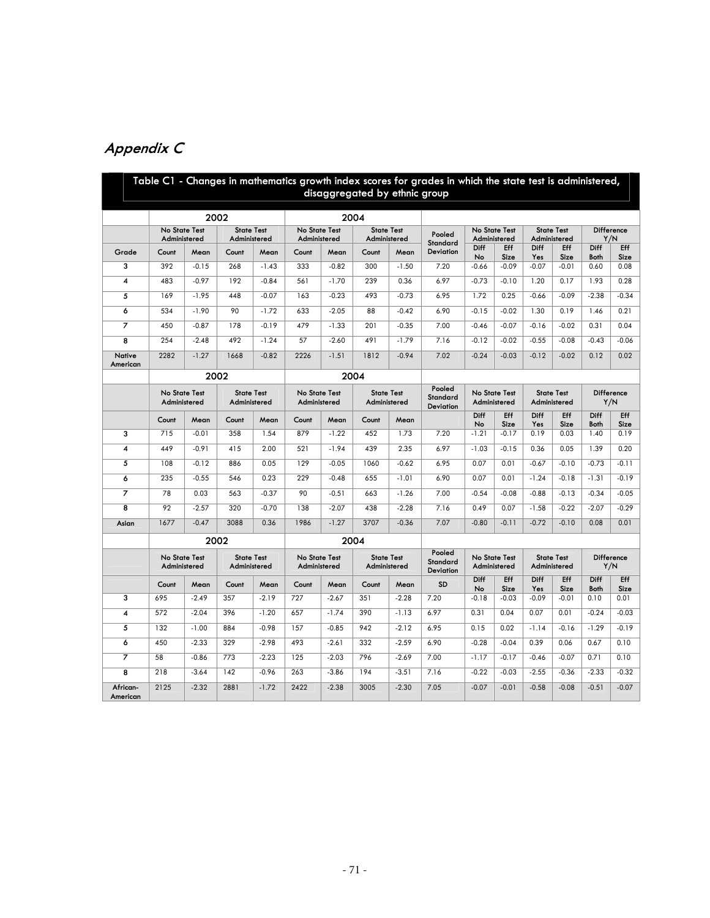| Appendix C |  |  |  |  |
|------------|--|--|--|--|
|------------|--|--|--|--|

|                         |                                      |         |                                   |         |                               |                                                                    | disaggregated by ethnic group     |                                 | Table C1 - Changes in mathematics growth index scores for grades in which the state test is administered, |               |                                      |                                   |                                   |                          |                          |
|-------------------------|--------------------------------------|---------|-----------------------------------|---------|-------------------------------|--------------------------------------------------------------------|-----------------------------------|---------------------------------|-----------------------------------------------------------------------------------------------------------|---------------|--------------------------------------|-----------------------------------|-----------------------------------|--------------------------|--------------------------|
|                         |                                      |         | 2002                              |         |                               |                                                                    | 2004                              |                                 |                                                                                                           |               |                                      |                                   |                                   |                          |                          |
|                         | No State Test<br>Administered        |         | <b>State Test</b><br>Administered |         | No State Test<br>Administered |                                                                    | <b>State Test</b><br>Administered |                                 | Pooled                                                                                                    |               | No State Test<br>Administered        |                                   | <b>State Test</b><br>Administered |                          | Difference<br>Y/N        |
| Grade                   | Count                                | Mean    | Count                             | Mean    | Count                         | Mean                                                               | Count                             | Mean                            | Standard<br><b>Deviation</b>                                                                              | Diff<br>No    | Eff<br>Size                          | Diff<br>Yes                       | Eff<br>Size                       | Diff<br>Both             | Eff<br>Size              |
| 3                       | 392                                  | $-0.15$ | 268                               | $-1.43$ | 333                           | $-0.82$                                                            | 300                               | $-1.50$                         | 7.20                                                                                                      | $-0.66$       | $-0.09$                              | $-0.07$                           | $-0.01$                           | 0.60                     | 0.08                     |
| $\overline{\mathbf{4}}$ | 483                                  | $-0.97$ | 192                               | $-0.84$ | 561                           | $-1.70$                                                            | 239                               | 0.36                            | 6.97                                                                                                      | $-0.73$       | $-0.10$                              | 1.20                              | 0.17                              | 1.93                     | 0.28                     |
| 5                       | 169                                  | $-1.95$ | 448                               | $-0.07$ | 163                           | $-0.23$                                                            | 493                               | $-0.73$                         | 6.95                                                                                                      | 1.72          | 0.25                                 | $-0.66$                           | $-0.09$                           | $-2.38$                  | $-0.34$                  |
| 6                       | 534                                  | $-1.90$ | 90                                | $-1.72$ | 633                           | $-2.05$                                                            | 88                                | $-0.42$                         | 6.90                                                                                                      | $-0.15$       | $-0.02$                              | 1.30                              | 0.19                              | 1.46                     | 0.21                     |
|                         | 450                                  | $-0.87$ | 178                               | $-0.19$ | 479                           | $-1.33$                                                            | 201                               | $-0.35$                         | 7.00                                                                                                      | $-0.46$       | $-0.07$                              | $-0.16$                           | $-0.02$                           | 0.31                     | 0.04                     |
| 8                       | 254                                  | $-2.48$ | 492                               | $-1.24$ | 57                            | $-2.60$                                                            | 491                               | $-1.79$                         | 7.16                                                                                                      | $-0.12$       | $-0.02$                              | $-0.55$                           | $-0.08$                           | $-0.43$                  | $-0.06$                  |
| Native<br>American      | 2282                                 | $-1.27$ | 1668                              | $-0.82$ | 2226                          | $-1.51$                                                            | 1812                              | $-0.94$                         | 7.02                                                                                                      | $-0.24$       | $-0.03$                              | $-0.12$                           | $-0.02$                           | 0.12                     | 0.02                     |
|                         |                                      |         | 2002                              |         |                               |                                                                    | 2004                              |                                 |                                                                                                           |               |                                      |                                   |                                   |                          |                          |
|                         | <b>No State Test</b><br>Administered |         | <b>State Test</b><br>Administered |         |                               | <b>State Test</b><br>No State Test<br>Administered<br>Administered |                                   | Pooled<br>Standard<br>Deviation | No State Test<br>Administered                                                                             |               |                                      | <b>State Test</b><br>Administered |                                   | <b>Difference</b><br>Y/N |                          |
|                         | Count                                | Mean    | Count                             | Mean    | Count                         | Mean                                                               | Count                             | Mean                            |                                                                                                           | Diff          | <b>Eff</b>                           | Diff                              | <b>Eff</b>                        | Diff                     | Eff                      |
| $\overline{\mathbf{3}}$ | 715                                  | $-0.01$ | 358                               | 1.54    | 879                           | $-1.22$                                                            | 452                               | 1.73                            | 7.20                                                                                                      | No<br>$-1.21$ | Size<br>$-0.17$                      | Yes<br>0.19                       | Size<br>0.03                      | <b>Both</b><br>1.40      | Size<br>0.19             |
| $\overline{4}$          | 449                                  | $-0.91$ | 415                               | 2.00    | 521                           | $-1.94$                                                            | 439                               | 2.35                            | 6.97                                                                                                      | $-1.03$       | $-0.15$                              | 0.36                              | 0.05                              | 1.39                     | 0.20                     |
| 5                       | 108                                  | $-0.12$ | 886                               | 0.05    | 129                           | $-0.05$                                                            | 1060                              | $-0.62$                         | 6.95                                                                                                      | 0.07          | 0.01                                 | $-0.67$                           | $-0.10$                           | $-0.73$                  | $-0.11$                  |
| 6                       | 235                                  | $-0.55$ | 546                               | 0.23    | 229                           | $-0.48$                                                            | 655                               | $-1.01$                         | 6.90                                                                                                      | 0.07          | 0.01                                 | $-1.24$                           | $-0.18$                           | $-1.31$                  | $-0.19$                  |
| 7                       | 78                                   | 0.03    | 563                               | $-0.37$ | 90                            | $-0.51$                                                            | 663                               | $-1.26$                         | 7.00                                                                                                      | $-0.54$       | $-0.08$                              | $-0.88$                           | $-0.13$                           | $-0.34$                  | $-0.05$                  |
| 8                       | 92                                   | $-2.57$ | 320                               | $-0.70$ | 138                           | $-2.07$                                                            | 438                               | $-2.28$                         | 7.16                                                                                                      | 0.49          | 0.07                                 | $-1.58$                           | $-0.22$                           | $-2.07$                  | $-0.29$                  |
| Asian                   | 1677                                 | $-0.47$ | 3088                              | 0.36    | 1986                          | $-1.27$                                                            | 3707                              | $-0.36$                         | 7.07                                                                                                      | $-0.80$       | $-0.11$                              | $-0.72$                           | $-0.10$                           | 0.08                     | 0.01                     |
|                         |                                      |         | 2002                              |         |                               |                                                                    | 2004                              |                                 |                                                                                                           |               |                                      |                                   |                                   |                          |                          |
|                         | <b>No State Test</b><br>Administered |         | <b>State Test</b><br>Administered |         | No State Test<br>Administered |                                                                    | <b>State Test</b><br>Administered |                                 | Pooled<br><b>Standard</b><br><b>Deviation</b>                                                             |               | <b>No State Test</b><br>Administered |                                   | <b>State Test</b><br>Administered |                          | <b>Difference</b><br>Y/N |
|                         | Count                                | Mean    | Count                             | Mean    | Count                         | Mean                                                               | Count                             | Mean                            | <b>SD</b>                                                                                                 | Diff          | Eff                                  | Diff                              | Eff                               | Diff                     | Eff                      |
| 3                       | 695                                  | $-2.49$ | 357                               | $-2.19$ | 727                           | $-2.67$                                                            | 351                               | $-2.28$                         | 7.20                                                                                                      | No<br>$-0.18$ | Size<br>$-0.03$                      | Yes<br>$-0.09$                    | Size<br>$-0.01$                   | Both<br>0.10             | Size<br>0.01             |
| $\overline{4}$          | 572                                  | $-2.04$ | 396                               | $-1.20$ | 657                           | $-1.74$                                                            | 390                               | $-1.13$                         | 6.97                                                                                                      | 0.31          | 0.04                                 | 0.07                              | 0.01                              | $-0.24$                  | $-0.03$                  |
| 5                       | 132                                  | $-1.00$ | 884                               | $-0.98$ | 157                           | $-0.85$                                                            | 942                               | $-2.12$                         | 6.95                                                                                                      | 0.15          | 0.02                                 | $-1.14$                           | $-0.16$                           | $-1.29$                  | $-0.19$                  |
| $\overline{6}$          | 450                                  | $-2.33$ | 329                               | $-2.98$ | 493                           | $-2.61$                                                            | 332                               | $-2.59$                         | 6.90                                                                                                      | $-0.28$       | $-0.04$                              | 0.39                              | 0.06                              | 0.67                     | 0.10                     |
| $\overline{\mathbf{z}}$ | 58                                   | $-0.86$ | 773                               | $-2.23$ | 125                           | $-2.03$                                                            | 796                               | $-2.69$                         | 7.00                                                                                                      | $-1.17$       | $-0.17$                              | $-0.46$                           | $-0.07$                           | 0.71                     | 0.10                     |
| $\overline{\mathbf{8}}$ | 218                                  | $-3.64$ | 142                               | $-0.96$ | 263                           | $-3.86$                                                            | 194                               | $-3.51$                         | 7.16                                                                                                      | $-0.22$       | $-0.03$                              | $-2.55$                           | $-0.36$                           | $-2.33$                  | $-0.32$                  |
| African-<br>American    | 2125                                 | $-2.32$ | 2881                              | $-1.72$ | 2422                          | $-2.38$                                                            | 3005                              | $-2.30$                         | 7.05                                                                                                      | $-0.07$       | $-0.01$                              | $-0.58$                           | $-0.08$                           | $-0.51$                  | $-0.07$                  |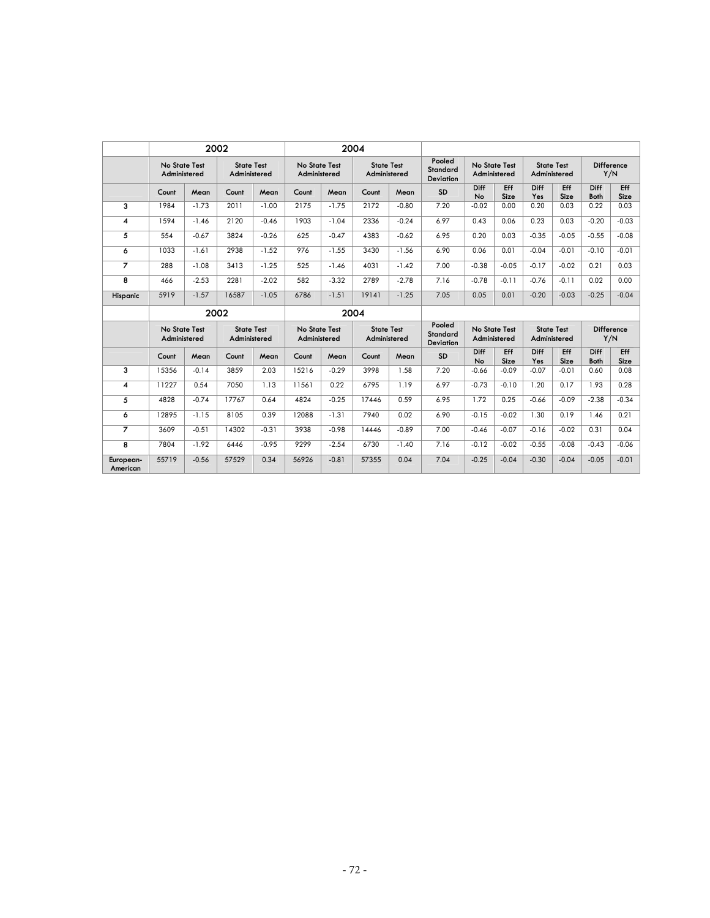|                       |                               |         | 2002                              |         |                               |         | 2004                              |         |                                        |                               |             |                                   |             |                            |             |
|-----------------------|-------------------------------|---------|-----------------------------------|---------|-------------------------------|---------|-----------------------------------|---------|----------------------------------------|-------------------------------|-------------|-----------------------------------|-------------|----------------------------|-------------|
|                       | No State Test<br>Administered |         | <b>State Test</b><br>Administered |         | No State Test<br>Administered |         | <b>State Test</b><br>Administered |         | Pooled<br>Standard<br><b>Deviation</b> | No State Test<br>Administered |             | <b>State Test</b><br>Administered |             | <b>Difference</b><br>Y/N   |             |
|                       | Count                         | Mean    | Count                             | Mean    | Count                         | Mean    | Count                             | Mean    | SD                                     | Diff<br>No                    | Eff<br>Size | Diff<br>Yes                       | Eff<br>Size | <b>Diff</b><br><b>Both</b> | Eff<br>Size |
| 3                     | 1984                          | $-1.73$ | 2011                              | $-1.00$ | 2175                          | $-1.75$ | 2172                              | $-0.80$ | 7.20                                   | $-0.02$                       | 0.00        | 0.20                              | 0.03        | 0.22                       | 0.03        |
| 4                     | 1594                          | $-1.46$ | 2120                              | $-0.46$ | 1903                          | $-1.04$ | 2336                              | $-0.24$ | 6.97                                   | 0.43                          | 0.06        | 0.23                              | 0.03        | $-0.20$                    | $-0.03$     |
| 5                     | 554                           | $-0.67$ | 3824                              | $-0.26$ | 625                           | $-0.47$ | 4383                              | $-0.62$ | 6.95                                   | 0.20                          | 0.03        | $-0.35$                           | $-0.05$     | $-0.55$                    | $-0.08$     |
| 6                     | 1033                          | $-1.61$ | 2938                              | $-1.52$ | 976                           | $-1.55$ | 3430                              | $-1.56$ | 6.90                                   | 0.06                          | 0.01        | $-0.04$                           | $-0.01$     | $-0.10$                    | $-0.01$     |
| 7                     | 288                           | $-1.08$ | 3413                              | $-1.25$ | 525                           | $-1.46$ | 4031                              | $-1.42$ | 7.00                                   | $-0.38$                       | $-0.05$     | $-0.17$                           | $-0.02$     | 0.21                       | 0.03        |
| 8                     | 466                           | $-2.53$ | 2281                              | $-2.02$ | 582                           | $-3.32$ | 2789                              | $-2.78$ | 7.16                                   | $-0.78$                       | $-0.11$     | $-0.76$                           | $-0.11$     | 0.02                       | 0.00        |
| Hispanic              | 5919                          | $-1.57$ | 16587                             | $-1.05$ | 6786                          | $-1.51$ | 19141                             | $-1.25$ | 7.05                                   | 0.05                          | 0.01        | $-0.20$                           | $-0.03$     | $-0.25$                    | $-0.04$     |
|                       |                               |         | 2002                              |         |                               |         | 2004                              |         |                                        |                               |             |                                   |             |                            |             |
|                       | No State Test<br>Administered |         | <b>State Test</b><br>Administered |         | No State Test<br>Administered |         | <b>State Test</b><br>Administered |         | Pooled<br>Standard<br><b>Deviation</b> | No State Test<br>Administered |             | <b>State Test</b><br>Administered |             | <b>Difference</b><br>Y/N   |             |
|                       | Count                         | Mean    | Count                             | Mean    | Count                         | Mean    | Count                             | Mean    | <b>SD</b>                              | Diff<br>No                    | Eff<br>Size | Diff<br>Yes                       | Eff<br>Size | <b>Diff</b><br><b>Both</b> | Eff<br>Size |
| 3                     | 15356                         | $-0.14$ | 3859                              | 2.03    | 15216                         | $-0.29$ | 3998                              | 1.58    | 7.20                                   | $-0.66$                       | $-0.09$     | $-0.07$                           | $-0.01$     | 0.60                       | 0.08        |
| 4                     | 11227                         | 0.54    | 7050                              | 1.13    | 11561                         | 0.22    | 6795                              | 1.19    | 6.97                                   | $-0.73$                       | $-0.10$     | 1.20                              | 0.17        | 1.93                       | 0.28        |
| 5                     | 4828                          | $-0.74$ | 17767                             | 0.64    | 4824                          | $-0.25$ | 17446                             | 0.59    | 6.95                                   | 1.72                          | 0.25        | $-0.66$                           | $-0.09$     | $-2.38$                    | $-0.34$     |
| 6                     | 12895                         | $-1.15$ | 8105                              | 0.39    | 12088                         | $-1.31$ | 7940                              | 0.02    | 6.90                                   | $-0.15$                       | $-0.02$     | 1.30                              | 0.19        | 1.46                       | 0.21        |
| $\overline{7}$        | 3609                          | $-0.51$ | 14302                             | $-0.31$ | 3938                          | $-0.98$ | 14446                             | $-0.89$ | 7.00                                   | $-0.46$                       | $-0.07$     | $-0.16$                           | $-0.02$     | 0.31                       | 0.04        |
| 8                     | 7804                          | $-1.92$ | 6446                              | $-0.95$ | 9299                          | $-2.54$ | 6730                              | $-1.40$ | 7.16                                   | $-0.12$                       | $-0.02$     | $-0.55$                           | $-0.08$     | $-0.43$                    | $-0.06$     |
| European-<br>American | 55719                         | $-0.56$ | 57529                             | 0.34    | 56926                         | $-0.81$ | 57355                             | 0.04    | 7.04                                   | $-0.25$                       | $-0.04$     | $-0.30$                           | $-0.04$     | $-0.05$                    | $-0.01$     |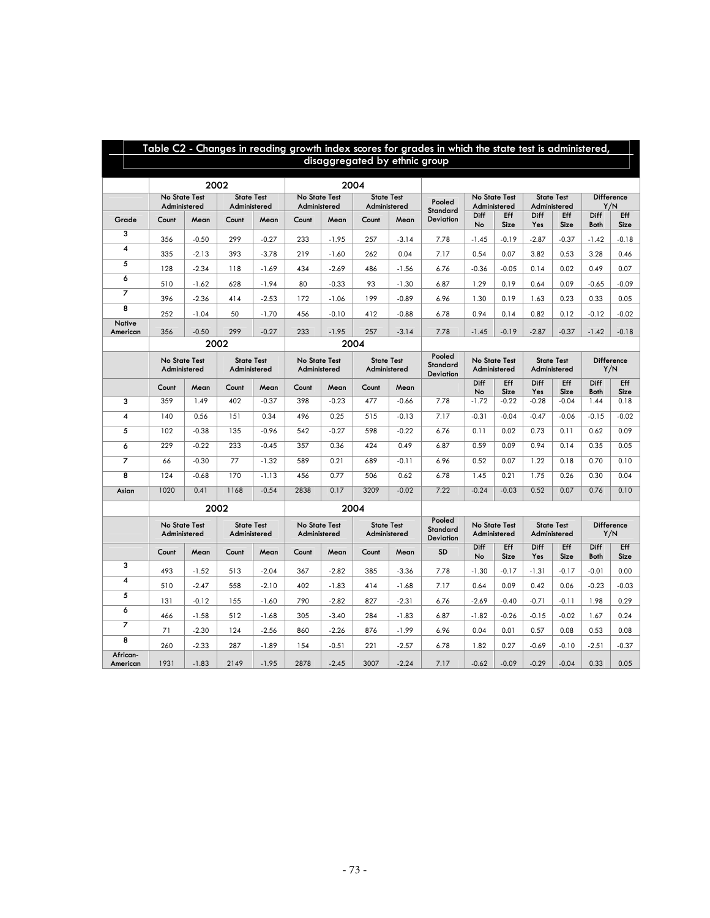| Table C2 - Changes in reading growth index scores for grades in which the state test is administered,<br>disaggregated by ethnic group |                                                                    |                                          |                 |                                   |                               |                                                                    |                                   |         |                                        |                               |               |                                   |                   |                          |                    |
|----------------------------------------------------------------------------------------------------------------------------------------|--------------------------------------------------------------------|------------------------------------------|-----------------|-----------------------------------|-------------------------------|--------------------------------------------------------------------|-----------------------------------|---------|----------------------------------------|-------------------------------|---------------|-----------------------------------|-------------------|--------------------------|--------------------|
|                                                                                                                                        | 2002<br>2004                                                       |                                          |                 |                                   |                               |                                                                    |                                   |         |                                        |                               |               |                                   |                   |                          |                    |
|                                                                                                                                        | <b>State Test</b><br>No State Test<br>Administered<br>Administered |                                          |                 |                                   | No State Test<br>Administered |                                                                    | <b>State Test</b><br>Administered |         | Pooled<br>Standard                     | No State Test<br>Administered |               | <b>State Test</b><br>Administered |                   | <b>Difference</b><br>Y/N |                    |
| Grade                                                                                                                                  | Count                                                              | Mean                                     | Count           | Mean                              | Count                         | Mean                                                               | Count                             | Mean    | <b>Deviation</b>                       | Diff<br>No                    | Eff<br>Size   | <b>Diff</b><br>Yes                | Eff<br>Size       | Diff<br>Both             | <b>Eff</b><br>Size |
| 3                                                                                                                                      | 356                                                                | $-0.50$                                  | 299             | $-0.27$                           | 233                           | $-1.95$                                                            | 257                               | $-3.14$ | 7.78                                   | $-1.45$                       | $-0.19$       | $-2.87$                           | $-0.37$           | $-1.42$                  | $-0.18$            |
| 4                                                                                                                                      | 335                                                                | $-2.13$                                  | 393             | $-3.78$                           | 219                           | $-1.60$                                                            | 262                               | 0.04    | 7.17                                   | 0.54                          | 0.07          | 3.82                              | 0.53              | 3.28                     | 0.46               |
| 5                                                                                                                                      | 128                                                                | $-2.34$                                  | 118             | $-1.69$                           | 434                           | $-2.69$                                                            | 486                               | $-1.56$ | 6.76                                   | $-0.36$                       | $-0.05$       | 0.14                              | 0.02              | 0.49                     | 0.07               |
| 6                                                                                                                                      | 510                                                                | $-1.62$                                  | 628             | $-1.94$                           | 80                            | $-0.33$                                                            | 93                                | $-1.30$ | 6.87                                   | 1.29                          | 0.19          | 0.64                              | 0.09              | $-0.65$                  | $-0.09$            |
| $\overline{7}$                                                                                                                         | 396                                                                | $-2.36$                                  | 414             | $-2.53$                           | 172                           | $-1.06$                                                            | 199                               | $-0.89$ | 6.96                                   | 1.30                          | 0.19          | 1.63                              | 0.23              | 0.33                     | 0.05               |
| $\overline{\mathbf{8}}$                                                                                                                | 252                                                                | $-1.04$                                  | 50              | $-1.70$                           | 456                           | $-0.10$                                                            | 412                               | $-0.88$ | 6.78                                   | 0.94                          | 0.14          | 0.82                              | 0.12              | $-0.12$                  | $-0.02$            |
| Native                                                                                                                                 |                                                                    |                                          |                 |                                   | 233                           |                                                                    |                                   |         |                                        |                               |               |                                   |                   |                          |                    |
| American                                                                                                                               |                                                                    | 356<br>$-0.50$<br>299<br>$-0.27$<br>2002 |                 |                                   |                               | $-1.95$<br>2004                                                    | 257                               | $-3.14$ | 7.78                                   | $-1.45$                       | $-0.19$       | $-2.87$                           | $-0.37$           | $-1.42$                  | $-0.18$            |
|                                                                                                                                        |                                                                    | No State Test<br><b>State Test</b>       |                 |                                   |                               | No State Test<br><b>State Test</b>                                 |                                   |         |                                        |                               | No State Test |                                   | <b>State Test</b> | Difference<br>Y/N        |                    |
|                                                                                                                                        | Administered                                                       |                                          | Administered    |                                   | Administered                  |                                                                    | Administered                      |         | <b>Standard</b><br>Deviation           | Administered                  |               | Administered                      |                   |                          |                    |
|                                                                                                                                        | Count                                                              | Mean                                     | Count           | Mean                              | Count                         | Mean                                                               | Count                             | Mean    |                                        | Diff<br>No                    | Eff<br>Size   | Diff<br>Yes                       | Eff<br>Size       | Diff<br>Both             | Eff<br>Size        |
| 3                                                                                                                                      | 359                                                                | 1.49                                     | 402             | $-0.37$                           | 398                           | $-0.23$                                                            | 477                               | $-0.66$ | 7.78                                   | $-1.72$                       | $-0.22$       | $-0.28$                           | $-0.04$           | 1.44                     | 0.18               |
| 4                                                                                                                                      | 140                                                                | 0.56                                     | 151             | 0.34                              | 496                           | 0.25                                                               | 515                               | $-0.13$ | 7.17                                   | $-0.31$                       | $-0.04$       | $-0.47$                           | $-0.06$           | $-0.15$                  | $-0.02$            |
| 5                                                                                                                                      | 102                                                                | $-0.38$                                  | 135             | $-0.96$                           | 542                           | $-0.27$                                                            | 598                               | $-0.22$ | 6.76                                   | 0.11                          | 0.02          | 0.73                              | 0.11              | 0.62                     | 0.09               |
| 6                                                                                                                                      | 229                                                                | $-0.22$                                  | 233             | $-0.45$                           | 357                           | 0.36                                                               | 424                               | 0.49    | 6.87                                   | 0.59                          | 0.09          | 0.94                              | 0.14              | 0.35                     | 0.05               |
| $\overline{7}$                                                                                                                         | 66                                                                 | $-0.30$                                  | $\overline{77}$ | $-1.32$                           | 589                           | 0.21                                                               | 689                               | $-0.11$ | 6.96                                   | 0.52                          | 0.07          | 1.22                              | 0.18              | 0.70                     | 0.10               |
| 8                                                                                                                                      | 124                                                                | $-0.68$                                  | 170             | $-1.13$                           | 456                           | 0.77                                                               | 506                               | 0.62    | 6.78                                   | 1.45                          | 0.21          | 1.75                              | 0.26              | 0.30                     | 0.04               |
| Asian                                                                                                                                  | 1020                                                               | 0.41                                     | 1168            | $-0.54$                           | 2838                          | 0.17                                                               | 3209                              | $-0.02$ | 7.22                                   | $-0.24$                       | $-0.03$       | 0.52                              | 0.07              | 0.76                     | 0.10               |
|                                                                                                                                        |                                                                    |                                          | 2002            |                                   |                               | 2004                                                               |                                   |         |                                        |                               |               |                                   |                   |                          |                    |
|                                                                                                                                        |                                                                    | No State Test<br>Administered            |                 | <b>State Test</b><br>Administered |                               | <b>State Test</b><br>No State Test<br>Administered<br>Administered |                                   |         | Pooled<br>Standard<br><b>Deviation</b> | No State Test<br>Administered |               | <b>State Test</b><br>Administered |                   | Difference<br>Y/N        |                    |
|                                                                                                                                        | Count                                                              | Mean                                     | Count           | Mean                              | Count                         | Mean                                                               | Count                             | Mean    | <b>SD</b>                              | Diff<br>No                    | Eff<br>Size   | Diff<br>Yes                       | Eff<br>Size       | Diff<br><b>Both</b>      | Eff<br>Size        |
| 3                                                                                                                                      | 493                                                                | $-1.52$                                  | 513             | $-2.04$                           | 367                           | $-2.82$                                                            | 385                               | $-3.36$ | 7.78                                   | $-1.30$                       | $-0.17$       | $-1.31$                           | $-0.17$           | $-0.01$                  | 0.00               |
| 4                                                                                                                                      | 510                                                                | $-2.47$                                  | 558             | $-2.10$                           | 402                           | $-1.83$                                                            | 414                               | $-1.68$ | 7.17                                   | 0.64                          | 0.09          | 0.42                              | 0.06              | $-0.23$                  | $-0.03$            |
| 5                                                                                                                                      | 131                                                                | $-0.12$                                  | 155             | $-1.60$                           | 790                           | $-2.82$                                                            | 827                               | $-2.31$ | 6.76                                   | $-2.69$                       | $-0.40$       | $-0.71$                           | $-0.11$           | 1.98                     | 0.29               |
| 6                                                                                                                                      | 466                                                                | $-1.58$                                  | 512             | $-1.68$                           | 305                           | $-3.40$                                                            | 284                               | $-1.83$ | 6.87                                   | $-1.82$                       | $-0.26$       | $-0.15$                           | $-0.02$           | 1.67                     | 0.24               |
| $\overline{\mathbf{z}}$                                                                                                                | 71                                                                 | $-2.30$                                  | 124             | $-2.56$                           | 860                           | $-2.26$                                                            | 876                               | $-1.99$ | 6.96                                   | 0.04                          | 0.01          | 0.57                              | 0.08              | 0.53                     | 0.08               |
| $\overline{\mathbf{8}}$                                                                                                                | 260                                                                | $-2.33$                                  | 287             | $-1.89$                           | 154                           | $-0.51$                                                            | 221                               | $-2.57$ | 6.78                                   | 1.82                          | 0.27          | $-0.69$                           | $-0.10$           | $-2.51$                  | $-0.37$            |
| African-<br>American                                                                                                                   | 1931                                                               | $-1.83$                                  | 2149            | $-1.95$                           | 2878                          | $-2.45$                                                            | 3007                              | $-2.24$ | 7.17                                   | $-0.62$                       | $-0.09$       | $-0.29$                           | $-0.04$           | 0.33                     | 0.05               |